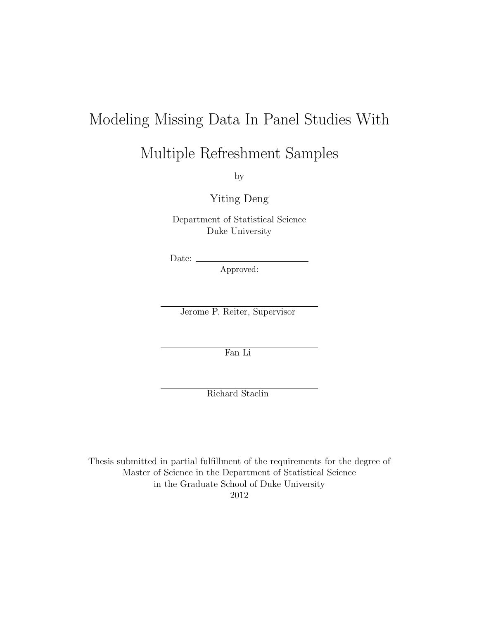## Modeling Missing Data In Panel Studies With

## Multiple Refreshment Samples

by

Yiting Deng

Department of Statistical Science Duke University

Date:  $\_\$ 

Approved:

Jerome P. Reiter, Supervisor

Fan Li

Richard Staelin

Thesis submitted in partial fulfillment of the requirements for the degree of Master of Science in the Department of Statistical Science in the Graduate School of Duke University 2012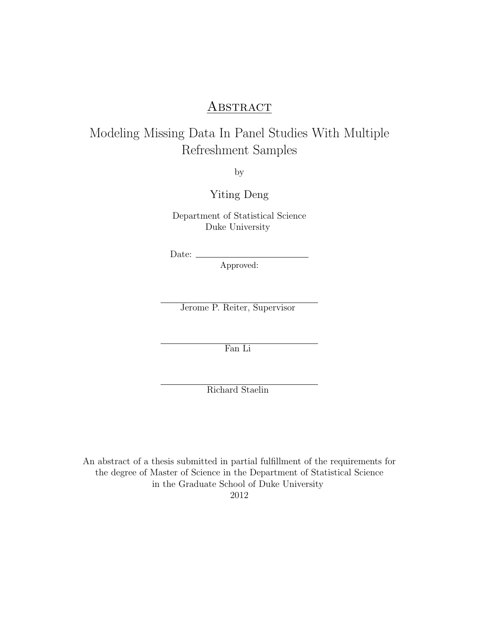#### ABSTRACT

#### Modeling Missing Data In Panel Studies With Multiple Refreshment Samples

by

Yiting Deng

Department of Statistical Science Duke University

Date:

Approved:

Jerome P. Reiter, Supervisor

Fan Li

Richard Staelin

An abstract of a thesis submitted in partial fulfillment of the requirements for the degree of Master of Science in the Department of Statistical Science in the Graduate School of Duke University 2012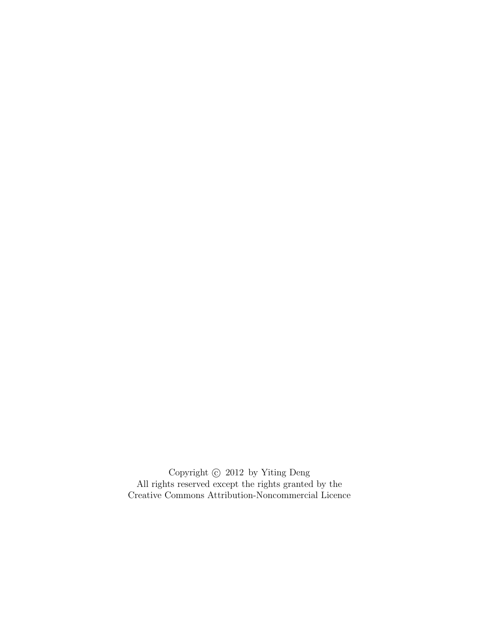Copyright  $\odot$  2012 by Yiting Deng All rights reserved except the rights granted by the [Creative Commons Attribution-Noncommercial Licence](http://creativecommons.org/licenses/by-nc/3.0/us/)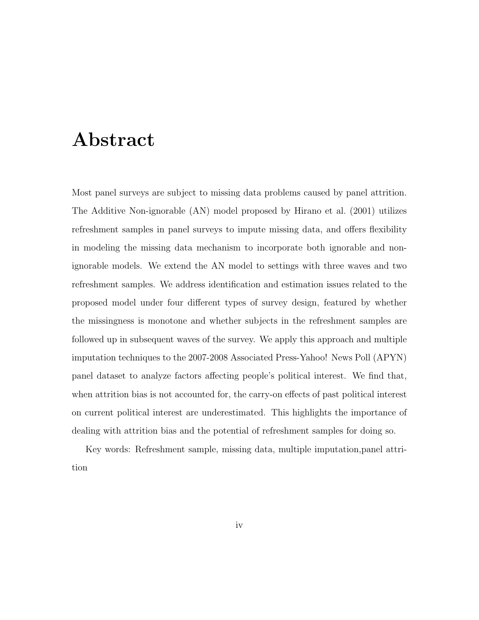# <span id="page-3-0"></span>Abstract

Most panel surveys are subject to missing data problems caused by panel attrition. The Additive Non-ignorable (AN) model proposed by [Hirano et al.](#page-77-0) [\(2001\)](#page-77-0) utilizes refreshment samples in panel surveys to impute missing data, and offers flexibility in modeling the missing data mechanism to incorporate both ignorable and nonignorable models. We extend the AN model to settings with three waves and two refreshment samples. We address identification and estimation issues related to the proposed model under four different types of survey design, featured by whether the missingness is monotone and whether subjects in the refreshment samples are followed up in subsequent waves of the survey. We apply this approach and multiple imputation techniques to the 2007-2008 Associated Press-Yahoo! News Poll (APYN) panel dataset to analyze factors affecting people's political interest. We find that, when attrition bias is not accounted for, the carry-on effects of past political interest on current political interest are underestimated. This highlights the importance of dealing with attrition bias and the potential of refreshment samples for doing so.

Key words: Refreshment sample, missing data, multiple imputation,panel attrition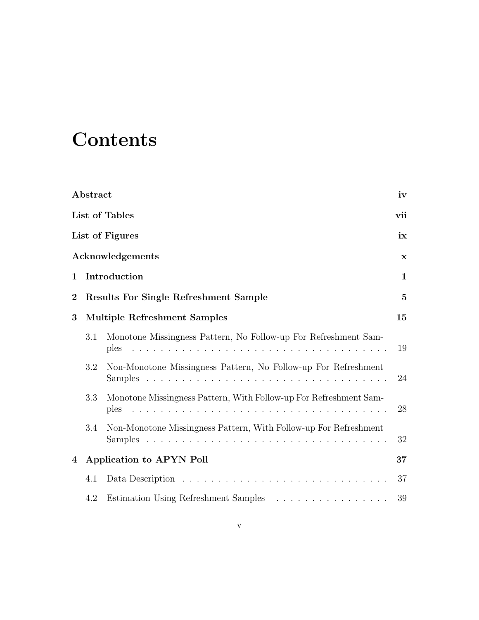# **Contents**

|                | Abstract |                                                                                                                                                                                                                                                                                                          | iv           |
|----------------|----------|----------------------------------------------------------------------------------------------------------------------------------------------------------------------------------------------------------------------------------------------------------------------------------------------------------|--------------|
|                |          | List of Tables                                                                                                                                                                                                                                                                                           | vii          |
|                |          | List of Figures                                                                                                                                                                                                                                                                                          | ix           |
|                |          | Acknowledgements                                                                                                                                                                                                                                                                                         | $\mathbf x$  |
| $\mathbf{1}$   |          | Introduction                                                                                                                                                                                                                                                                                             | $\mathbf{1}$ |
| $\overline{2}$ |          | Results For Single Refreshment Sample                                                                                                                                                                                                                                                                    | $\mathbf{5}$ |
| 3              |          | <b>Multiple Refreshment Samples</b>                                                                                                                                                                                                                                                                      | 15           |
|                | 3.1      | Monotone Missingness Pattern, No Follow-up For Refreshment Sam-<br>and a construction of the construction of the construction of the construction of the construction of the construction of the construction of the construction of the construction of the construction of the construction of<br>ples | 19           |
|                | 3.2      | Non-Monotone Missingness Pattern, No Follow-up For Refreshment                                                                                                                                                                                                                                           | 24           |
|                | 3.3      | Monotone Missingness Pattern, With Follow-up For Refreshment Sam-<br>ples                                                                                                                                                                                                                                | 28           |
|                | 3.4      | Non-Monotone Missingness Pattern, With Follow-up For Refreshment                                                                                                                                                                                                                                         | 32           |
| 4              |          | Application to APYN Poll                                                                                                                                                                                                                                                                                 | 37           |
|                | 4.1      |                                                                                                                                                                                                                                                                                                          | 37           |
|                | 4.2      | Estimation Using Refreshment Samples                                                                                                                                                                                                                                                                     | 39           |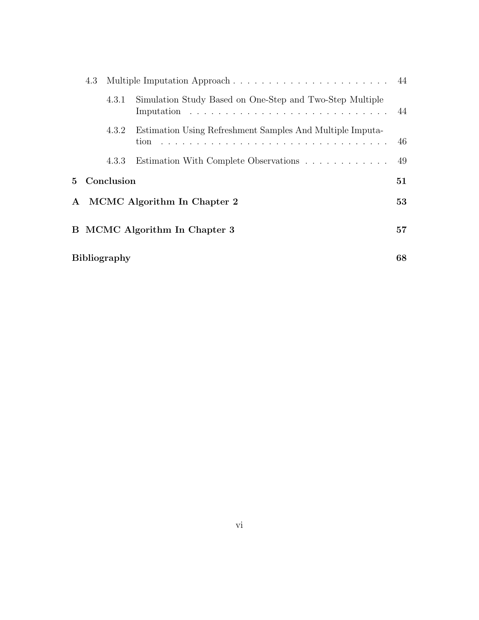| 4.3 |                     |                                                           |    |
|-----|---------------------|-----------------------------------------------------------|----|
|     | 4.3.1               | Simulation Study Based on One-Step and Two-Step Multiple  |    |
|     | 4.3.2               | Estimation Using Refreshment Samples And Multiple Imputa- | 46 |
|     | 4.3.3               | Estimation With Complete Observations                     | 49 |
|     | 5 Conclusion        |                                                           | 51 |
|     |                     | A MCMC Algorithm In Chapter 2                             | 53 |
|     |                     | B MCMC Algorithm In Chapter 3                             | 57 |
|     | <b>Bibliography</b> |                                                           | 68 |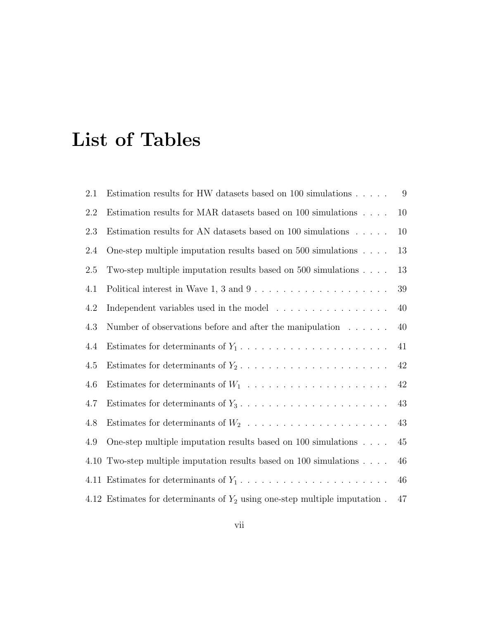# <span id="page-6-0"></span>List of Tables

| 2.1  | Estimation results for HW datasets based on 100 simulations                         | 9      |
|------|-------------------------------------------------------------------------------------|--------|
| 2.2  | Estimation results for MAR datasets based on 100 simulations $\ldots$ .             | 10     |
| 2.3  | Estimation results for AN datasets based on 100 simulations                         | 10     |
| 2.4  | One-step multiple imputation results based on 500 simulations $\ldots$ .            | 13     |
| 2.5  | Two-step multiple imputation results based on 500 simulations $\ldots$ .            | 13     |
| 4.1  |                                                                                     | 39     |
| 4.2  | Independent variables used in the model                                             | 40     |
| 4.3  | Number of observations before and after the manipulation $\dots \dots$              | 40     |
| 4.4  | Estimates for determinants of $Y_1, \ldots, \ldots, \ldots, \ldots, \ldots, \ldots$ | 41     |
| 4.5  |                                                                                     | $42\,$ |
| 4.6  |                                                                                     | $42\,$ |
| 4.7  |                                                                                     | 43     |
| 4.8  | Estimates for determinants of $W_2$                                                 | 43     |
| 4.9  | One-step multiple imputation results based on $100$ simulations $\dots$ .           | 45     |
| 4.10 | Two-step multiple imputation results based on 100 simulations                       | 46     |
| 4.11 |                                                                                     | 46     |
|      | 4.12 Estimates for determinants of $Y_2$ using one-step multiple imputation.        | 47     |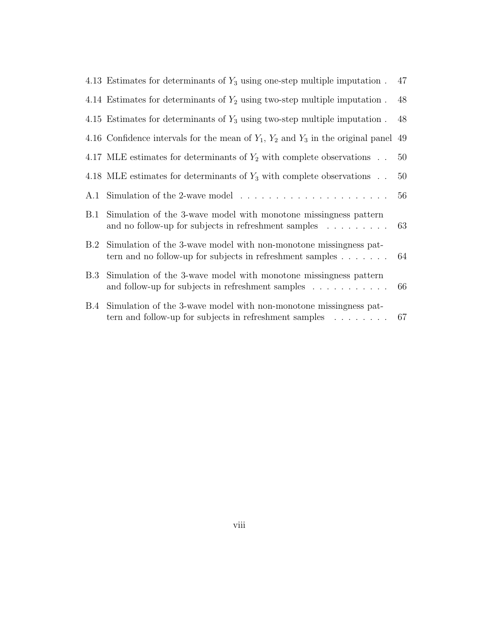|            | 4.13 Estimates for determinants of $Y_3$ using one-step multiple imputation.                                                                       | 47 |
|------------|----------------------------------------------------------------------------------------------------------------------------------------------------|----|
|            | 4.14 Estimates for determinants of $Y_2$ using two-step multiple imputation.                                                                       | 48 |
|            | 4.15 Estimates for determinants of $Y_3$ using two-step multiple imputation.                                                                       | 48 |
|            | 4.16 Confidence intervals for the mean of $Y_1$ , $Y_2$ and $Y_3$ in the original panel                                                            | 49 |
|            | 4.17 MLE estimates for determinants of $Y_2$ with complete observations                                                                            | 50 |
|            | 4.18 MLE estimates for determinants of $Y_3$ with complete observations                                                                            | 50 |
|            |                                                                                                                                                    | 56 |
| B.1        | Simulation of the 3-wave model with monotone missingness pattern<br>and no follow-up for subjects in refreshment samples $\dots \dots$             | 63 |
| B.2        | Simulation of the 3-wave model with non-monotone missingness pat-<br>tern and no follow-up for subjects in refreshment samples $\dots \dots$       | 64 |
| <b>B.3</b> | Simulation of the 3-wave model with monotone missingness pattern<br>and follow-up for subjects in refreshment samples $\dots \dots \dots$          | 66 |
|            | B.4 Simulation of the 3-wave model with non-monotone missingness pat-<br>tern and follow-up for subjects in refreshment samples $\ldots \ldots$ 67 |    |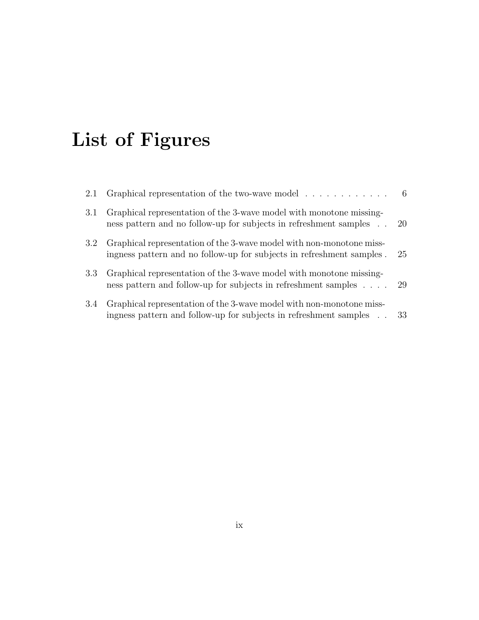# <span id="page-8-0"></span>List of Figures

| 2.1              | Graphical representation of the two-wave model $\dots \dots \dots$                                                                            |      |
|------------------|-----------------------------------------------------------------------------------------------------------------------------------------------|------|
| 3.1              | Graphical representation of the 3-wave model with monotone missing-<br>ness pattern and no follow-up for subjects in refreshment samples 20   |      |
| 3.2 <sub>1</sub> | Graphical representation of the 3-wave model with non-monotone miss-<br>ingness pattern and no follow-up for subjects in refreshment samples. | 25   |
| 3.3              | Graphical representation of the 3-wave model with monotone missing-<br>ness pattern and follow-up for subjects in refreshment samples 29      |      |
| 3.4              | Graphical representation of the 3-wave model with non-monotone miss-<br>ingness pattern and follow-up for subjects in refreshment samples     | - 33 |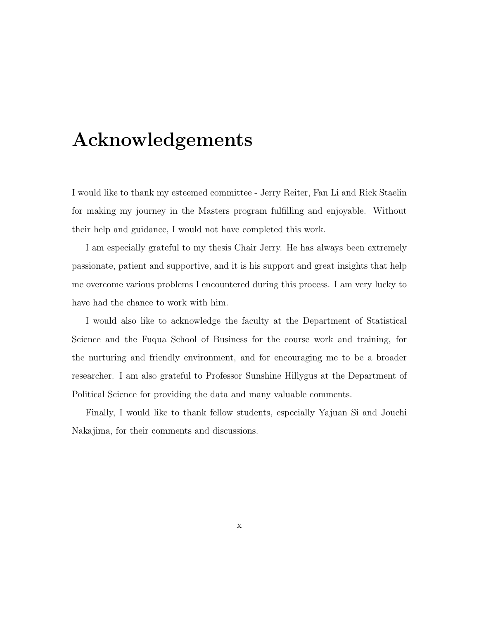# <span id="page-9-0"></span>Acknowledgements

I would like to thank my esteemed committee - Jerry Reiter, Fan Li and Rick Staelin for making my journey in the Masters program fulfilling and enjoyable. Without their help and guidance, I would not have completed this work.

I am especially grateful to my thesis Chair Jerry. He has always been extremely passionate, patient and supportive, and it is his support and great insights that help me overcome various problems I encountered during this process. I am very lucky to have had the chance to work with him.

I would also like to acknowledge the faculty at the Department of Statistical Science and the Fuqua School of Business for the course work and training, for the nurturing and friendly environment, and for encouraging me to be a broader researcher. I am also grateful to Professor Sunshine Hillygus at the Department of Political Science for providing the data and many valuable comments.

Finally, I would like to thank fellow students, especially Yajuan Si and Jouchi Nakajima, for their comments and discussions.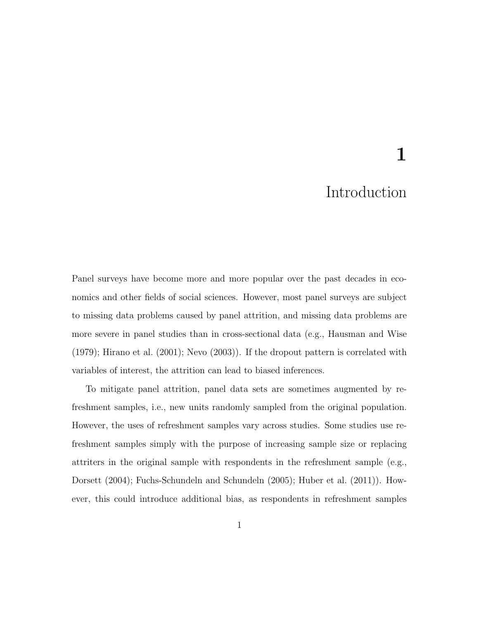# 1

### Introduction

<span id="page-10-0"></span>Panel surveys have become more and more popular over the past decades in economics and other fields of social sciences. However, most panel surveys are subject to missing data problems caused by panel attrition, and missing data problems are more severe in panel studies than in cross-sectional data (e.g., [Hausman and Wise](#page-77-1) [\(1979\)](#page-77-1); [Hirano et al.](#page-77-0) [\(2001\)](#page-77-0); [Nevo](#page-77-2) [\(2003\)](#page-77-2)). If the dropout pattern is correlated with variables of interest, the attrition can lead to biased inferences.

To mitigate panel attrition, panel data sets are sometimes augmented by refreshment samples, i.e., new units randomly sampled from the original population. However, the uses of refreshment samples vary across studies. Some studies use refreshment samples simply with the purpose of increasing sample size or replacing attriters in the original sample with respondents in the refreshment sample (e.g., [Dorsett](#page-77-3) [\(2004\)](#page-77-3); [Fuchs-Schundeln and Schundeln](#page-77-4) [\(2005\)](#page-77-4); [Huber et al.](#page-77-5) [\(2011\)](#page-77-5)). However, this could introduce additional bias, as respondents in refreshment samples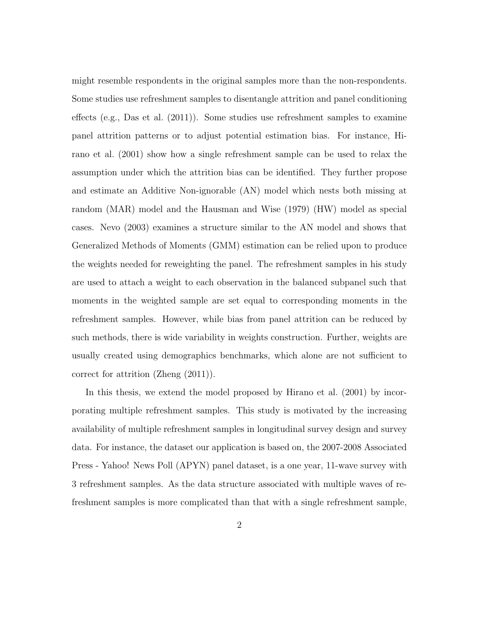might resemble respondents in the original samples more than the non-respondents. Some studies use refreshment samples to disentangle attrition and panel conditioning effects (e.g., [Das et al.](#page-77-6) [\(2011\)](#page-77-6)). Some studies use refreshment samples to examine panel attrition patterns or to adjust potential estimation bias. For instance, [Hi](#page-77-0)[rano et al.](#page-77-0) [\(2001\)](#page-77-0) show how a single refreshment sample can be used to relax the assumption under which the attrition bias can be identified. They further propose and estimate an Additive Non-ignorable (AN) model which nests both missing at random (MAR) model and the [Hausman and Wise](#page-77-1) [\(1979\)](#page-77-1) (HW) model as special cases. [Nevo](#page-77-2) [\(2003\)](#page-77-2) examines a structure similar to the AN model and shows that Generalized Methods of Moments (GMM) estimation can be relied upon to produce the weights needed for reweighting the panel. The refreshment samples in his study are used to attach a weight to each observation in the balanced subpanel such that moments in the weighted sample are set equal to corresponding moments in the refreshment samples. However, while bias from panel attrition can be reduced by such methods, there is wide variability in weights construction. Further, weights are usually created using demographics benchmarks, which alone are not sufficient to correct for attrition [\(Zheng](#page-78-0) [\(2011\)](#page-78-0)).

In this thesis, we extend the model proposed by [Hirano et al.](#page-77-0) [\(2001\)](#page-77-0) by incorporating multiple refreshment samples. This study is motivated by the increasing availability of multiple refreshment samples in longitudinal survey design and survey data. For instance, the dataset our application is based on, the 2007-2008 Associated Press - Yahoo! News Poll (APYN) panel dataset, is a one year, 11-wave survey with 3 refreshment samples. As the data structure associated with multiple waves of refreshment samples is more complicated than that with a single refreshment sample,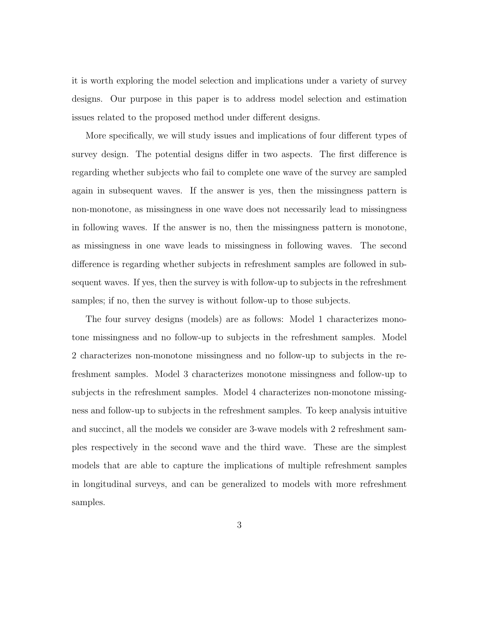it is worth exploring the model selection and implications under a variety of survey designs. Our purpose in this paper is to address model selection and estimation issues related to the proposed method under different designs.

More specifically, we will study issues and implications of four different types of survey design. The potential designs differ in two aspects. The first difference is regarding whether subjects who fail to complete one wave of the survey are sampled again in subsequent waves. If the answer is yes, then the missingness pattern is non-monotone, as missingness in one wave does not necessarily lead to missingness in following waves. If the answer is no, then the missingness pattern is monotone, as missingness in one wave leads to missingness in following waves. The second difference is regarding whether subjects in refreshment samples are followed in subsequent waves. If yes, then the survey is with follow-up to subjects in the refreshment samples; if no, then the survey is without follow-up to those subjects.

The four survey designs (models) are as follows: Model 1 characterizes monotone missingness and no follow-up to subjects in the refreshment samples. Model 2 characterizes non-monotone missingness and no follow-up to subjects in the refreshment samples. Model 3 characterizes monotone missingness and follow-up to subjects in the refreshment samples. Model 4 characterizes non-monotone missingness and follow-up to subjects in the refreshment samples. To keep analysis intuitive and succinct, all the models we consider are 3-wave models with 2 refreshment samples respectively in the second wave and the third wave. These are the simplest models that are able to capture the implications of multiple refreshment samples in longitudinal surveys, and can be generalized to models with more refreshment samples.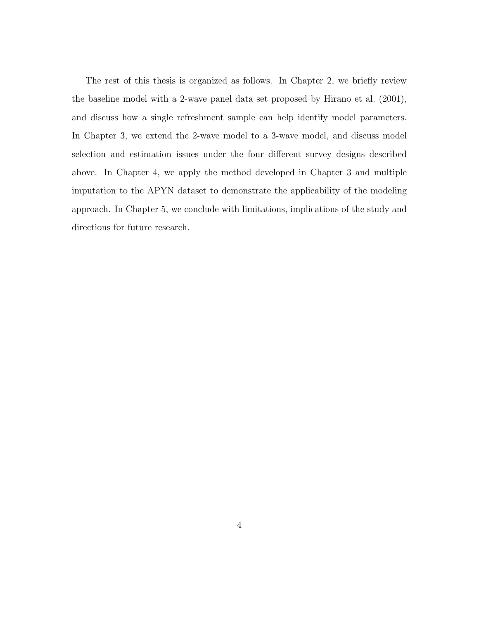The rest of this thesis is organized as follows. In Chapter [2,](#page-14-0) we briefly review the baseline model with a 2-wave panel data set proposed by [Hirano et al.](#page-77-0) [\(2001\)](#page-77-0), and discuss how a single refreshment sample can help identify model parameters. In Chapter [3,](#page-24-0) we extend the 2-wave model to a 3-wave model, and discuss model selection and estimation issues under the four different survey designs described above. In Chapter [4,](#page-46-0) we apply the method developed in Chapter [3](#page-24-0) and multiple imputation to the APYN dataset to demonstrate the applicability of the modeling approach. In Chapter [5,](#page-60-0) we conclude with limitations, implications of the study and directions for future research.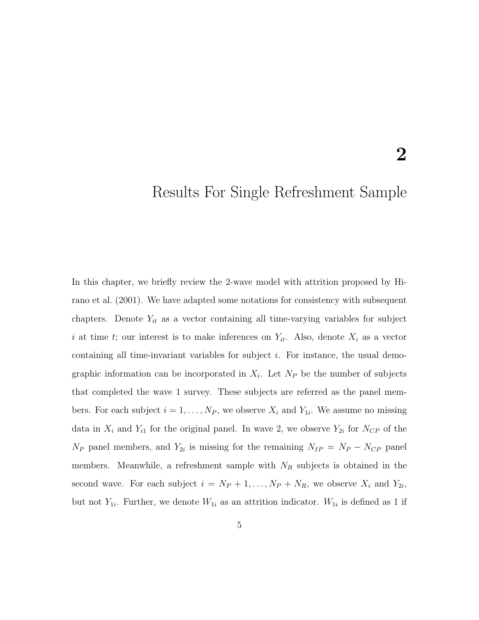### <span id="page-14-0"></span>Results For Single Refreshment Sample

In this chapter, we briefly review the 2-wave model with attrition proposed by [Hi](#page-77-0)[rano et al.](#page-77-0) [\(2001\)](#page-77-0). We have adapted some notations for consistency with subsequent chapters. Denote  $Y_{it}$  as a vector containing all time-varying variables for subject i at time t; our interest is to make inferences on  $Y_{it}$ . Also, denote  $X_i$  as a vector containing all time-invariant variables for subject i. For instance, the usual demographic information can be incorporated in  $X_i$ . Let  $N_P$  be the number of subjects that completed the wave 1 survey. These subjects are referred as the panel members. For each subject  $i = 1, ..., N_P$ , we observe  $X_i$  and  $Y_{1i}$ . We assume no missing data in  $X_i$  and  $Y_{i1}$  for the original panel. In wave 2, we observe  $Y_{2i}$  for  $N_{CP}$  of the  $N_P$  panel members, and  $Y_{2i}$  is missing for the remaining  $N_{IP} = N_P - N_{CP}$  panel members. Meanwhile, a refreshment sample with  $N_R$  subjects is obtained in the second wave. For each subject  $i = N_P + 1, \ldots, N_P + N_R$ , we observe  $X_i$  and  $Y_{2i}$ , but not  $Y_{1i}$ . Further, we denote  $W_{1i}$  as an attrition indicator.  $W_{1i}$  is defined as 1 if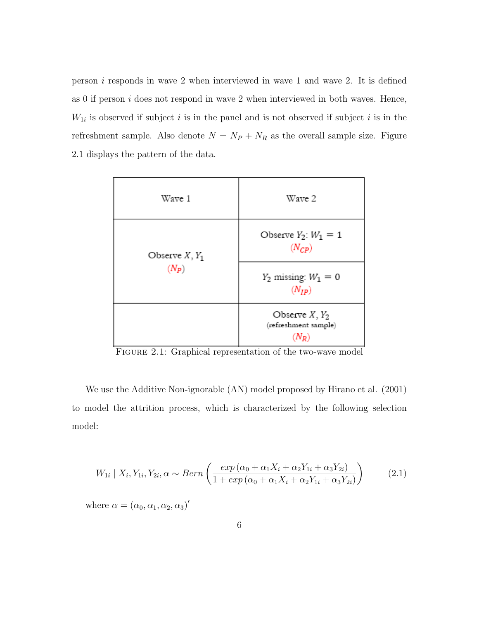person i responds in wave 2 when interviewed in wave 1 and wave 2. It is defined as  $0$  if person  $i$  does not respond in wave  $2$  when interviewed in both waves. Hence,  $W_{1i}$  is observed if subject i is in the panel and is not observed if subject i is in the refreshment sample. Also denote  $N = N_P + N_R$  as the overall sample size. Figure [2.1](#page-15-0) displays the pattern of the data.

| Wave 1           | Wave 2                                   |
|------------------|------------------------------------------|
| Observe $X, Y_1$ | Observe $Y_2$ : $W_1 = 1$<br>$(N_{CP})$  |
| $(N_P)$          | $Y_2$ missing: $W_1 = 0$<br>$(N_{IP})$   |
|                  | Observe $X, Y_2$<br>(refreshment sample) |

<span id="page-15-0"></span>Figure 2.1: Graphical representation of the two-wave model

We use the Additive Non-ignorable (AN) model proposed by Hirano et al. (2001) to model the attrition process, which is characterized by the following selection model:

<span id="page-15-1"></span>
$$
W_{1i} | X_i, Y_{1i}, Y_{2i}, \alpha \sim Bern\left(\frac{exp\left(\alpha_0 + \alpha_1 X_i + \alpha_2 Y_{1i} + \alpha_3 Y_{2i}\right)}{1 + exp\left(\alpha_0 + \alpha_1 X_i + \alpha_2 Y_{1i} + \alpha_3 Y_{2i}\right)}\right)
$$
(2.1)

where  $\alpha = (\alpha_0, \alpha_1, \alpha_2, \alpha_3)'$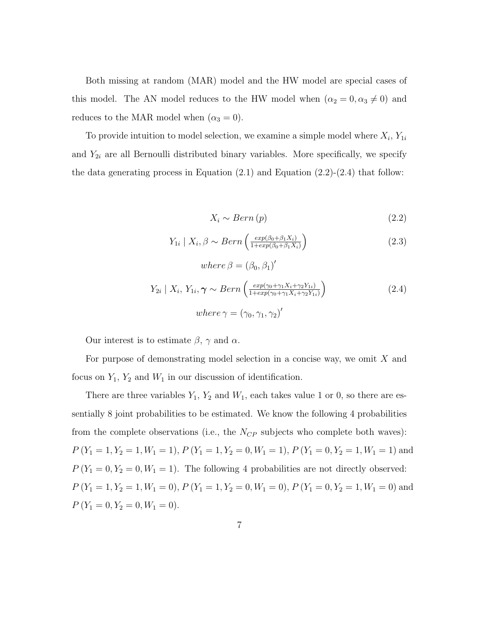Both missing at random (MAR) model and the HW model are special cases of this model. The AN model reduces to the HW model when  $(\alpha_2 = 0, \alpha_3 \neq 0)$  and reduces to the MAR model when  $(\alpha_3=0).$ 

To provide intuition to model selection, we examine a simple model where  $X_i$ ,  $Y_{1i}$ and  $Y_{2i}$  are all Bernoulli distributed binary variables. More specifically, we specify the data generating process in Equation  $(2.1)$  and Equation  $(2.2)-(2.4)$  $(2.2)-(2.4)$  $(2.2)-(2.4)$  that follow:

$$
X_i \sim Bern(p) \tag{2.2}
$$

<span id="page-16-0"></span>
$$
Y_{1i} \mid X_i, \beta \sim Bern\left(\frac{exp(\beta_0 + \beta_1 X_i)}{1 + exp(\beta_0 + \beta_1 X_i)}\right) \tag{2.3}
$$

$$
where \beta = (\beta_0, \beta_1)'
$$
  
\n
$$
Y_{2i} | X_i, Y_{1i}, \gamma \sim Bern\left(\frac{exp(\gamma_0 + \gamma_1 X_i + \gamma_2 Y_{1i})}{1 + exp(\gamma_0 + \gamma_1 X_i + \gamma_2 Y_{1i})}\right)
$$
\n
$$
where \gamma = (\gamma_0, \gamma_1, \gamma_2)'
$$
\n(2.4)

Our interest is to estimate  $\beta$ ,  $\gamma$  and  $\alpha$ .

For purpose of demonstrating model selection in a concise way, we omit  $X$  and focus on  $Y_1$ ,  $Y_2$  and  $W_1$  in our discussion of identification.

There are three variables  $Y_1$ ,  $Y_2$  and  $W_1$ , each takes value 1 or 0, so there are essentially 8 joint probabilities to be estimated. We know the following 4 probabilities from the complete observations (i.e., the  $N_{CP}$  subjects who complete both waves):  $P(Y_1 = 1, Y_2 = 1, W_1 = 1), P(Y_1 = 1, Y_2 = 0, W_1 = 1), P(Y_1 = 0, Y_2 = 1, W_1 = 1)$  and  $P(Y_1 = 0, Y_2 = 0, W_1 = 1)$ . The following 4 probabilities are not directly observed:  $P(Y_1 = 1, Y_2 = 1, W_1 = 0), P(Y_1 = 1, Y_2 = 0, W_1 = 0), P(Y_1 = 0, Y_2 = 1, W_1 = 0)$  and  $P(Y_1 = 0, Y_2 = 0, W_1 = 0).$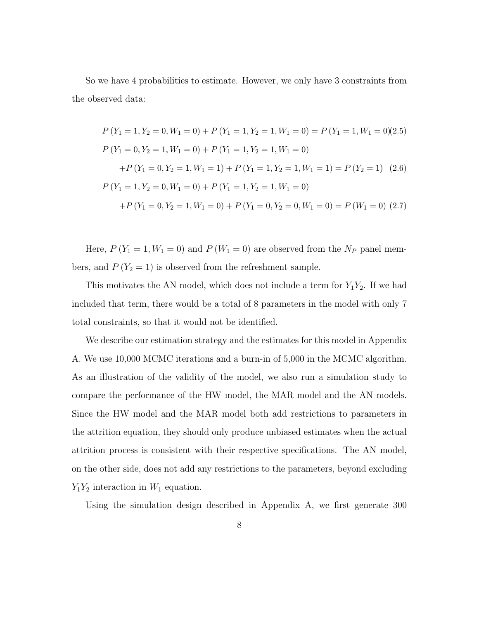So we have 4 probabilities to estimate. However, we only have 3 constraints from the observed data:

$$
P(Y_1 = 1, Y_2 = 0, W_1 = 0) + P(Y_1 = 1, Y_2 = 1, W_1 = 0) = P(Y_1 = 1, W_1 = 0)(2.5)
$$
  
\n
$$
P(Y_1 = 0, Y_2 = 1, W_1 = 0) + P(Y_1 = 1, Y_2 = 1, W_1 = 0)
$$
  
\n
$$
+ P(Y_1 = 0, Y_2 = 1, W_1 = 1) + P(Y_1 = 1, Y_2 = 1, W_1 = 1) = P(Y_2 = 1) \quad (2.6)
$$
  
\n
$$
P(Y_1 = 1, Y_2 = 0, W_1 = 0) + P(Y_1 = 1, Y_2 = 1, W_1 = 0)
$$
  
\n
$$
+ P(Y_1 = 0, Y_2 = 1, W_1 = 0) + P(Y_1 = 0, Y_2 = 0, W_1 = 0) = P(W_1 = 0) \quad (2.7)
$$

Here,  $P(Y_1 = 1, W_1 = 0)$  and  $P(W_1 = 0)$  are observed from the  $N_P$  panel members, and  $P(Y_2 = 1)$  is observed from the refreshment sample.

This motivates the AN model, which does not include a term for  $Y_1Y_2$ . If we had included that term, there would be a total of 8 parameters in the model with only 7 total constraints, so that it would not be identified.

We describe our estimation strategy and the estimates for this model in Appendix A. We use 10,000 MCMC iterations and a burn-in of 5,000 in the MCMC algorithm. As an illustration of the validity of the model, we also run a simulation study to compare the performance of the HW model, the MAR model and the AN models. Since the HW model and the MAR model both add restrictions to parameters in the attrition equation, they should only produce unbiased estimates when the actual attrition process is consistent with their respective specifications. The AN model, on the other side, does not add any restrictions to the parameters, beyond excluding  $Y_1Y_2$  interaction in  $W_1$  equation.

Using the simulation design described in Appendix A, we first generate 300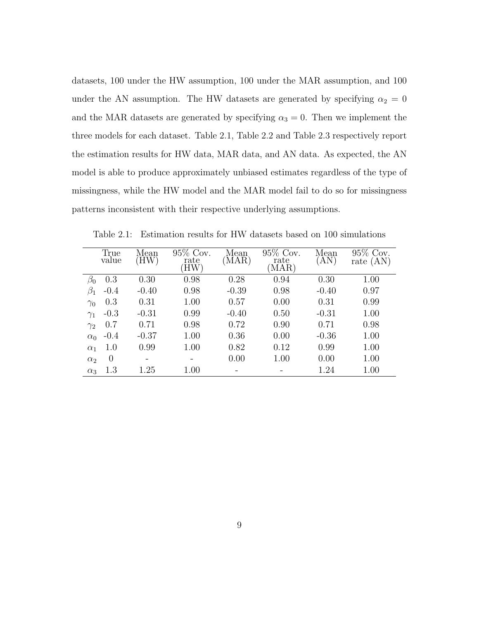datasets, 100 under the HW assumption, 100 under the MAR assumption, and 100 under the AN assumption. The HW datasets are generated by specifying  $\alpha_2 = 0$ and the MAR datasets are generated by specifying  $\alpha_3 = 0$ . Then we implement the three models for each dataset. Table [2.1,](#page-18-0) Table [2.2](#page-19-0) and Table [2.3](#page-19-1) respectively report the estimation results for HW data, MAR data, and AN data. As expected, the AN model is able to produce approximately unbiased estimates regardless of the type of missingness, while the HW model and the MAR model fail to do so for missingness patterns inconsistent with their respective underlying assumptions.

| True<br>value          | Mean<br>ΉW) | 95% Cov.<br>rate<br>HW) | Mean<br>`MAR) | 95\% Cov.<br>rate<br>$\text{MAR}$ ) | Mean<br>`AN` | 95\% Cov.<br>rate $(AN)$ |
|------------------------|-------------|-------------------------|---------------|-------------------------------------|--------------|--------------------------|
| 0.3<br>$\beta_0$       | 0.30        | 0.98                    | 0.28          | 0.94                                | 0.30         | 1.00                     |
| $\beta_1$<br>$-0.4$    | $-0.40$     | 0.98                    | $-0.39$       | 0.98                                | $-0.40$      | 0.97                     |
| 0.3<br>$\gamma_0$      | 0.31        | 1.00                    | 0.57          | 0.00                                | 0.31         | 0.99                     |
| $-0.3$<br>$\gamma_1$   | $-0.31$     | 0.99                    | $-0.40$       | 0.50                                | $-0.31$      | 1.00                     |
| 0.7<br>$\gamma_2$      | 0.71        | 0.98                    | 0.72          | 0.90                                | 0.71         | 0.98                     |
| $-0.4$<br>$\alpha_0$   | $-0.37$     | 1.00                    | 0.36          | 0.00                                | $-0.36$      | 1.00                     |
| 1.0<br>$\alpha_1$      | 0.99        | 1.00                    | 0.82          | 0.12                                | 0.99         | 1.00                     |
| $\theta$<br>$\alpha_2$ |             |                         | 0.00          | 1.00                                | 0.00         | 1.00                     |
| 1.3<br>$\alpha_3$      | 1.25        | 1.00                    |               |                                     | 1.24         | 1.00                     |

<span id="page-18-0"></span>Table 2.1: Estimation results for HW datasets based on 100 simulations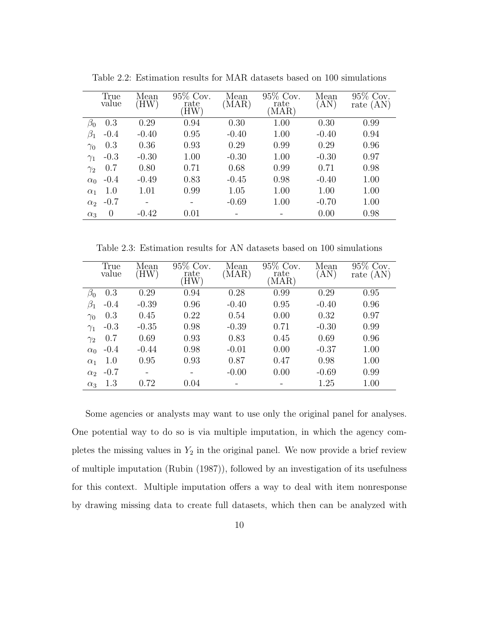|              | True           | Mean    | 95% Cov.    | Mean    | 95% Cov.      | Mean      | 95% Cov.    |
|--------------|----------------|---------|-------------|---------|---------------|-----------|-------------|
|              | value          | (HW)    | rate<br>ΉW) | (MAR)   | rate<br>(MAR) | $\rm(AN)$ | rate $(AN)$ |
|              |                | 0.29    |             |         |               |           | 0.99        |
| $\beta_0$    | 0.3            |         | 0.94        | 0.30    | 1.00          | 0.30      |             |
| $\beta_1$    | $-0.4$         | $-0.40$ | 0.95        | $-0.40$ | 1.00          | $-0.40$   | 0.94        |
| $\gamma_0$   | 0.3            | 0.36    | 0.93        | 0.29    | 0.99          | 0.29      | 0.96        |
| $\gamma_1$   | $-0.3$         | $-0.30$ | 1.00        | $-0.30$ | 1.00          | $-0.30$   | 0.97        |
| $\gamma_{2}$ | 0.7            | 0.80    | 0.71        | 0.68    | 0.99          | 0.71      | 0.98        |
| $\alpha_0$   | $-0.4$         | $-0.49$ | 0.83        | $-0.45$ | 0.98          | $-0.40$   | 1.00        |
| $\alpha_1$   | 1.0            | 1.01    | 0.99        | 1.05    | 1.00          | 1.00      | 1.00        |
| $\alpha_2$   | $-0.7$         |         |             | $-0.69$ | 1.00          | $-0.70$   | 1.00        |
| $\alpha_3$   | $\overline{0}$ | $-0.42$ | 0.01        |         |               | 0.00      | 0.98        |

<span id="page-19-0"></span>Table 2.2: Estimation results for MAR datasets based on 100 simulations

<span id="page-19-1"></span>Table 2.3: Estimation results for AN datasets based on 100 simulations

|            | True<br>value | Mean<br>(HW) | $95\%$ Cov.<br>rate<br>HW) | Mean<br>(MAR) | 95\% Cov.<br>rate<br>$MAR$ ) | Mean<br>$\rm(AN)$ | 95% Cov.<br>rate $(AN)$ |
|------------|---------------|--------------|----------------------------|---------------|------------------------------|-------------------|-------------------------|
| $\beta_0$  | 0.3           | 0.29         | 0.94                       | 0.28          | 0.99                         | 0.29              | 0.95                    |
| $\beta_1$  | $-0.4$        | $-0.39$      | 0.96                       | $-0.40$       | 0.95                         | $-0.40$           | 0.96                    |
| $\gamma_0$ | 0.3           | 0.45         | 0.22                       | 0.54          | 0.00                         | 0.32              | 0.97                    |
| $\gamma_1$ | $-0.3$        | $-0.35$      | 0.98                       | $-0.39$       | 0.71                         | $-0.30$           | 0.99                    |
| $\gamma_2$ | 0.7           | 0.69         | 0.93                       | 0.83          | 0.45                         | 0.69              | 0.96                    |
| $\alpha_0$ | $-0.4$        | $-0.44$      | 0.98                       | $-0.01$       | 0.00                         | $-0.37$           | 1.00                    |
| $\alpha_1$ | $1.0\,$       | 0.95         | 0.93                       | 0.87          | 0.47                         | 0.98              | 1.00                    |
| $\alpha_2$ | $-0.7$        |              |                            | $-0.00$       | 0.00                         | $-0.69$           | 0.99                    |
| $\alpha_3$ | 1.3           | 0.72         | 0.04                       |               |                              | 1.25              | 1.00                    |

Some agencies or analysts may want to use only the original panel for analyses. One potential way to do so is via multiple imputation, in which the agency completes the missing values in  $Y_2$  in the original panel. We now provide a brief review of multiple imputation [\(Rubin](#page-78-1) [\(1987\)](#page-78-1)), followed by an investigation of its usefulness for this context. Multiple imputation offers a way to deal with item nonresponse by drawing missing data to create full datasets, which then can be analyzed with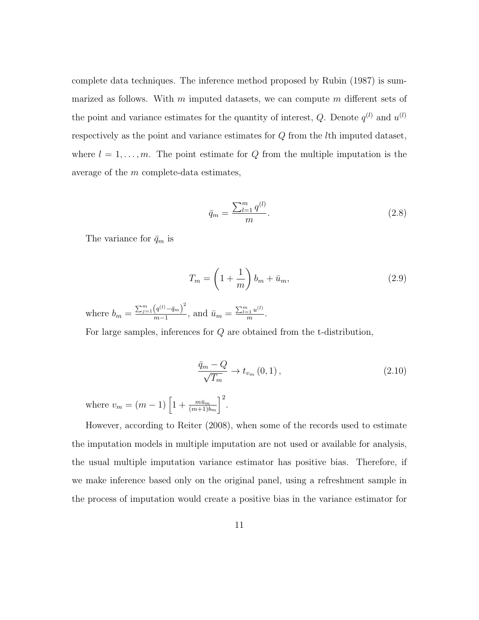complete data techniques. The inference method proposed by [Rubin](#page-78-1) [\(1987\)](#page-78-1) is summarized as follows. With  $m$  imputed datasets, we can compute  $m$  different sets of the point and variance estimates for the quantity of interest, Q. Denote  $q^{(l)}$  and  $u^{(l)}$ respectively as the point and variance estimates for Q from the lth imputed dataset, where  $l = 1, \ldots, m$ . The point estimate for Q from the multiple imputation is the average of the m complete-data estimates,

<span id="page-20-0"></span>
$$
\bar{q}_m = \frac{\sum_{l=1}^m q^{(l)}}{m}.\tag{2.8}
$$

The variance for  $\bar{q}_m$  is

$$
T_m = \left(1 + \frac{1}{m}\right)b_m + \bar{u}_m,\tag{2.9}
$$

where  $b_m = \frac{\sum_{j=1}^{m} (q^{(l)} - \bar{q}_m)^2}{m-1}$  $\frac{(q^{(l)} - \bar{q}_m)^2}{m-1}$ , and  $\bar{u}_m = \frac{\sum_{l=1}^m u^{(l)}}{m}$  $\frac{1}{m}$ .

For large samples, inferences for Q are obtained from the t-distribution,

<span id="page-20-1"></span>
$$
\frac{\bar{q}_m - Q}{\sqrt{T_m}} \to t_{v_m}(0, 1), \qquad (2.10)
$$

where  $v_m = (m-1) \left[ 1 + \frac{m\bar{u}_m}{(m+1)b_m} \right]$  $\big]^{2}$ .

However, according to [Reiter](#page-77-7) [\(2008\)](#page-77-7), when some of the records used to estimate the imputation models in multiple imputation are not used or available for analysis, the usual multiple imputation variance estimator has positive bias. Therefore, if we make inference based only on the original panel, using a refreshment sample in the process of imputation would create a positive bias in the variance estimator for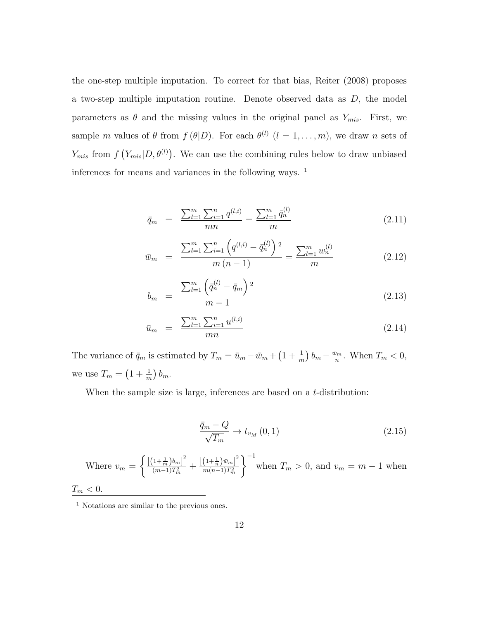the one-step multiple imputation. To correct for that bias, [Reiter](#page-77-7) [\(2008\)](#page-77-7) proposes a two-step multiple imputation routine. Denote observed data as  $D$ , the model parameters as  $\theta$  and the missing values in the original panel as  $Y_{mis}$ . First, we sample m values of  $\theta$  from  $f(\theta|D)$ . For each  $\theta^{(l)}$   $(l = 1, \ldots, m)$ , we draw n sets of  $Y_{mis}$  from  $f(Y_{mis}|D, \theta^{(l)})$ . We can use the combining rules below to draw unbiased inferences for means and variances in the following ways. [1](#page-21-0)

<span id="page-21-1"></span>
$$
\bar{q}_m = \frac{\sum_{l=1}^m \sum_{i=1}^n q^{(l,i)}}{mn} = \frac{\sum_{l=1}^m \bar{q}_n^{(l)}}{m}
$$
\n(2.11)

$$
\bar{w}_m = \frac{\sum_{l=1}^m \sum_{i=1}^n \left( q^{(l,i)} - \bar{q}_n^{(l)} \right)^2}{m(n-1)} = \frac{\sum_{l=1}^m w_n^{(l)}}{m}
$$
\n(2.12)

$$
b_m = \frac{\sum_{l=1}^{m} \left( \bar{q}_n^{(l)} - \bar{q}_m \right)^2}{m - 1}
$$
\n(2.13)

$$
\bar{u}_m = \frac{\sum_{l=1}^m \sum_{i=1}^n u^{(l,i)}}{mn}
$$
\n(2.14)

The variance of  $\bar{q}_m$  is estimated by  $T_m = \bar{u}_m - \bar{w}_m + \left(1 + \frac{1}{m}\right)b_m - \frac{\bar{w}_m}{n}$  $\frac{\tilde{\nu}_m}{n}$ . When  $T_m < 0$ , we use  $T_m = \left(1 + \frac{1}{m}\right)b_m$ .

When the sample size is large, inferences are based on a  $t$ -distribution:

<span id="page-21-2"></span>
$$
\frac{\bar{q}_m - Q}{\sqrt{T_m}} \to t_{v_M}(0, 1) \tag{2.15}
$$

Where 
$$
v_m = \left\{ \frac{\left[ (1 + \frac{1}{m}) b_m \right]^2}{(m - 1) T_m^2} + \frac{\left[ (1 + \frac{1}{n}) \bar{w}_m \right]^2}{m(n - 1) T_m^2} \right\}^{-1}
$$
 when  $T_m > 0$ , and  $v_m = m - 1$  when  $T_m < 0$ .

<span id="page-21-0"></span><sup>1</sup> Notations are similar to the previous ones.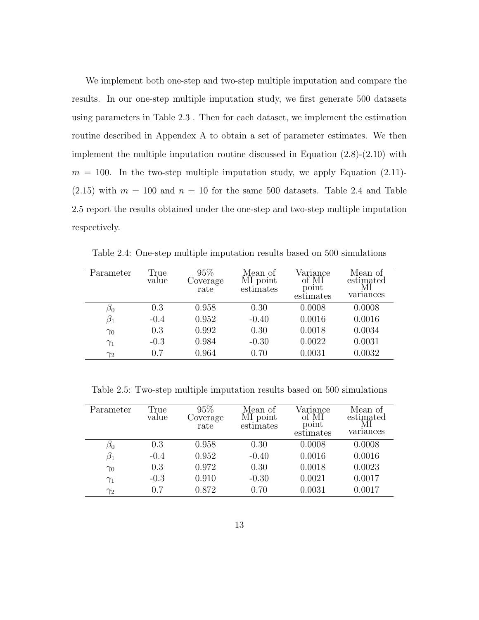We implement both one-step and two-step multiple imputation and compare the results. In our one-step multiple imputation study, we first generate 500 datasets using parameters in Table [2.3](#page-19-1) . Then for each dataset, we implement the estimation routine described in Appendex A to obtain a set of parameter estimates. We then implement the multiple imputation routine discussed in Equation [\(2.8\)](#page-20-0)-[\(2.10\)](#page-20-1) with  $m = 100$ . In the two-step multiple imputation study, we apply Equation [\(2.11\)](#page-21-1)- $(2.15)$  with  $m = 100$  and  $n = 10$  for the same 500 datasets. Table [2.4](#page-22-0) and Table [2.5](#page-22-1) report the results obtained under the one-step and two-step multiple imputation respectively.

| Parameter  | True<br>value | 95%<br>Coverage<br>rate | Mean of<br>MI point<br>estimates | Variance<br>of MI<br>poınt<br>estimates | Mean of<br>estimated<br>МΙ<br>variances |
|------------|---------------|-------------------------|----------------------------------|-----------------------------------------|-----------------------------------------|
| $\beta_0$  | 0.3           | 0.958                   | 0.30                             | 0.0008                                  | 0.0008                                  |
| $\beta_1$  | $-0.4$        | 0.952                   | $-0.40$                          | 0.0016                                  | 0.0016                                  |
| $\gamma_0$ | 0.3           | 0.992                   | 0.30                             | 0.0018                                  | 0.0034                                  |
| $\gamma_1$ | $-0.3$        | 0.984                   | $-0.30$                          | 0.0022                                  | 0.0031                                  |
| $\gamma_2$ | 0.7           | 0.964                   | 0.70                             | 0.0031                                  | 0.0032                                  |

<span id="page-22-0"></span>Table 2.4: One-step multiple imputation results based on 500 simulations

<span id="page-22-1"></span>Table 2.5: Two-step multiple imputation results based on 500 simulations

| Parameter       | True<br>value | 95%<br>Coverage<br>rate | Mean of<br>MI point<br>estimates | Variance<br>of MI<br>point<br>estimates | Mean of<br>estimated<br>variances |
|-----------------|---------------|-------------------------|----------------------------------|-----------------------------------------|-----------------------------------|
| $\varnothing_0$ | 0.3           | 0.958                   | 0.30                             | 0.0008                                  | 0.0008                            |
| $\beta_1$       | $-0.4$        | 0.952                   | $-0.40$                          | 0.0016                                  | 0.0016                            |
| $\gamma_0$      | 0.3           | 0.972                   | 0.30                             | 0.0018                                  | 0.0023                            |
| $\gamma_1$      | $-0.3$        | 0.910                   | $-0.30$                          | 0.0021                                  | 0.0017                            |
| $\gamma_2$      | 0.7           | 0.872                   | 0.70                             | 0.0031                                  | 0.0017                            |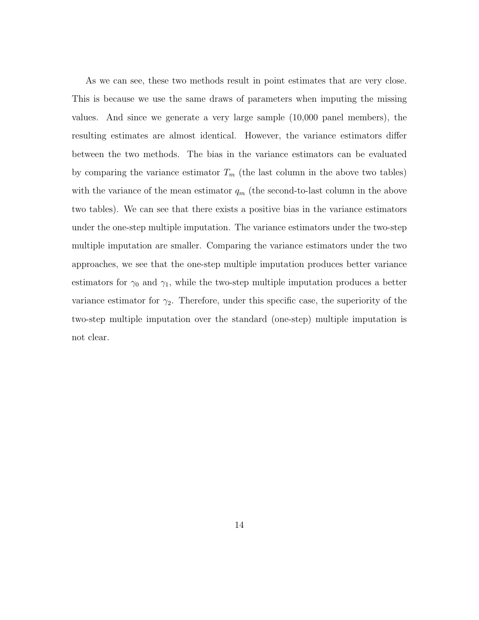As we can see, these two methods result in point estimates that are very close. This is because we use the same draws of parameters when imputing the missing values. And since we generate a very large sample (10,000 panel members), the resulting estimates are almost identical. However, the variance estimators differ between the two methods. The bias in the variance estimators can be evaluated by comparing the variance estimator  $T_m$  (the last column in the above two tables) with the variance of the mean estimator  $q_m$  (the second-to-last column in the above two tables). We can see that there exists a positive bias in the variance estimators under the one-step multiple imputation. The variance estimators under the two-step multiple imputation are smaller. Comparing the variance estimators under the two approaches, we see that the one-step multiple imputation produces better variance estimators for  $\gamma_0$  and  $\gamma_1$ , while the two-step multiple imputation produces a better variance estimator for  $\gamma_2$ . Therefore, under this specific case, the superiority of the two-step multiple imputation over the standard (one-step) multiple imputation is not clear.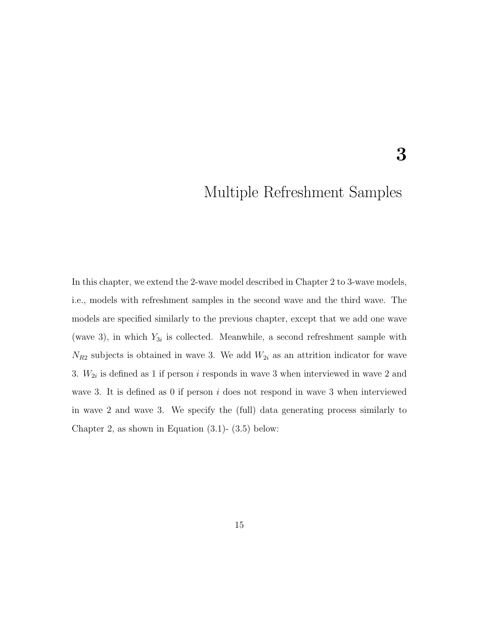### <span id="page-24-0"></span>Multiple Refreshment Samples

3

In this chapter, we extend the 2-wave model described in Chapter [2](#page-14-0) to 3-wave models, i.e., models with refreshment samples in the second wave and the third wave. The models are specified similarly to the previous chapter, except that we add one wave (wave 3), in which  $Y_{3i}$  is collected. Meanwhile, a second refreshment sample with  $N_{R2}$  subjects is obtained in wave 3. We add  $W_{2i}$  as an attrition indicator for wave 3.  $W_{2i}$  is defined as 1 if person *i* responds in wave 3 when interviewed in wave 2 and wave 3. It is defined as 0 if person  $i$  does not respond in wave 3 when interviewed in wave 2 and wave 3. We specify the (full) data generating process similarly to Chapter [2,](#page-14-0) as shown in Equation  $(3.1)$ -  $(3.5)$  below: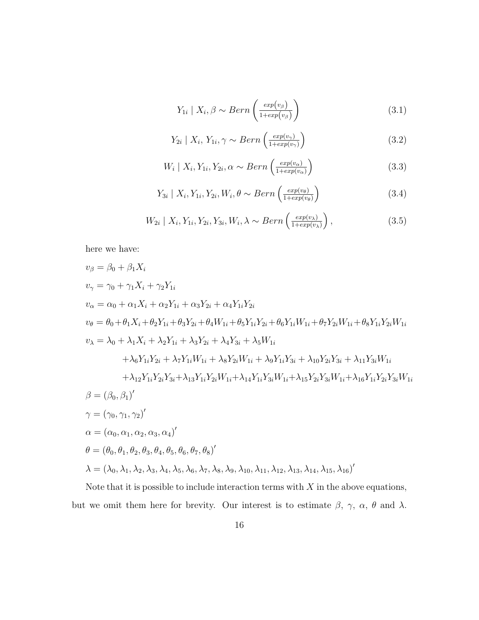$$
Y_{1i} \mid X_i, \beta \sim Bern\left(\frac{exp(v_{\beta})}{1+exp(v_{\beta})}\right) \tag{3.1}
$$

<span id="page-25-0"></span>
$$
Y_{2i} \mid X_i, Y_{1i}, \gamma \sim Bern\left(\frac{exp(v_{\gamma})}{1 + exp(v_{\gamma})}\right) \tag{3.2}
$$

$$
W_i \mid X_i, Y_{1i}, Y_{2i}, \alpha \sim Bern\left(\frac{exp(v_{\alpha})}{1+exp(v_{\alpha})}\right)
$$
\n(3.3)

$$
Y_{3i} \mid X_i, Y_{1i}, Y_{2i}, W_i, \theta \sim Bern\left(\frac{exp(v_{\theta})}{1+exp(v_{\theta})}\right) \tag{3.4}
$$

$$
W_{2i} \mid X_i, Y_{1i}, Y_{2i}, Y_{3i}, W_i, \lambda \sim Bern\left(\frac{exp(v_\lambda)}{1+exp(v_\lambda)}\right),\tag{3.5}
$$

here we have:

$$
v_{\beta} = \beta_{0} + \beta_{1}X_{i}
$$
  
\n
$$
v_{\gamma} = \gamma_{0} + \gamma_{1}X_{i} + \gamma_{2}Y_{1i}
$$
  
\n
$$
v_{\alpha} = \alpha_{0} + \alpha_{1}X_{i} + \alpha_{2}Y_{1i} + \alpha_{3}Y_{2i} + \alpha_{4}Y_{1i}Y_{2i}
$$
  
\n
$$
v_{\theta} = \theta_{0} + \theta_{1}X_{i} + \theta_{2}Y_{1i} + \theta_{3}Y_{2i} + \theta_{4}W_{1i} + \theta_{5}Y_{1i}Y_{2i} + \theta_{6}Y_{1i}W_{1i} + \theta_{7}Y_{2i}W_{1i} + \theta_{8}Y_{1i}Y_{2i}W_{1i}
$$
  
\n
$$
v_{\lambda} = \lambda_{0} + \lambda_{1}X_{i} + \lambda_{2}Y_{1i} + \lambda_{3}Y_{2i} + \lambda_{4}Y_{3i} + \lambda_{5}W_{1i}
$$
  
\n
$$
+ \lambda_{6}Y_{1i}Y_{2i} + \lambda_{7}Y_{1i}W_{1i} + \lambda_{8}Y_{2i}W_{1i} + \lambda_{9}Y_{1i}Y_{3i} + \lambda_{10}Y_{2i}Y_{3i} + \lambda_{11}Y_{3i}W_{1i}
$$
  
\n
$$
+ \lambda_{12}Y_{1i}Y_{2i}Y_{3i} + \lambda_{13}Y_{1i}Y_{2i}W_{1i} + \lambda_{14}Y_{1i}Y_{3i}W_{1i} + \lambda_{15}Y_{2i}Y_{3i}W_{1i} + \lambda_{16}Y_{1i}Y_{2i}Y_{3i}W_{1i}
$$
  
\n
$$
\beta = (\beta_{0}, \beta_{1})'
$$
  
\n
$$
\gamma = (\gamma_{0}, \gamma_{1}, \gamma_{2})'
$$
  
\n
$$
\alpha = (\alpha_{0}, \alpha_{1}, \alpha_{2}, \alpha_{3}, \alpha_{4})'
$$
  
\n
$$
\theta = (\theta_{0}, \theta_{1}, \theta_{2}, \theta_{3}, \theta_{4}, \theta_{5}, \theta_{6}, \theta_{7}, \theta_{8})'
$$
  
\n
$$
\lambda = (\lambda_{0}, \lambda_{1}, \lambda_{2}, \
$$

Note that it is possible to include interaction terms with  $X$  in the above equations, but we omit them here for brevity. Our interest is to estimate  $\beta$ ,  $\gamma$ ,  $\alpha$ ,  $\theta$  and  $\lambda$ .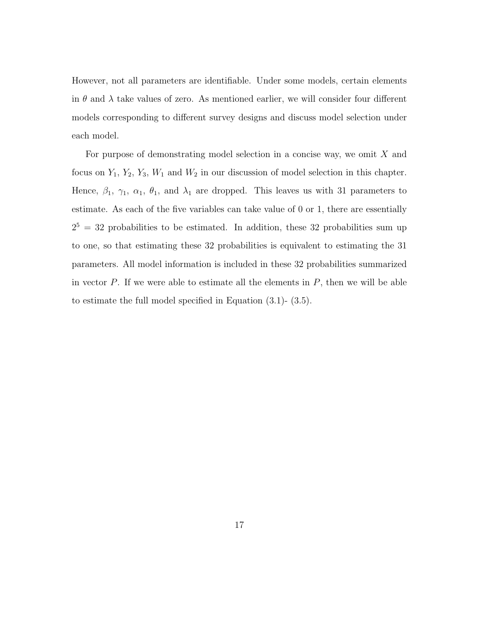However, not all parameters are identifiable. Under some models, certain elements in  $\theta$  and  $\lambda$  take values of zero. As mentioned earlier, we will consider four different models corresponding to different survey designs and discuss model selection under each model.

For purpose of demonstrating model selection in a concise way, we omit X and focus on  $Y_1$ ,  $Y_2$ ,  $Y_3$ ,  $W_1$  and  $W_2$  in our discussion of model selection in this chapter. Hence,  $\beta_1$ ,  $\gamma_1$ ,  $\alpha_1$ ,  $\theta_1$ , and  $\lambda_1$  are dropped. This leaves us with 31 parameters to estimate. As each of the five variables can take value of 0 or 1, there are essentially  $2^5 = 32$  probabilities to be estimated. In addition, these 32 probabilities sum up to one, so that estimating these 32 probabilities is equivalent to estimating the 31 parameters. All model information is included in these 32 probabilities summarized in vector  $P$ . If we were able to estimate all the elements in  $P$ , then we will be able to estimate the full model specified in Equation [\(3.1\)](#page-25-0)- [\(3.5\)](#page-25-0).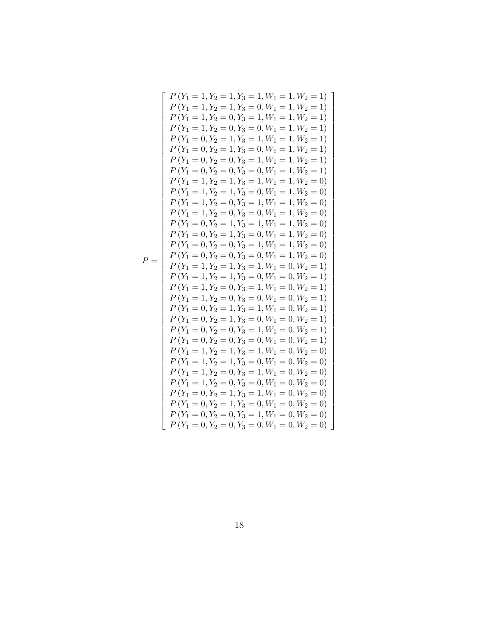| $P(Y_1 = 1, Y_2 = 1, Y_3 = 1, W_1 = 1, W_2 = 1)$ |
|--------------------------------------------------|
| $P(Y_1 = 1, Y_2 = 1, Y_3 = 0, W_1 = 1, W_2 = 1)$ |
| $P(Y_1 = 1, Y_2 = 0, Y_3 = 1, W_1 = 1, W_2 = 1)$ |
|                                                  |
| $P(Y_1 = 1, Y_2 = 0, Y_3 = 0, W_1 = 1, W_2 = 1)$ |
| $P(Y_1 = 0, Y_2 = 1, Y_3 = 1, W_1 = 1, W_2 = 1)$ |
| $P(Y_1 = 0, Y_2 = 1, Y_3 = 0, W_1 = 1, W_2 = 1)$ |
| $P(Y_1 = 0, Y_2 = 0, Y_3 = 1, W_1 = 1, W_2 = 1)$ |
| $P(Y_1 = 0, Y_2 = 0, Y_3 = 0, W_1 = 1, W_2 = 1)$ |
| $P(Y_1 = 1, Y_2 = 1, Y_3 = 1, W_1 = 1, W_2 = 0)$ |
| $P(Y_1 = 1, Y_2 = 1, Y_3 = 0, W_1 = 1, W_2 = 0)$ |
| $P(Y_1 = 1, Y_2 = 0, Y_3 = 1, W_1 = 1, W_2 = 0)$ |
| $P(Y_1 = 1, Y_2 = 0, Y_3 = 0, W_1 = 1, W_2 = 0)$ |
| $P(Y_1 = 0, Y_2 = 1, Y_3 = 1, W_1 = 1, W_2 = 0)$ |
| $P(Y_1 = 0, Y_2 = 1, Y_3 = 0, W_1 = 1, W_2 = 0)$ |
| $P(Y_1 = 0, Y_2 = 0, Y_3 = 1, W_1 = 1, W_2 = 0)$ |
|                                                  |
| $P(Y_1 = 0, Y_2 = 0, Y_3 = 0, W_1 = 1, W_2 = 0)$ |
| $P(Y_1 = 1, Y_2 = 1, Y_3 = 1, W_1 = 0, W_2 = 1)$ |
| $P(Y_1 = 1, Y_2 = 1, Y_3 = 0, W_1 = 0, W_2 = 1)$ |
| $P(Y_1 = 1, Y_2 = 0, Y_3 = 1, W_1 = 0, W_2 = 1)$ |
| $P(Y_1 = 1, Y_2 = 0, Y_3 = 0, W_1 = 0, W_2 = 1)$ |
| $P(Y_1 = 0, Y_2 = 1, Y_3 = 1, W_1 = 0, W_2 = 1)$ |
| $P(Y_1 = 0, Y_2 = 1, Y_3 = 0, W_1 = 0, W_2 = 1)$ |
| $P(Y_1 = 0, Y_2 = 0, Y_3 = 1, W_1 = 0, W_2 = 1)$ |
| $P(Y_1 = 0, Y_2 = 0, Y_3 = 0, W_1 = 0, W_2 = 1)$ |
| $P(Y_1 = 1, Y_2 = 1, Y_3 = 1, W_1 = 0, W_2 = 0)$ |
| $P(Y_1 = 1, Y_2 = 1, Y_3 = 0, W_1 = 0, W_2 = 0)$ |
| $P(Y_1 = 1, Y_2 = 0, Y_3 = 1, W_1 = 0, W_2 = 0)$ |
| $P(Y_1 = 1, Y_2 = 0, Y_3 = 0, W_1 = 0, W_2 = 0)$ |
|                                                  |
| $P(Y_1 = 0, Y_2 = 1, Y_3 = 1, W_1 = 0, W_2 = 0)$ |
| $P(Y_1 = 0, Y_2 = 1, Y_3 = 0, W_1 = 0, W_2 = 0)$ |
| $P(Y_1 = 0, Y_2 = 0, Y_3 = 1, W_1 = 0, W_2 = 0)$ |
| $P(Y_1 = 0, Y_2 = 0, Y_3 = 0, W_1 = 0, W_2 = 0)$ |

$$
P =
$$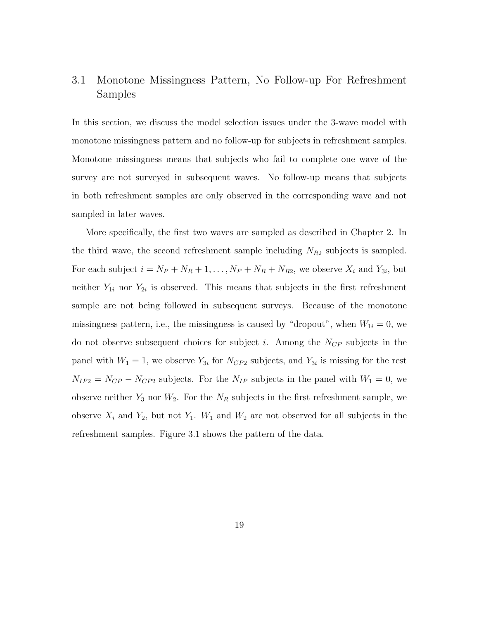#### <span id="page-28-0"></span>3.1 Monotone Missingness Pattern, No Follow-up For Refreshment Samples

In this section, we discuss the model selection issues under the 3-wave model with monotone missingness pattern and no follow-up for subjects in refreshment samples. Monotone missingness means that subjects who fail to complete one wave of the survey are not surveyed in subsequent waves. No follow-up means that subjects in both refreshment samples are only observed in the corresponding wave and not sampled in later waves.

More specifically, the first two waves are sampled as described in Chapter [2.](#page-14-0) In the third wave, the second refreshment sample including  $N_{R2}$  subjects is sampled. For each subject  $i = N_P + N_R + 1, \ldots, N_P + N_R + N_{R2}$ , we observe  $X_i$  and  $Y_{3i}$ , but neither  $Y_{1i}$  nor  $Y_{2i}$  is observed. This means that subjects in the first refreshment sample are not being followed in subsequent surveys. Because of the monotone missingness pattern, i.e., the missingness is caused by "dropout", when  $W_{1i} = 0$ , we do not observe subsequent choices for subject i. Among the  $N_{CP}$  subjects in the panel with  $W_1 = 1$ , we observe  $Y_{3i}$  for  $N_{CP2}$  subjects, and  $Y_{3i}$  is missing for the rest  $N_{IP2} = N_{CP} - N_{CP2}$  subjects. For the  $N_{IP}$  subjects in the panel with  $W_1 = 0$ , we observe neither  $Y_3$  nor  $W_2$ . For the  $N_R$  subjects in the first refreshment sample, we observe  $X_i$  and  $Y_2$ , but not  $Y_1$ .  $W_1$  and  $W_2$  are not observed for all subjects in the refreshment samples. Figure [3.1](#page-29-0) shows the pattern of the data.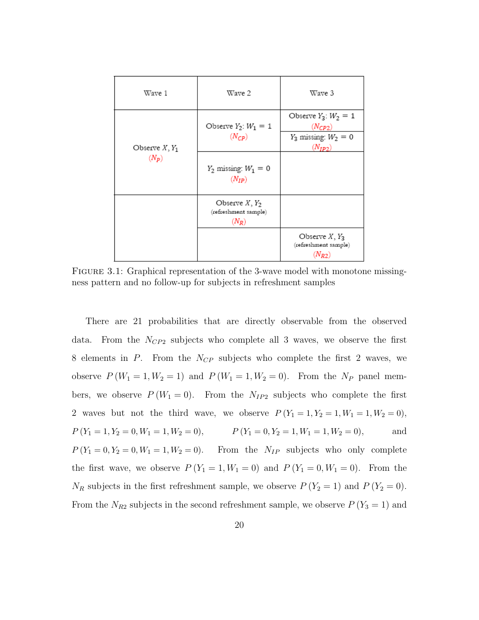| Wave 1                      | Wave 2                                              | Wave 3                                                                              |
|-----------------------------|-----------------------------------------------------|-------------------------------------------------------------------------------------|
| Observe $X, Y_1$<br>$(N_P)$ | Observe $Y_2$ : $W_1 = 1$<br>$(N_{CP})$             | Observe $Y_3$ : $W_2 = 1$<br>$(N_{CP2})$<br>$Y_3$ missing: $W_2 = 0$<br>$(N_{IP2})$ |
|                             | $Y_2$ missing: $W_1 = 0$<br>$(N_{IP})$              |                                                                                     |
|                             | Observe $X, Y_2$<br>(refreshment sample)<br>$(N_R)$ |                                                                                     |
|                             |                                                     | Observe $X, Y_3$<br>(refreshment sample)<br>$(N_{R2})$                              |

<span id="page-29-0"></span>FIGURE 3.1: Graphical representation of the 3-wave model with monotone missingness pattern and no follow-up for subjects in refreshment samples

There are 21 probabilities that are directly observable from the observed data. From the  $N_{CP2}$  subjects who complete all 3 waves, we observe the first 8 elements in  $P$ . From the  $N_{CP}$  subjects who complete the first 2 waves, we observe  $P(W_1 = 1, W_2 = 1)$  and  $P(W_1 = 1, W_2 = 0)$ . From the  $N_P$  panel members, we observe  $P(W_1 = 0)$ . From the  $N_{IP2}$  subjects who complete the first 2 waves but not the third wave, we observe  $P(Y_1 = 1, Y_2 = 1, W_1 = 1, W_2 = 0)$ ,  $P(Y_1 = 1, Y_2 = 0, W_1 = 1, W_2 = 0),$   $P(Y_1 = 0, Y_2 = 1, W_1 = 1, W_2 = 0),$  and  $P(Y_1 = 0, Y_2 = 0, W_1 = 1, W_2 = 0)$ . From the  $N_{IP}$  subjects who only complete the first wave, we observe  $P(Y_1 = 1, W_1 = 0)$  and  $P(Y_1 = 0, W_1 = 0)$ . From the  $N_R$  subjects in the first refreshment sample, we observe  $P(Y_2 = 1)$  and  $P(Y_2 = 0)$ . From the  $N_{R2}$  subjects in the second refreshment sample, we observe  $P(Y_3 = 1)$  and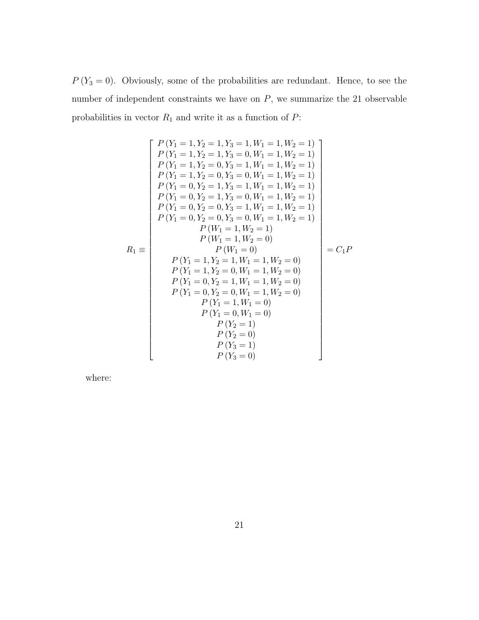$P(Y_3 = 0)$ . Obviously, some of the probabilities are redundant. Hence, to see the number of independent constraints we have on  $P$ , we summarize the 21 observable probabilities in vector  $\mathcal{R}_1$  and write it as a function of  $\mathcal{P} \colon$ 

$$
P(Y_1 = 1, Y_2 = 1, W_1 = 1, W_2 = 1)
$$
\n
$$
P(Y_1 = 1, Y_2 = 1, Y_3 = 0, W_1 = 1, W_2 = 1)
$$
\n
$$
P(Y_1 = 1, Y_2 = 0, Y_3 = 1, W_1 = 1, W_2 = 1)
$$
\n
$$
P(Y_1 = 1, Y_2 = 0, Y_3 = 0, W_1 = 1, W_2 = 1)
$$
\n
$$
P(Y_1 = 0, Y_2 = 1, Y_3 = 1, W_1 = 1, W_2 = 1)
$$
\n
$$
P(Y_1 = 0, Y_2 = 1, Y_3 = 0, W_1 = 1, W_2 = 1)
$$
\n
$$
P(Y_1 = 0, Y_2 = 0, Y_3 = 1, W_1 = 1, W_2 = 1)
$$
\n
$$
P(Y_1 = 0, Y_2 = 0, Y_3 = 0, W_1 = 1, W_2 = 1)
$$
\n
$$
P(W_1 = 1, W_2 = 1)
$$
\n
$$
P(W_1 = 1, W_2 = 0)
$$
\n
$$
P(W_1 = 1, W_2 = 0)
$$
\n
$$
P(Y_1 = 1, Y_2 = 1, W_1 = 1, W_2 = 0)
$$
\n
$$
P(Y_1 = 1, Y_2 = 0, W_1 = 1, W_2 = 0)
$$
\n
$$
P(Y_1 = 0, Y_2 = 1, W_1 = 1, W_2 = 0)
$$
\n
$$
P(Y_1 = 0, Y_2 = 0, W_1 = 1, W_2 = 0)
$$
\n
$$
P(Y_1 = 1, W_1 = 0)
$$
\n
$$
P(Y_1 = 1, W_1 = 0)
$$
\n
$$
P(Y_2 = 1)
$$
\n
$$
P(Y_2 = 1)
$$
\n
$$
P(Y_3 = 1)
$$
\n
$$
P(Y_3 = 1)
$$

where: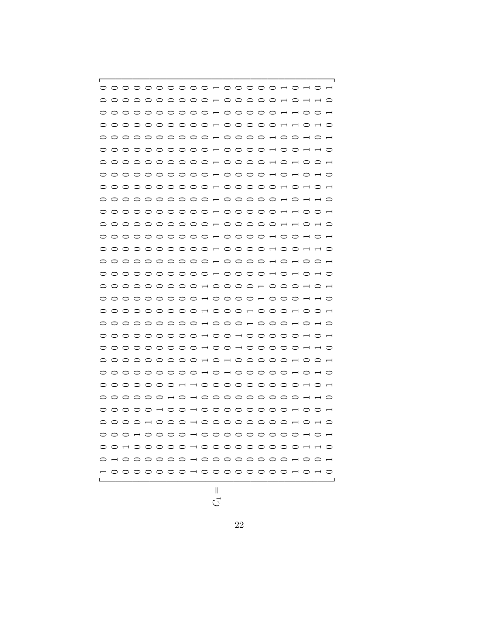$$
\bar{z}^{\prime}
$$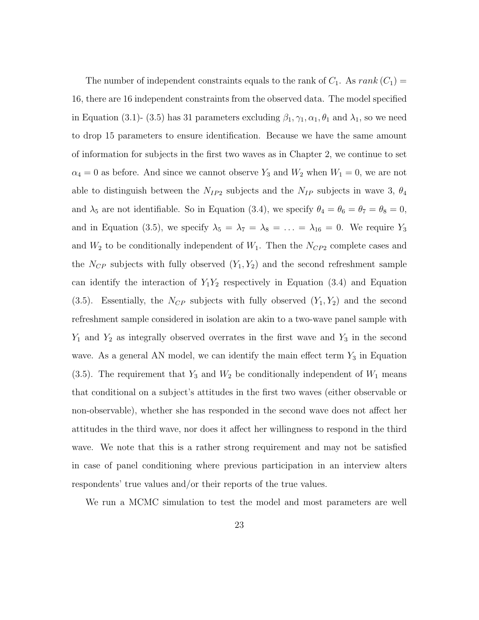The number of independent constraints equals to the rank of  $C_1$ . As  $rank(C_1)$  = 16, there are 16 independent constraints from the observed data. The model specified in Equation [\(3.1\)](#page-25-0)- [\(3.5\)](#page-25-0) has 31 parameters excluding  $\beta_1, \gamma_1, \alpha_1, \theta_1$  and  $\lambda_1$ , so we need to drop 15 parameters to ensure identification. Because we have the same amount of information for subjects in the first two waves as in Chapter [2,](#page-14-0) we continue to set  $\alpha_4 = 0$  as before. And since we cannot observe  $Y_3$  and  $W_2$  when  $W_1 = 0$ , we are not able to distinguish between the  $N_{IP2}$  subjects and the  $N_{IP}$  subjects in wave 3,  $\theta_4$ and  $\lambda_5$  are not identifiable. So in Equation [\(3.4\)](#page-25-0), we specify  $\theta_4 = \theta_6 = \theta_7 = \theta_8 = 0$ , and in Equation [\(3.5\)](#page-25-0), we specify  $\lambda_5 = \lambda_7 = \lambda_8 = \ldots = \lambda_{16} = 0$ . We require  $Y_3$ and  $W_2$  to be conditionally independent of  $W_1$ . Then the  $N_{CP2}$  complete cases and the  $N_{CP}$  subjects with fully observed  $(Y_1, Y_2)$  and the second refreshment sample can identify the interaction of  $Y_1Y_2$  respectively in Equation [\(3.4\)](#page-25-0) and Equation  $(3.5)$ . Essentially, the  $N_{CP}$  subjects with fully observed  $(Y_1, Y_2)$  and the second refreshment sample considered in isolation are akin to a two-wave panel sample with  $Y_1$  and  $Y_2$  as integrally observed overrates in the first wave and  $Y_3$  in the second wave. As a general AN model, we can identify the main effect term  $Y_3$  in Equation [\(3.5\)](#page-25-0). The requirement that  $Y_3$  and  $W_2$  be conditionally independent of  $W_1$  means that conditional on a subject's attitudes in the first two waves (either observable or non-observable), whether she has responded in the second wave does not affect her attitudes in the third wave, nor does it affect her willingness to respond in the third wave. We note that this is a rather strong requirement and may not be satisfied in case of panel conditioning where previous participation in an interview alters respondents' true values and/or their reports of the true values.

We run a MCMC simulation to test the model and most parameters are well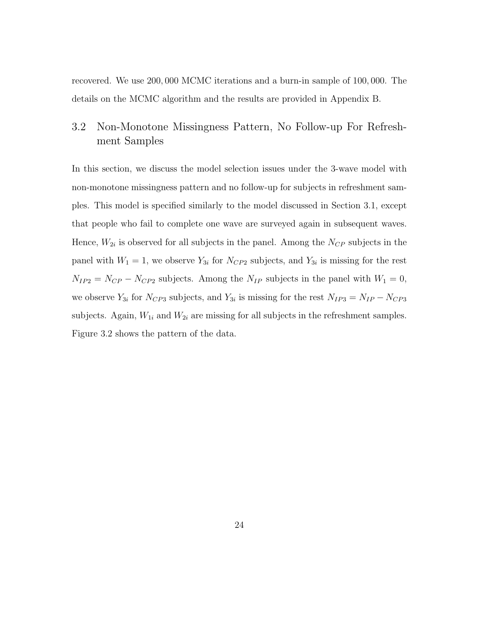recovered. We use 200, 000 MCMC iterations and a burn-in sample of 100, 000. The details on the MCMC algorithm and the results are provided in Appendix B.

#### <span id="page-33-0"></span>3.2 Non-Monotone Missingness Pattern, No Follow-up For Refreshment Samples

In this section, we discuss the model selection issues under the 3-wave model with non-monotone missingness pattern and no follow-up for subjects in refreshment samples. This model is specified similarly to the model discussed in Section [3.1,](#page-28-0) except that people who fail to complete one wave are surveyed again in subsequent waves. Hence,  $W_{2i}$  is observed for all subjects in the panel. Among the  $N_{CP}$  subjects in the panel with  $W_1 = 1$ , we observe  $Y_{3i}$  for  $N_{CP2}$  subjects, and  $Y_{3i}$  is missing for the rest  $N_{IP2} = N_{CP} - N_{CP2}$  subjects. Among the  $N_{IP}$  subjects in the panel with  $W_1 = 0$ , we observe  $Y_{3i}$  for  $N_{CP3}$  subjects, and  $Y_{3i}$  is missing for the rest  $N_{IP3} = N_{IP} - N_{CP3}$ subjects. Again,  $W_{1i}$  and  $W_{2i}$  are missing for all subjects in the refreshment samples. Figure [3.2](#page-34-0) shows the pattern of the data.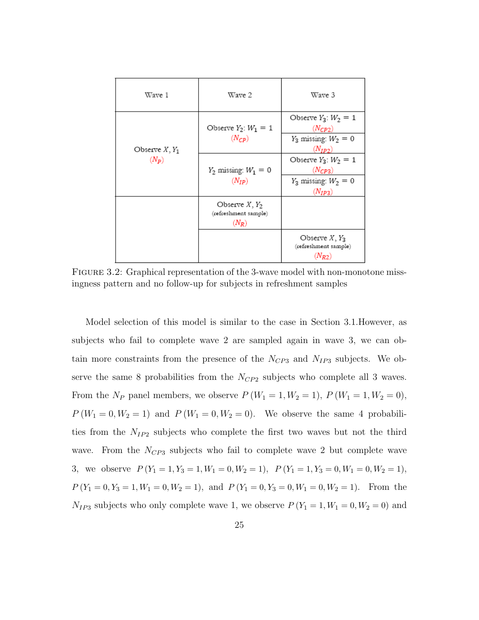| Wave 1                      | Wave 2                                              | Wave 3                                                 |
|-----------------------------|-----------------------------------------------------|--------------------------------------------------------|
| Observe $X, Y_1$<br>$(N_P)$ | Observe $Y_2$ : $W_1 = 1$<br>$(N_{CP})$             | Observe $Y_3$ : $W_2 = 1$<br>$(N_{CP2})$               |
|                             |                                                     | $Y_3$ missing: $W_2 = 0$<br>$(N_{ID2})$                |
|                             | $Y_2$ missing: $W_1 = 0$<br>$(N_{IP})$              | Observe $Y_3$ : $W_2 = 1$<br>$(N_{CP3})$               |
|                             |                                                     | $Y_3$ missing: $W_2 = 0$<br>$(N_{IP3})$                |
|                             | Observe $X, Y_2$<br>(refreshment sample)<br>$(N_R)$ |                                                        |
|                             |                                                     | Observe $X, Y_3$<br>(refreshment sample)<br>$(N_{R2})$ |

<span id="page-34-0"></span>Figure 3.2: Graphical representation of the 3-wave model with non-monotone missingness pattern and no follow-up for subjects in refreshment samples

Model selection of this model is similar to the case in Section [3.1.](#page-28-0)However, as subjects who fail to complete wave 2 are sampled again in wave 3, we can obtain more constraints from the presence of the  $N_{CP3}$  and  $N_{IP3}$  subjects. We observe the same 8 probabilities from the  $N_{CP2}$  subjects who complete all 3 waves. From the  $N_P$  panel members, we observe  $P(W_1 = 1, W_2 = 1), P(W_1 = 1, W_2 = 0),$  $P(W_1 = 0, W_2 = 1)$  and  $P(W_1 = 0, W_2 = 0)$ . We observe the same 4 probabilities from the  $N_{IP2}$  subjects who complete the first two waves but not the third wave. From the  $N_{CP3}$  subjects who fail to complete wave 2 but complete wave 3, we observe  $P(Y_1 = 1, Y_3 = 1, W_1 = 0, W_2 = 1), P(Y_1 = 1, Y_3 = 0, W_1 = 0, W_2 = 1),$  $P(Y_1 = 0, Y_3 = 1, W_1 = 0, W_2 = 1)$ , and  $P(Y_1 = 0, Y_3 = 0, W_1 = 0, W_2 = 1)$ . From the  $N_{IP3}$  subjects who only complete wave 1, we observe  $P(Y_1 = 1, W_1 = 0, W_2 = 0)$  and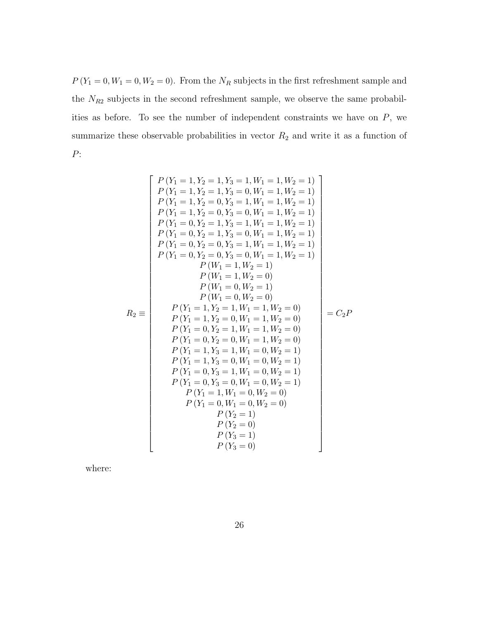$P(Y_1 = 0, W_1 = 0, W_2 = 0)$ . From the  $N_R$  subjects in the first refreshment sample and the  $N_{R2}$  subjects in the second refreshment sample, we observe the same probabilities as before. To see the number of independent constraints we have on  $P$ , we summarize these observable probabilities in vector  $R_2$  and write it as a function of P:

$$
P(Y_1 = 1, Y_2 = 1, W_1 = 1, W_2 = 0)
$$
  
\n
$$
P(Y_1 = 1, Y_2 = 1, Y_3 = 0, W_1 = 1, W_2 = 1)
$$
  
\n
$$
P(Y_1 = 1, Y_2 = 0, Y_3 = 1, W_1 = 1, W_2 = 1)
$$
  
\n
$$
P(Y_1 = 1, Y_2 = 0, Y_3 = 0, W_1 = 1, W_2 = 1)
$$
  
\n
$$
P(Y_1 = 0, Y_2 = 1, Y_3 = 1, W_1 = 1, W_2 = 1)
$$
  
\n
$$
P(Y_1 = 0, Y_2 = 1, Y_3 = 0, W_1 = 1, W_2 = 1)
$$
  
\n
$$
P(Y_1 = 0, Y_2 = 0, Y_3 = 1, W_1 = 1, W_2 = 1)
$$
  
\n
$$
P(Y_1 = 0, Y_2 = 0, Y_3 = 0, W_1 = 1, W_2 = 1)
$$
  
\n
$$
P(W_1 = 1, W_2 = 1)
$$
  
\n
$$
P(W_1 = 1, W_2 = 0)
$$
  
\n
$$
P(W_1 = 0, W_2 = 1)
$$
  
\n
$$
P(W_1 = 0, W_2 = 1)
$$
  
\n
$$
P(Y_1 = 1, Y_2 = 1, W_1 = 1, W_2 = 0)
$$
  
\n
$$
P(Y_1 = 1, Y_2 = 0, W_1 = 1, W_2 = 0)
$$
  
\n
$$
P(Y_1 = 0, Y_2 = 1, W_1 = 1, W_2 = 0)
$$
  
\n
$$
P(Y_1 = 0, Y_2 = 0, W_1 = 1, W_2 = 0)
$$
  
\n
$$
P(Y_1 = 1, Y_3 = 0, W_1 = 0, W_2 = 1)
$$
  
\n
$$
P(Y_1 = 0, Y_3 = 1, W_1 = 0, W_2 = 1)
$$
  
\n
$$
P(Y_1 = 0, Y_3 = 0, W_1 = 0, W_2 = 1)
$$
  
\n
$$
P(Y_1 =
$$

where: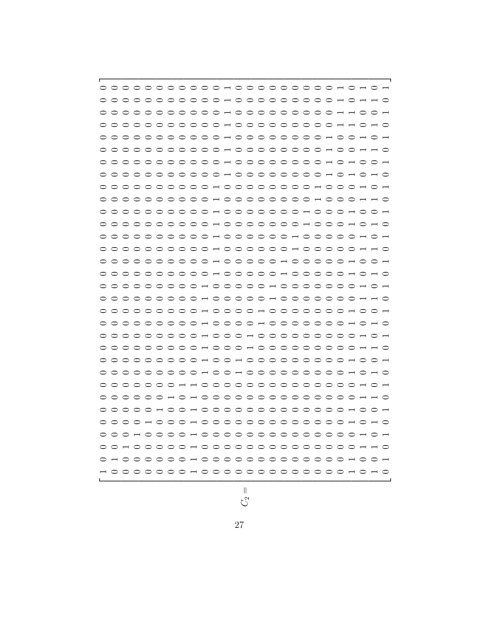$$
C_2 =
$$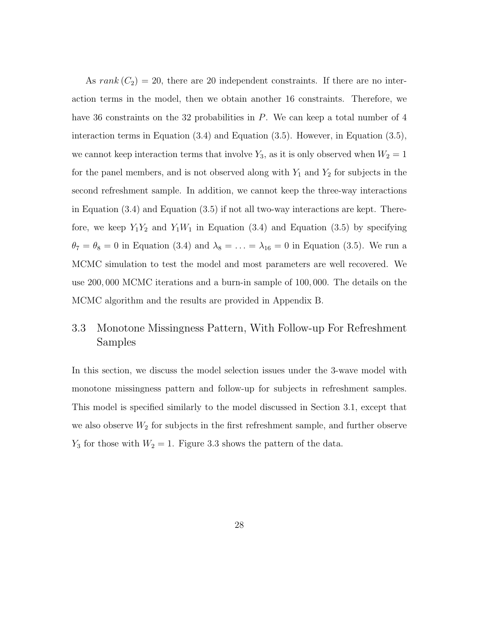As  $rank(C_2) = 20$ , there are 20 independent constraints. If there are no interaction terms in the model, then we obtain another 16 constraints. Therefore, we have 36 constraints on the 32 probabilities in P. We can keep a total number of 4 interaction terms in Equation  $(3.4)$  and Equation  $(3.5)$ . However, in Equation  $(3.5)$ , we cannot keep interaction terms that involve  $Y_3$ , as it is only observed when  $W_2 = 1$ for the panel members, and is not observed along with  $Y_1$  and  $Y_2$  for subjects in the second refreshment sample. In addition, we cannot keep the three-way interactions in Equation [\(3.4\)](#page-25-0) and Equation [\(3.5\)](#page-25-0) if not all two-way interactions are kept. Therefore, we keep  $Y_1Y_2$  and  $Y_1W_1$  in Equation [\(3.4\)](#page-25-0) and Equation [\(3.5\)](#page-25-0) by specifying  $\theta_7 = \theta_8 = 0$  in Equation [\(3.4\)](#page-25-0) and  $\lambda_8 = \ldots = \lambda_{16} = 0$  in Equation [\(3.5\)](#page-25-0). We run a MCMC simulation to test the model and most parameters are well recovered. We use 200, 000 MCMC iterations and a burn-in sample of 100, 000. The details on the MCMC algorithm and the results are provided in Appendix B.

## <span id="page-37-0"></span>3.3 Monotone Missingness Pattern, With Follow-up For Refreshment Samples

In this section, we discuss the model selection issues under the 3-wave model with monotone missingness pattern and follow-up for subjects in refreshment samples. This model is specified similarly to the model discussed in Section [3.1,](#page-28-0) except that we also observe  $W_2$  for subjects in the first refreshment sample, and further observe  $Y_3$  for those with  $W_2 = 1$ . Figure [3.3](#page-38-0) shows the pattern of the data.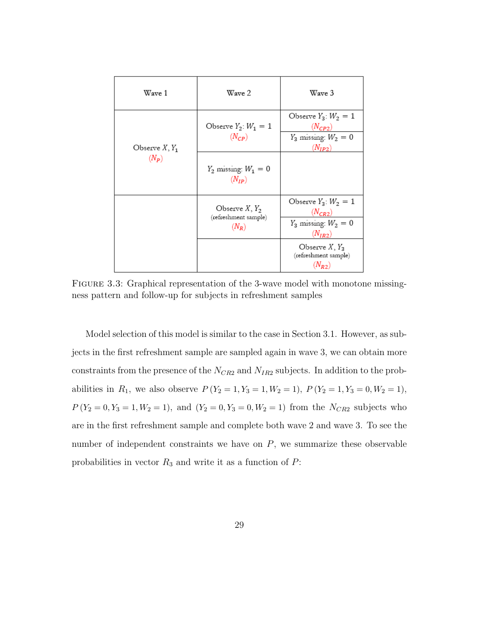| Wave 1                      | Wave 2                                              | Wave 3                                                                              |
|-----------------------------|-----------------------------------------------------|-------------------------------------------------------------------------------------|
|                             | Observe $Y_2$ : $W_1 = 1$<br>$(N_{CP})$             | Observe $Y_3$ : $W_2 = 1$<br>$(N_{CP2})$<br>$Y_3$ missing: $W_2 = 0$                |
| Observe $X, Y_1$<br>$(N_P)$ | $Y_2$ missing: $W_1 = 0$<br>$(N_{IP})$              | $(N_{IP2})$                                                                         |
|                             | Observe $X, Y_2$<br>(refreshment sample)<br>$(N_R)$ | Observe $Y_3$ : $W_2 = 1$<br>$(N_{CR2})$<br>$Y_3$ missing: $W_2 = 0$<br>$(N_{IR2})$ |
|                             |                                                     | Observe $X, Y_3$<br>(refreshment sample)<br>$(N_{R2})$                              |

<span id="page-38-0"></span>FIGURE 3.3: Graphical representation of the 3-wave model with monotone missingness pattern and follow-up for subjects in refreshment samples

Model selection of this model is similar to the case in Section [3.1.](#page-28-0) However, as subjects in the first refreshment sample are sampled again in wave 3, we can obtain more constraints from the presence of the  $N_{CR2}$  and  $N_{IR2}$  subjects. In addition to the probabilities in  $R_1$ , we also observe  $P(Y_2 = 1, Y_3 = 1, W_2 = 1), P(Y_2 = 1, Y_3 = 0, W_2 = 1),$  $P(Y_2 = 0, Y_3 = 1, W_2 = 1)$ , and  $(Y_2 = 0, Y_3 = 0, W_2 = 1)$  from the  $N_{CR2}$  subjects who are in the first refreshment sample and complete both wave 2 and wave 3. To see the number of independent constraints we have on  $P$ , we summarize these observable probabilities in vector  $R_3$  and write it as a function of  $P$ :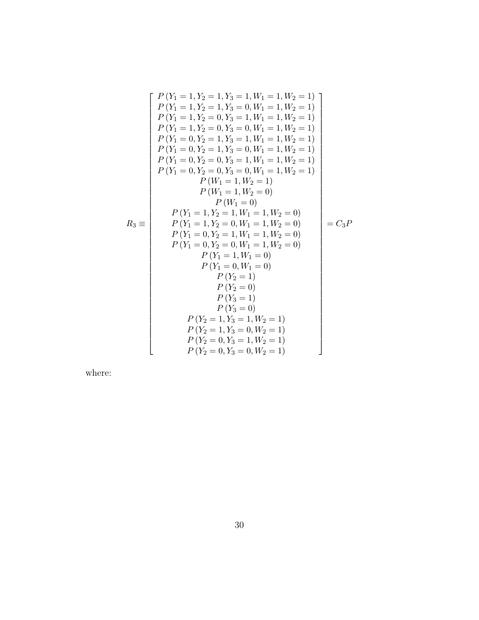$$
P(Y_1 = 1, Y_2 = 1, W_1 = 1, W_2 = 1)
$$
\n
$$
P(Y_1 = 1, Y_2 = 1, Y_3 = 0, W_1 = 1, W_2 = 1)
$$
\n
$$
P(Y_1 = 1, Y_2 = 0, Y_3 = 1, W_1 = 1, W_2 = 1)
$$
\n
$$
P(Y_1 = 1, Y_2 = 0, Y_3 = 0, W_1 = 1, W_2 = 1)
$$
\n
$$
P(Y_1 = 0, Y_2 = 1, Y_3 = 1, W_1 = 1, W_2 = 1)
$$
\n
$$
P(Y_1 = 0, Y_2 = 1, Y_3 = 0, W_1 = 1, W_2 = 1)
$$
\n
$$
P(Y_1 = 0, Y_2 = 0, Y_3 = 1, W_1 = 1, W_2 = 1)
$$
\n
$$
P(W_1 = 1, W_2 = 1)
$$
\n
$$
P(W_1 = 1, W_2 = 1)
$$
\n
$$
P(W_1 = 1, W_2 = 0)
$$
\n
$$
P(W_1 = 1, W_2 = 0)
$$
\n
$$
P(Y_1 = 1, Y_2 = 1, W_1 = 1, W_2 = 0)
$$
\n
$$
P(Y_1 = 1, Y_2 = 0, W_1 = 1, W_2 = 0)
$$
\n
$$
P(Y_1 = 0, Y_2 = 1, W_1 = 1, W_2 = 0)
$$
\n
$$
P(Y_1 = 0, Y_2 = 0, W_1 = 1, W_2 = 0)
$$
\n
$$
P(Y_1 = 0, Y_1 = 0)
$$
\n
$$
P(Y_1 = 0, W_1 = 0)
$$
\n
$$
P(Y_2 = 1)
$$
\n
$$
P(Y_2 = 1)
$$
\n
$$
P(Y_2 = 0)
$$
\n
$$
P(Y_3 = 1)
$$
\n
$$
P(Y_2 = 1, Y_3 = 1, W_2 = 1)
$$
\n
$$
P(Y_2 = 0, Y_3 = 1, W_2 = 1)
$$
\n
$$
P(Y_2 = 0, Y_3 = 1, W_2 = 1)
$$
\n

where: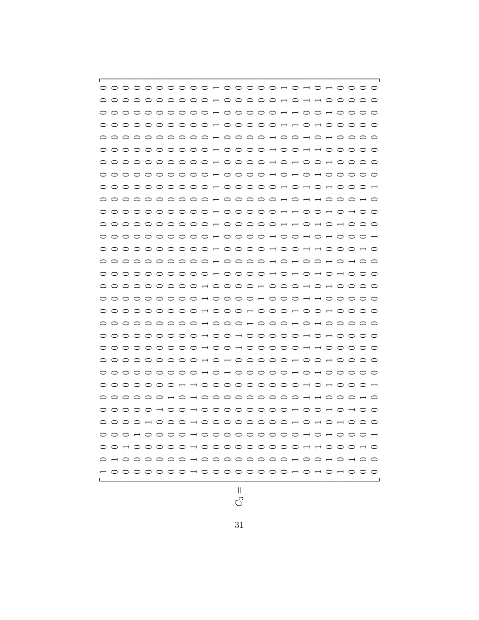|                 |         |         |  |  |  |  |  |  |  |                                                   |  |  | $\circ$ $\circ$ |  |
|-----------------|---------|---------|--|--|--|--|--|--|--|---------------------------------------------------|--|--|-----------------|--|
| $\circ$         |         |         |  |  |  |  |  |  |  | OOOOOOOOOH OOOOOH OH H OOO                        |  |  |                 |  |
|                 | $\circ$ |         |  |  |  |  |  |  |  |                                                   |  |  | ⌒               |  |
|                 |         |         |  |  |  |  |  |  |  |                                                   |  |  |                 |  |
|                 |         |         |  |  |  |  |  |  |  |                                                   |  |  |                 |  |
| $\circ$         |         |         |  |  |  |  |  |  |  |                                                   |  |  |                 |  |
|                 | $\circ$ |         |  |  |  |  |  |  |  | OOOOOOOOOH OOOOH OH OOH OOOO                      |  |  |                 |  |
|                 | ⌒       |         |  |  |  |  |  |  |  | OOOOOOOOOHOOOOHOHOHOOOOO                          |  |  |                 |  |
| $\circ$ $\circ$ |         |         |  |  |  |  |  |  |  | OOOOOOOOOH OOOOOH OH OH OOOH                      |  |  |                 |  |
| $\circ$ $\circ$ |         |         |  |  |  |  |  |  |  |                                                   |  |  |                 |  |
|                 | $\circ$ |         |  |  |  |  |  |  |  | OOOOOOOOOH OOOOOH H OOH OH OO                     |  |  |                 |  |
|                 |         |         |  |  |  |  |  |  |  |                                                   |  |  |                 |  |
| ⊂               | $\circ$ | $\circ$ |  |  |  |  |  |  |  | OOOOOOOOH OOOOH OO H OH OOOH                      |  |  |                 |  |
|                 |         |         |  |  |  |  |  |  |  |                                                   |  |  |                 |  |
|                 |         |         |  |  |  |  |  |  |  |                                                   |  |  |                 |  |
| $\circ$         |         |         |  |  |  |  |  |  |  | OOOOOOOOOH OOOOH OH OH OH OOO                     |  |  |                 |  |
|                 |         |         |  |  |  |  |  |  |  |                                                   |  |  |                 |  |
|                 |         |         |  |  |  |  |  |  |  |                                                   |  |  |                 |  |
|                 |         |         |  |  |  |  |  |  |  |                                                   |  |  |                 |  |
| $\circ$ $\circ$ |         |         |  |  |  |  |  |  |  | OOOOOOOOHOOOHOOOHOHOOOOO                          |  |  |                 |  |
|                 |         |         |  |  |  |  |  |  |  | OOOOOOOOHOOHOOOOOHOHOOOO                          |  |  |                 |  |
|                 |         |         |  |  |  |  |  |  |  |                                                   |  |  |                 |  |
| $\circ$         | $\circ$ |         |  |  |  |  |  |  |  | OOOOOOOOH 0 H 0 0 0 0 0 0 H 0 0 0 0 0             |  |  |                 |  |
|                 |         |         |  |  |  |  |  |  |  |                                                   |  |  |                 |  |
|                 |         |         |  |  |  |  |  |  |  | 0 0 0 0 0 0 0 H H 0 0 0 0 0 0 0 0 0 H 0 H 0 0 0 H |  |  |                 |  |
|                 |         |         |  |  |  |  |  |  |  |                                                   |  |  |                 |  |
|                 |         |         |  |  |  |  |  |  |  |                                                   |  |  |                 |  |
| $\circ$         | $\circ$ |         |  |  |  |  |  |  |  | OOH 000H 00000000H 0H 0H 0H 0O                    |  |  |                 |  |
| $\circ$ $\circ$ |         |         |  |  |  |  |  |  |  | OH 0 0 0 0 H 0 0 0 0 0 0 0 0 0 H 0 H 0 0 0 H      |  |  |                 |  |
|                 | $\circ$ | $\Box$  |  |  |  |  |  |  |  | OOOOH000000000HH000                               |  |  |                 |  |
|                 |         | ○ ─ ○ ○ |  |  |  |  |  |  |  | OOOOH 00000000H 00H 0H 0                          |  |  |                 |  |
|                 |         |         |  |  |  |  |  |  |  |                                                   |  |  |                 |  |
|                 |         |         |  |  |  |  |  |  |  |                                                   |  |  |                 |  |

$$
C_3 =
$$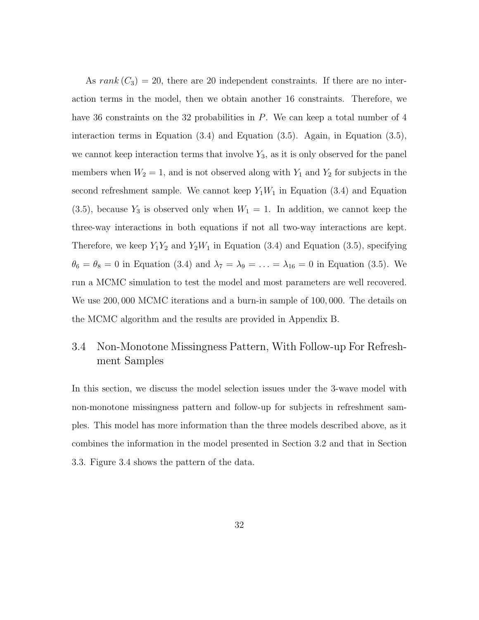As  $rank(C_3) = 20$ , there are 20 independent constraints. If there are no interaction terms in the model, then we obtain another 16 constraints. Therefore, we have 36 constraints on the 32 probabilities in P. We can keep a total number of 4 interaction terms in Equation [\(3.4\)](#page-25-0) and Equation [\(3.5\)](#page-25-0). Again, in Equation [\(3.5\)](#page-25-0), we cannot keep interaction terms that involve  $Y_3$ , as it is only observed for the panel members when  $W_2 = 1$ , and is not observed along with  $Y_1$  and  $Y_2$  for subjects in the second refreshment sample. We cannot keep  $Y_1W_1$  in Equation [\(3.4\)](#page-25-0) and Equation  $(3.5)$ , because  $Y_3$  is observed only when  $W_1 = 1$ . In addition, we cannot keep the three-way interactions in both equations if not all two-way interactions are kept. Therefore, we keep  $Y_1Y_2$  and  $Y_2W_1$  in Equation [\(3.4\)](#page-25-0) and Equation [\(3.5\)](#page-25-0), specifying  $\theta_6 = \theta_8 = 0$  in Equation [\(3.4\)](#page-25-0) and  $\lambda_7 = \lambda_9 = \ldots = \lambda_{16} = 0$  in Equation [\(3.5\)](#page-25-0). We run a MCMC simulation to test the model and most parameters are well recovered. We use 200, 000 MCMC iterations and a burn-in sample of 100, 000. The details on the MCMC algorithm and the results are provided in Appendix B.

## <span id="page-41-0"></span>3.4 Non-Monotone Missingness Pattern, With Follow-up For Refreshment Samples

In this section, we discuss the model selection issues under the 3-wave model with non-monotone missingness pattern and follow-up for subjects in refreshment samples. This model has more information than the three models described above, as it combines the information in the model presented in Section [3.2](#page-33-0) and that in Section [3.3.](#page-37-0) Figure [3.4](#page-42-0) shows the pattern of the data.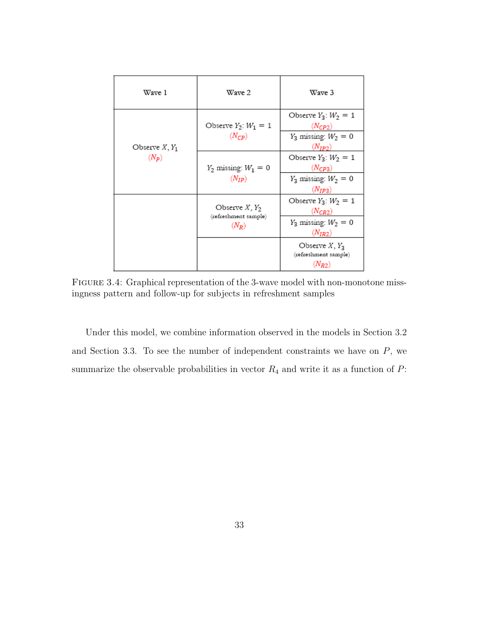| Wave 1           | Wave 2                                  | Wave 3                                   |
|------------------|-----------------------------------------|------------------------------------------|
|                  | Observe $Y_2$ : $W_1 = 1$<br>$(N_{CP})$ | Observe $Y_3$ : $W_2 = 1$<br>$(N_{CP2})$ |
| Observe $X, Y_1$ |                                         | $Y_3$ missing: $W_2 = 0$<br>$(N_{IP2})$  |
| $(N_P)$          | $Y_2$ missing: $W_1 = 0$                | Observe $Y_3$ : $W_2 = 1$<br>$(N_{CP3})$ |
|                  | $(N_{IP})$                              | $Y_3$ missing: $W_2 = 0$<br>$(N_{IP2})$  |
|                  | Observe $X, Y_2$                        | Observe $Y_3$ : $W_2 = 1$<br>$(N_{CR2})$ |
|                  | (refreshment sample)<br>$(N_R)$         | $Y_3$ missing: $W_2 = 0$<br>$(N_{IR2})$  |
|                  |                                         | Observe $X, Y_3$<br>(refreshment sample) |
|                  |                                         | $(N_{R2})$                               |

<span id="page-42-0"></span>Figure 3.4: Graphical representation of the 3-wave model with non-monotone missingness pattern and follow-up for subjects in refreshment samples

Under this model, we combine information observed in the models in Section [3.2](#page-33-0) and Section [3.3.](#page-37-0) To see the number of independent constraints we have on  $P$ , we summarize the observable probabilities in vector  $R_4$  and write it as a function of  $P$ :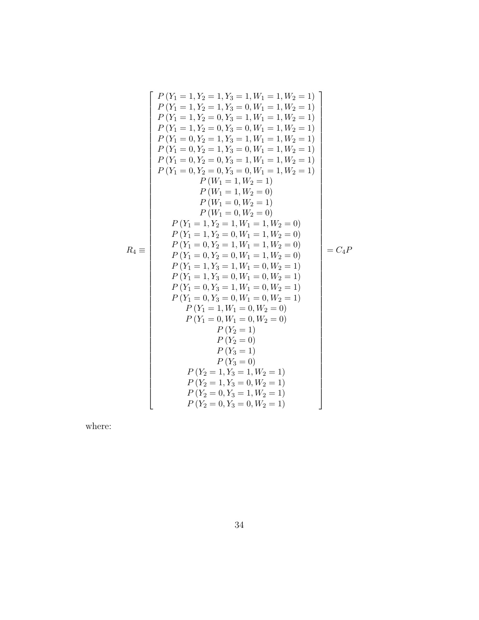$$
P(Y_1 = 1, Y_2 = 1, Y_3 = 1, W_1 = 1, W_2 = 1)
$$
\n
$$
P(Y_1 = 1, Y_2 = 1, Y_3 = 0, W_1 = 1, W_2 = 1)
$$
\n
$$
P(Y_1 = 1, Y_2 = 0, Y_3 = 1, W_1 = 1, W_2 = 1)
$$
\n
$$
P(Y_1 = 0, Y_2 = 1, Y_3 = 0, W_1 = 1, W_2 = 1)
$$
\n
$$
P(Y_1 = 0, Y_2 = 1, Y_3 = 1, W_1 = 1, W_2 = 1)
$$
\n
$$
P(Y_1 = 0, Y_2 = 1, Y_3 = 0, W_1 = 1, W_2 = 1)
$$
\n
$$
P(Y_1 = 0, Y_2 = 0, Y_3 = 1, W_1 = 1, W_2 = 1)
$$
\n
$$
P(Y_1 = 1, W_2 = 1)
$$
\n
$$
P(W_1 = 1, W_2 = 1)
$$
\n
$$
P(W_1 = 1, W_2 = 0)
$$
\n
$$
P(W_1 = 0, W_2 = 1)
$$
\n
$$
P(W_1 = 0, W_2 = 0)
$$
\n
$$
P(Y_1 = 1, Y_2 = 1, W_1 = 1, W_2 = 0)
$$
\n
$$
P(Y_1 = 1, Y_2 = 0, W_1 = 1, W_2 = 0)
$$
\n
$$
P(Y_1 = 0, Y_2 = 1, W_1 = 1, W_2 = 0)
$$
\n
$$
P(Y_1 = 0, Y_2 = 1, W_1 = 1, W_2 = 0)
$$
\n
$$
P(Y_1 = 0, Y_2 = 0, W_1 = 1, W_2 = 0)
$$
\n
$$
P(Y_1 = 1, Y_3 = 0, W_1 = 0, W_2 = 1)
$$
\n
$$
P(Y_1 = 0, Y_3 = 1, W_1 = 0, W_2 = 1)
$$
\n
$$
P(Y_1 = 0, Y_3 = 0, W_1 = 0, W_2 = 1)
$$
\n
$$
P(Y_1 = 0, W_1 = 0, W_2 =
$$

where: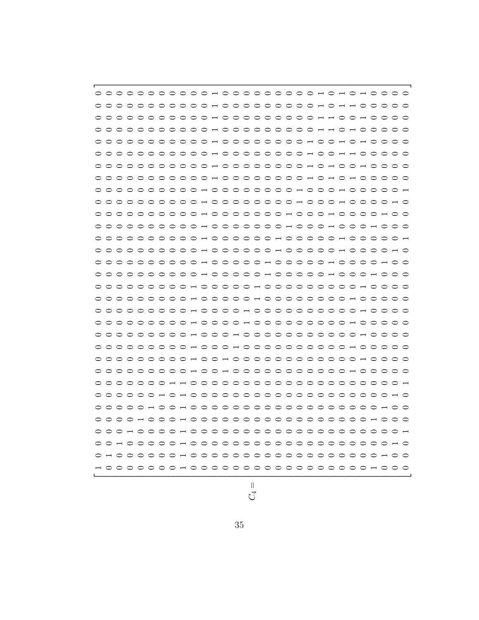$$
\overline{C}
$$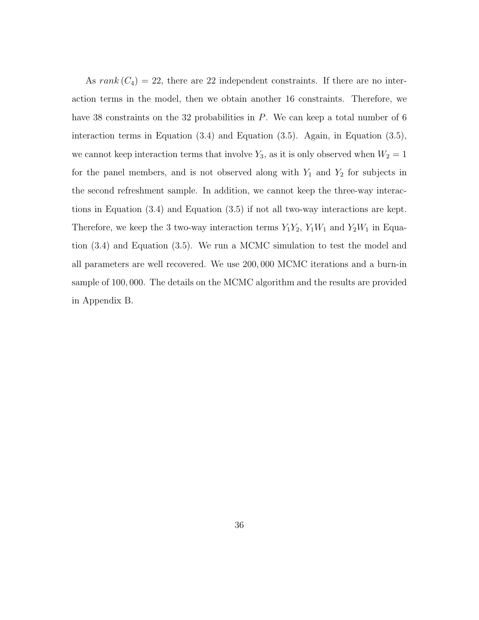As rank  $(C_4) = 22$ , there are 22 independent constraints. If there are no interaction terms in the model, then we obtain another 16 constraints. Therefore, we have 38 constraints on the 32 probabilities in P. We can keep a total number of 6 interaction terms in Equation [\(3.4\)](#page-25-0) and Equation [\(3.5\)](#page-25-0). Again, in Equation [\(3.5\)](#page-25-0), we cannot keep interaction terms that involve  $Y_3$ , as it is only observed when  $W_2 = 1$ for the panel members, and is not observed along with  $Y_1$  and  $Y_2$  for subjects in the second refreshment sample. In addition, we cannot keep the three-way interactions in Equation [\(3.4\)](#page-25-0) and Equation [\(3.5\)](#page-25-0) if not all two-way interactions are kept. Therefore, we keep the 3 two-way interaction terms  $Y_1Y_2$ ,  $Y_1W_1$  and  $Y_2W_1$  in Equation [\(3.4\)](#page-25-0) and Equation [\(3.5\)](#page-25-0). We run a MCMC simulation to test the model and all parameters are well recovered. We use 200, 000 MCMC iterations and a burn-in sample of 100, 000. The details on the MCMC algorithm and the results are provided in Appendix B.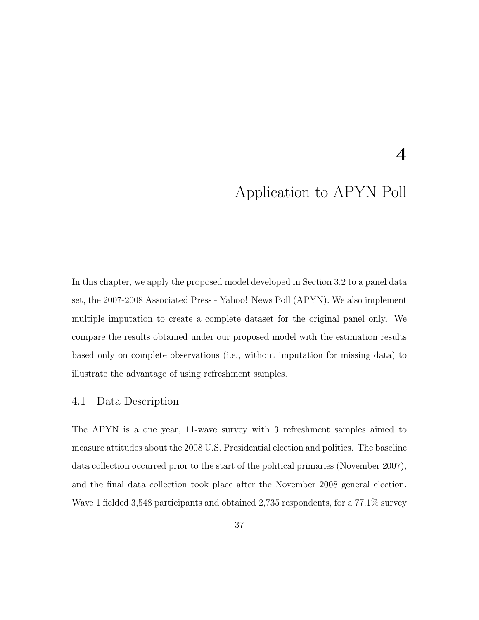## 4

# Application to APYN Poll

In this chapter, we apply the proposed model developed in Section [3.2](#page-33-0) to a panel data set, the 2007-2008 Associated Press - Yahoo! News Poll (APYN). We also implement multiple imputation to create a complete dataset for the original panel only. We compare the results obtained under our proposed model with the estimation results based only on complete observations (i.e., without imputation for missing data) to illustrate the advantage of using refreshment samples.

### 4.1 Data Description

The APYN is a one year, 11-wave survey with 3 refreshment samples aimed to measure attitudes about the 2008 U.S. Presidential election and politics. The baseline data collection occurred prior to the start of the political primaries (November 2007), and the final data collection took place after the November 2008 general election. Wave 1 fielded 3,548 participants and obtained 2,735 respondents, for a 77.1% survey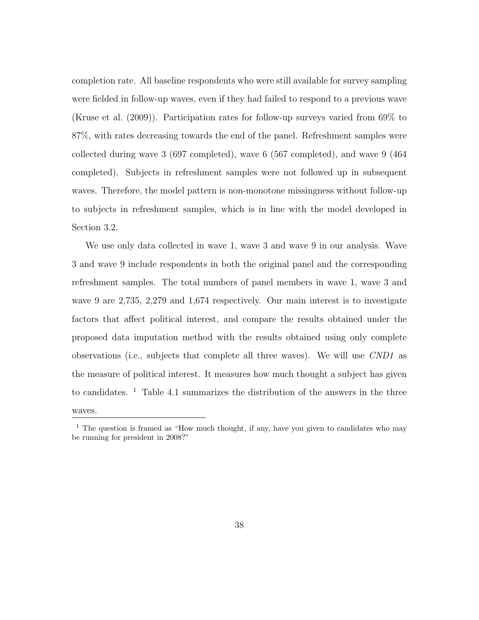completion rate. All baseline respondents who were still available for survey sampling were fielded in follow-up waves, even if they had failed to respond to a previous wave [\(Kruse et al.](#page-77-0) [\(2009\)](#page-77-0)). Participation rates for follow-up surveys varied from 69% to 87%, with rates decreasing towards the end of the panel. Refreshment samples were collected during wave 3 (697 completed), wave 6 (567 completed), and wave 9 (464 completed). Subjects in refreshment samples were not followed up in subsequent waves. Therefore, the model pattern is non-monotone missingness without follow-up to subjects in refreshment samples, which is in line with the model developed in Section [3.2.](#page-33-0)

We use only data collected in wave 1, wave 3 and wave 9 in our analysis. Wave 3 and wave 9 include respondents in both the original panel and the corresponding refreshment samples. The total numbers of panel members in wave 1, wave 3 and wave 9 are 2,735, 2,279 and 1,674 respectively. Our main interest is to investigate factors that affect political interest, and compare the results obtained under the proposed data imputation method with the results obtained using only complete observations (i.e., subjects that complete all three waves). We will use CND1 as the measure of political interest. It measures how much thought a subject has given to candidates. <sup>[1](#page-47-0)</sup> Table [4.1](#page-48-0) summarizes the distribution of the answers in the three waves.

<span id="page-47-0"></span><sup>&</sup>lt;sup>1</sup> The question is framed as "How much thought, if any, have you given to candidates who may be running for president in 2008?"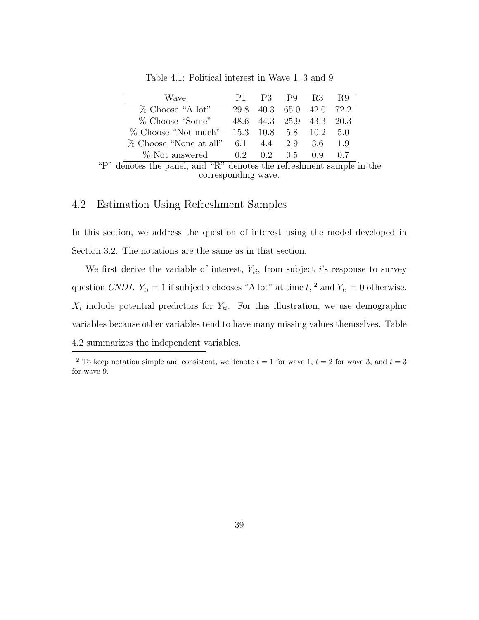| Wave                   |     | P1 P3 P9 R3 R9           |     |     |
|------------------------|-----|--------------------------|-----|-----|
| $\%$ Choose "A lot"    |     | 29.8 40.3 65.0 42.0 72.2 |     |     |
| $\%$ Choose "Some"     |     | 48.6 44.3 25.9 43.3 20.3 |     |     |
| % Choose "Not much"    |     | 15.3 10.8 5.8 10.2 5.0   |     |     |
| % Choose "None at all" | 6.1 | 4.4 2.9 3.6              |     | 1.9 |
| % Not answered         |     | 0.2 0.2 0.5              | 0.9 | 07  |

<span id="page-48-0"></span>Table 4.1: Political interest in Wave 1, 3 and 9

"P" denotes the panel, and "R" denotes the refreshment sample in the corresponding wave.

### <span id="page-48-2"></span>4.2 Estimation Using Refreshment Samples

In this section, we address the question of interest using the model developed in Section [3.2.](#page-33-0) The notations are the same as in that section.

We first derive the variable of interest,  $Y_{ti}$ , from subject i's response to survey question CND1.  $Y_{ti} = 1$  if subject *i* chooses "A lot" at time  $t$ , <sup>[2](#page-48-1)</sup> and  $Y_{ti} = 0$  otherwise.  $X_i$  include potential predictors for  $Y_{ti}$ . For this illustration, we use demographic variables because other variables tend to have many missing values themselves. Table [4.2](#page-49-0) summarizes the independent variables.

<span id="page-48-1"></span><sup>&</sup>lt;sup>2</sup> To keep notation simple and consistent, we denote  $t = 1$  for wave 1,  $t = 2$  for wave 3, and  $t = 3$ for wave 9.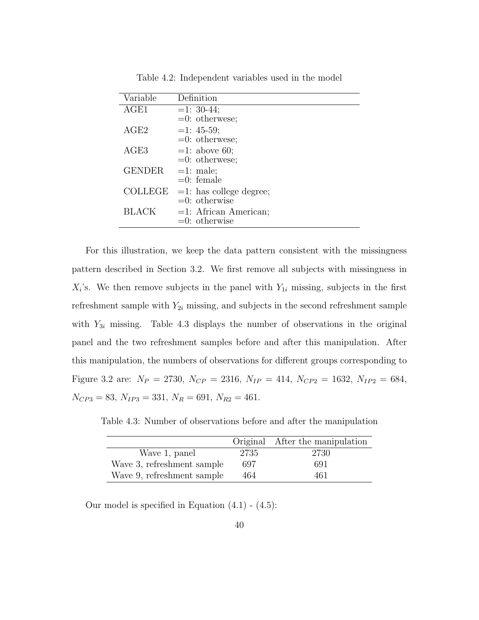| Variable       | Definition                |
|----------------|---------------------------|
| AGE1           | $=1:30-44;$               |
|                | $=0$ : otherwese;         |
| AGE2           | $=1:45-59;$               |
|                | $=0$ : otherwese;         |
| AGE3           | $=1:$ above 60;           |
|                | $=0$ : otherwese;         |
| <b>GENDER</b>  | $=1:$ male;               |
|                | $=0$ : female             |
| <b>COLLEGE</b> | $=1:$ has college degree; |
|                | $=0$ : otherwise          |
| <b>BLACK</b>   | $=1:$ African American;   |
|                | $=0$ : otherwise          |

<span id="page-49-0"></span>Table 4.2: Independent variables used in the model

For this illustration, we keep the data pattern consistent with the missingness pattern described in Section [3.2.](#page-33-0) We first remove all subjects with missingness in  $X_i$ 's. We then remove subjects in the panel with  $Y_{1i}$  missing, subjects in the first refreshment sample with  $Y_{2i}$  missing, and subjects in the second refreshment sample with  $Y_{3i}$  missing. Table [4.3](#page-49-1) displays the number of observations in the original panel and the two refreshment samples before and after this manipulation. After this manipulation, the numbers of observations for different groups corresponding to Figure [3.2](#page-34-0) are:  $N_P = 2730$ ,  $N_{CP} = 2316$ ,  $N_{IP} = 414$ ,  $N_{CP2} = 1632$ ,  $N_{IP2} = 684$ ,  $N_{CP3} = 83, N_{IP3} = 331, N_R = 691, N_{R2} = 461.$ 

Table 4.3: Number of observations before and after the manipulation

<span id="page-49-1"></span>

|                            |      | Original After the manipulation |
|----------------------------|------|---------------------------------|
| Wave 1, panel              | 2735 | 2730                            |
| Wave 3, refreshment sample | 697  | 691                             |
| Wave 9, refreshment sample | 464  | 461                             |

Our model is specified in Equation  $(4.1)$  -  $(4.5)$ :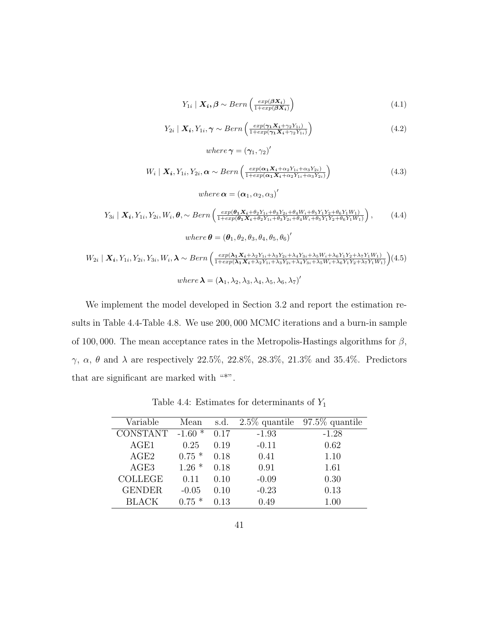$$
Y_{1i} \mid \mathbf{X_i}, \beta \sim Bern\left(\frac{exp(\beta \mathbf{X_i})}{1+exp(\beta \mathbf{X_i})}\right) \tag{4.1}
$$

$$
Y_{2i} \mid \mathbf{X_i}, Y_{1i}, \gamma \sim Bern\left(\frac{exp(\gamma_1 \mathbf{X_i} + \gamma_2 Y_{1i})}{1 + exp(\gamma_1 \mathbf{X_i} + \gamma_2 Y_{1i})}\right)
$$
(4.2)

<span id="page-50-0"></span>
$$
W_i \mid \mathbf{X_i}, Y_{1i}, Y_{2i}, \alpha \sim Bern\left(\frac{exp(\alpha_1 \mathbf{X_i} + \alpha_2 Y_{1i} + \alpha_3 Y_{2i})}{1 + exp(\alpha_1 \mathbf{X_i} + \alpha_2 Y_{1i} + \alpha_3 Y_{2i})}\right)
$$
(4.3)

where  $\boldsymbol{\alpha} = (\boldsymbol{\alpha}_1, \alpha_2, \alpha_3)'$ 

where  $\gamma = (\gamma_1, \gamma_2)'$ 

$$
Y_{3i} \mid \mathbf{X_i}, Y_{1i}, Y_{2i}, W_i, \boldsymbol{\theta}, \sim Bern\left(\frac{exp(\boldsymbol{\theta}_1 \mathbf{X_i} + \boldsymbol{\theta}_2 Y_{1i} + \boldsymbol{\theta}_3 Y_{2i} + \boldsymbol{\theta}_4 W_i + \boldsymbol{\theta}_5 Y_1 Y_2 + \boldsymbol{\theta}_6 Y_1 W_1)}{1 + exp(\boldsymbol{\theta}_1 \mathbf{X_i} + \boldsymbol{\theta}_2 Y_{1i} + \boldsymbol{\theta}_3 Y_2 i + \boldsymbol{\theta}_4 W_i + \boldsymbol{\theta}_5 Y_1 Y_2 + \boldsymbol{\theta}_6 Y_1 W_1)}\right), \qquad (4.4)
$$
\n
$$
where \ \boldsymbol{\theta} = (\boldsymbol{\theta}_1, \boldsymbol{\theta}_2, \boldsymbol{\theta}_3, \boldsymbol{\theta}_4, \boldsymbol{\theta}_5, \boldsymbol{\theta}_6)'
$$

$$
W_{2i} | \mathbf{X_i}, Y_{1i}, Y_{2i}, Y_{3i}, W_i, \boldsymbol{\lambda} \sim Bern \left( \frac{exp(\boldsymbol{\lambda_1 X_i} + \lambda_2 Y_{1i} + \lambda_3 Y_{2i} + \lambda_4 Y_{3i} + \lambda_5 W_i + \lambda_6 Y_1 Y_2 + \lambda_7 Y_1 W_1)}{1 + exp(\boldsymbol{\lambda_1 X_i} + \lambda_2 Y_{1i} + \lambda_3 Y_{2i} + \lambda_4 Y_{3i} + \lambda_5 W_i + \lambda_6 Y_1 Y_2 + \lambda_7 Y_1 W_1)} \right) (4.5)
$$
  
\nwhere  $\boldsymbol{\lambda} = (\boldsymbol{\lambda}_1, \lambda_2, \lambda_3, \lambda_4, \lambda_5, \lambda_6, \lambda_7)'$ 

We implement the model developed in Section [3.2](#page-33-0) and report the estimation results in Table [4.4-](#page-50-1)Table [4.8.](#page-52-0) We use 200, 000 MCMC iterations and a burn-in sample of 100,000. The mean acceptance rates in the Metropolis-Hastings algorithms for  $\beta$ , γ, α, θ and λ are respectively 22.5%, 22.8%, 28.3%, 21.3% and 35.4%. Predictors that are significant are marked with "\*".

<span id="page-50-1"></span>Table 4.4: Estimates for determinants of  $Y_1$ 

| Variable        | Mean     | s.d. |         | $2.5\%$ quantile 97.5\% quantile |
|-----------------|----------|------|---------|----------------------------------|
| <b>CONSTANT</b> | $-1.60*$ | 0.17 | $-1.93$ | $-1.28$                          |
| AGE1            | 0.25     | 0.19 | $-0.11$ | 0.62                             |
| AGE2            | $0.75*$  | 0.18 | 0.41    | 1.10                             |
| AGE3            | $1.26*$  | 0.18 | 0.91    | 1.61                             |
| <b>COLLEGE</b>  | 0.11     | 0.10 | $-0.09$ | 0.30                             |
| <b>GENDER</b>   | $-0.05$  | 0.10 | $-0.23$ | 0.13                             |
| <b>BLACK</b>    | $0.75*$  | 0.13 | 0.49    | 1.00                             |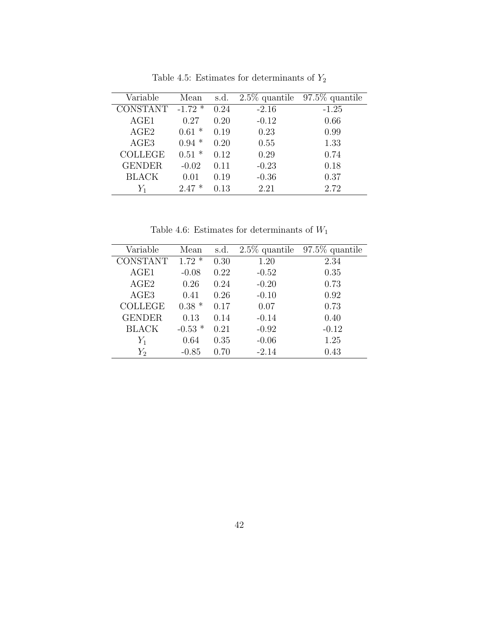| Variable        | Mean      | s.d. |         | $2.5\%$ quantile $97.5\%$ quantile |
|-----------------|-----------|------|---------|------------------------------------|
| <b>CONSTANT</b> | $-1.72$ * | 0.24 | $-2.16$ | $-1.25$                            |
| AGE1            | 0.27      | 0.20 | $-0.12$ | 0.66                               |
| AGE2            | $0.61 *$  | 0.19 | 0.23    | 0.99                               |
| AGE3            | $0.94*$   | 0.20 | 0.55    | 1.33                               |
| <b>COLLEGE</b>  | $0.51 *$  | 0.12 | 0.29    | 0.74                               |
| <b>GENDER</b>   | $-0.02$   | 0.11 | $-0.23$ | 0.18                               |
| <b>BLACK</b>    | 0.01      | 0.19 | $-0.36$ | 0.37                               |
| $Y_1$           | $2.47*$   | 0.13 | 2.21    | 2.72                               |
|                 |           |      |         |                                    |

Table 4.5: Estimates for determinants of  $\mathcal{Y}_2$ 

Table 4.6: Estimates for determinants of  $W_{\rm 1}$ 

| Variable        | Mean      | s.d. |         | $2.5\%$ quantile 97.5\% quantile |
|-----------------|-----------|------|---------|----------------------------------|
| <b>CONSTANT</b> | $1.72*$   | 0.30 | 1.20    | 2.34                             |
| AGE1            | $-0.08$   | 0.22 | $-0.52$ | 0.35                             |
| AGE2            | 0.26      | 0.24 | $-0.20$ | 0.73                             |
| AGE3            | 0.41      | 0.26 | $-0.10$ | 0.92                             |
| <b>COLLEGE</b>  | $0.38*$   | 0.17 | 0.07    | 0.73                             |
| <b>GENDER</b>   | 0.13      | 0.14 | $-0.14$ | 0.40                             |
| <b>BLACK</b>    | $-0.53$ * | 0.21 | $-0.92$ | $-0.12$                          |
| $Y_1$           | 0.64      | 0.35 | $-0.06$ | 1.25                             |
| $Y_2$           | $-0.85$   | 0.70 | $-2.14$ | 0.43                             |
|                 |           |      |         |                                  |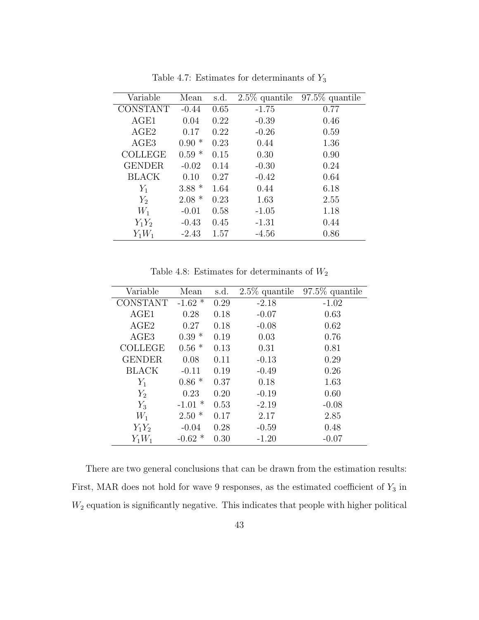| Variable        | Mean    | s.d. | $2.5\%$ quantile | $97.5\%$ quantile |
|-----------------|---------|------|------------------|-------------------|
| <b>CONSTANT</b> | $-0.44$ | 0.65 | $-1.75$          | 0.77              |
| AGE1            | 0.04    | 0.22 | $-0.39$          | 0.46              |
| AGE2            | 0.17    | 0.22 | $-0.26$          | 0.59              |
| AGE3            | $0.90*$ | 0.23 | 0.44             | 1.36              |
| <b>COLLEGE</b>  | $0.59*$ | 0.15 | 0.30             | 0.90              |
| <b>GENDER</b>   | $-0.02$ | 0.14 | $-0.30$          | 0.24              |
| <b>BLACK</b>    | 0.10    | 0.27 | $-0.42$          | 0.64              |
| $Y_1$           | $3.88*$ | 1.64 | 0.44             | 6.18              |
| $Y_2$           | $2.08*$ | 0.23 | 1.63             | 2.55              |
| $W_1$           | $-0.01$ | 0.58 | $-1.05$          | 1.18              |
| $Y_1Y_2$        | $-0.43$ | 0.45 | $-1.31$          | 0.44              |
| $Y_1W_1$        | $-2.43$ | 1.57 | $-4.56$          | 0.86              |

Table 4.7: Estimates for determinants of  $\mathcal{Y}_3$ 

<span id="page-52-0"></span>Table 4.8: Estimates for determinants of  $\mathcal{W}_2$ 

| Variable        | Mean                 | s.d. | $2.5\%$ quantile | $97.5\%$ quantile |
|-----------------|----------------------|------|------------------|-------------------|
| <b>CONSTANT</b> | $-1.62$ <sup>*</sup> | 0.29 | $-2.18$          | $-1.02$           |
| AGE1            | 0.28                 | 0.18 | $-0.07$          | 0.63              |
| AGE2            | 0.27                 | 0.18 | $-0.08$          | 0.62              |
| AGE3            | $0.39*$              | 0.19 | 0.03             | 0.76              |
| <b>COLLEGE</b>  | $0.56*$              | 0.13 | 0.31             | 0.81              |
| <b>GENDER</b>   | 0.08                 | 0.11 | $-0.13$          | 0.29              |
| <b>BLACK</b>    | $-0.11$              | 0.19 | $-0.49$          | 0.26              |
| $Y_1$           | $0.86*$              | 0.37 | 0.18             | 1.63              |
| $Y_2$           | 0.23                 | 0.20 | $-0.19$          | 0.60              |
| $Y_3$           | $-1.01$ *            | 0.53 | $-2.19$          | $-0.08$           |
| $W_1$           | $2.50*$              | 0.17 | 2.17             | 2.85              |
| $Y_1Y_2$        | $-0.04$              | 0.28 | $-0.59$          | 0.48              |
| $Y_1W_1$        | $-0.62*$             | 0.30 | $-1.20$          | $-0.07$           |

There are two general conclusions that can be drawn from the estimation results: First, MAR does not hold for wave 9 responses, as the estimated coefficient of  $Y_3$  in  $W_2$  equation is significantly negative. This indicates that people with higher political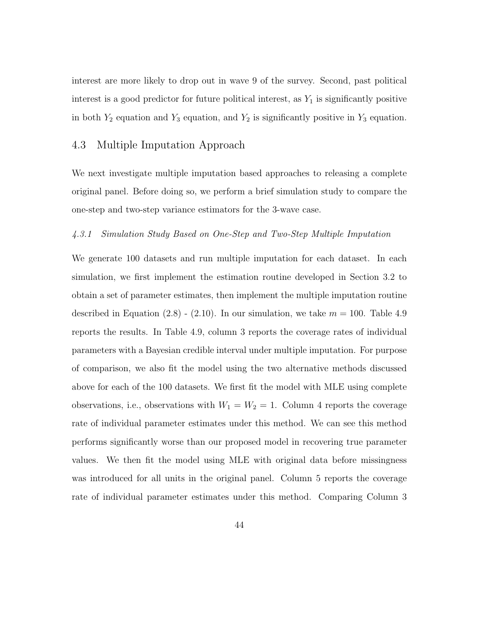interest are more likely to drop out in wave 9 of the survey. Second, past political interest is a good predictor for future political interest, as  $Y_1$  is significantly positive in both  $Y_2$  equation and  $Y_3$  equation, and  $Y_2$  is significantly positive in  $Y_3$  equation.

### 4.3 Multiple Imputation Approach

We next investigate multiple imputation based approaches to releasing a complete original panel. Before doing so, we perform a brief simulation study to compare the one-step and two-step variance estimators for the 3-wave case.

#### <span id="page-53-0"></span>4.3.1 Simulation Study Based on One-Step and Two-Step Multiple Imputation

We generate 100 datasets and run multiple imputation for each dataset. In each simulation, we first implement the estimation routine developed in Section [3.2](#page-33-0) to obtain a set of parameter estimates, then implement the multiple imputation routine described in Equation  $(2.8)$  -  $(2.10)$ . In our simulation, we take  $m = 100$ . Table [4.9](#page-54-0) reports the results. In Table [4.9,](#page-54-0) column 3 reports the coverage rates of individual parameters with a Bayesian credible interval under multiple imputation. For purpose of comparison, we also fit the model using the two alternative methods discussed above for each of the 100 datasets. We first fit the model with MLE using complete observations, i.e., observations with  $W_1 = W_2 = 1$ . Column 4 reports the coverage rate of individual parameter estimates under this method. We can see this method performs significantly worse than our proposed model in recovering true parameter values. We then fit the model using MLE with original data before missingness was introduced for all units in the original panel. Column 5 reports the coverage rate of individual parameter estimates under this method. Comparing Column 3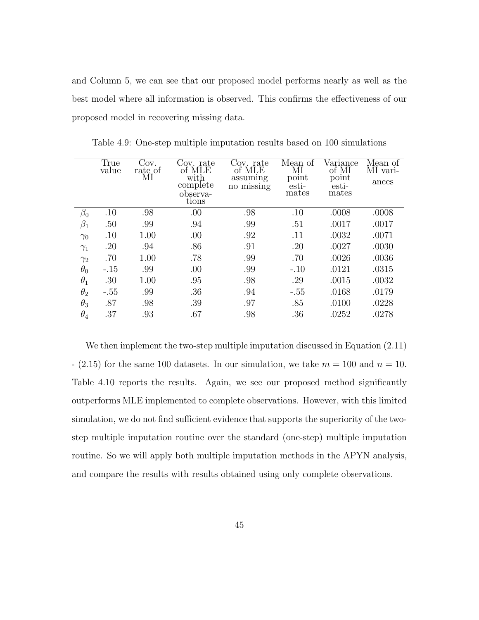and Column 5, we can see that our proposed model performs nearly as well as the best model where all information is observed. This confirms the effectiveness of our proposed model in recovering missing data.

|            | True<br>value | Cov.<br>rate_of<br>МI | Cov. rate<br>of MLE<br>with<br>complete | Cov. rate<br>of MLE<br>assuming<br>no missing | Mean of<br>ΜΙ<br>point<br>esti- | Variance<br>of MI<br>point<br>esti- | Mean of<br>MI vari-<br>ances |
|------------|---------------|-----------------------|-----------------------------------------|-----------------------------------------------|---------------------------------|-------------------------------------|------------------------------|
|            |               |                       | observa-<br>tions                       |                                               | mates                           | mates                               |                              |
| $\beta_0$  | .10           | .98                   | .00                                     | .98                                           | .10                             | .0008                               | .0008                        |
| $\beta_1$  | .50           | .99                   | .94                                     | .99                                           | .51                             | .0017                               | .0017                        |
| $\gamma_0$ | .10           | 1.00                  | .00                                     | .92                                           | .11                             | .0032                               | .0071                        |
| $\gamma_1$ | .20           | .94                   | .86                                     | .91                                           | .20                             | .0027                               | .0030                        |
| $\gamma_2$ | .70           | 1.00                  | .78                                     | .99                                           | .70                             | .0026                               | .0036                        |
| $\theta_0$ | $-.15$        | .99                   | .00                                     | .99                                           | $-.10$                          | .0121                               | .0315                        |
| $\theta_1$ | .30           | 1.00                  | .95                                     | .98                                           | .29                             | .0015                               | .0032                        |
| $\theta_2$ | $-.55$        | .99                   | .36                                     | .94                                           | $-.55$                          | .0168                               | .0179                        |
| $\theta_3$ | .87           | .98                   | .39                                     | .97                                           | .85                             | .0100                               | .0228                        |
| $\theta_4$ | .37           | .93                   | .67                                     | .98                                           | .36                             | .0252                               | .0278                        |

<span id="page-54-0"></span>Table 4.9: One-step multiple imputation results based on 100 simulations

We then implement the two-step multiple imputation discussed in Equation [\(2.11\)](#page-21-0)  $-$  [\(2.15\)](#page-21-1) for the same 100 datasets. In our simulation, we take  $m = 100$  and  $n = 10$ . Table [4.10](#page-55-0) reports the results. Again, we see our proposed method significantly outperforms MLE implemented to complete observations. However, with this limited simulation, we do not find sufficient evidence that supports the superiority of the twostep multiple imputation routine over the standard (one-step) multiple imputation routine. So we will apply both multiple imputation methods in the APYN analysis, and compare the results with results obtained using only complete observations.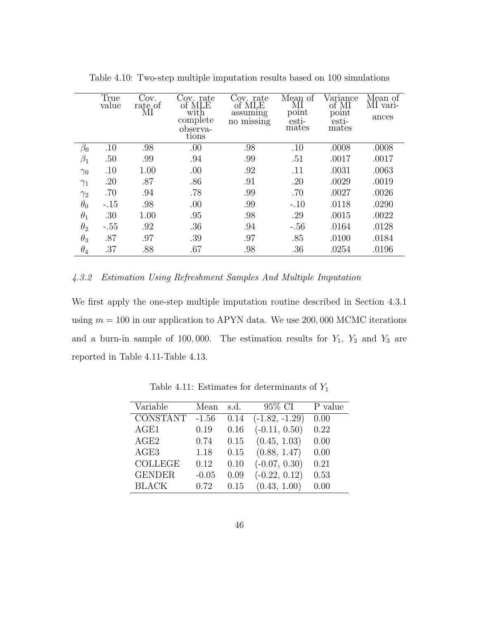|            | True<br>value | Cov.<br>rate of | Cov. rate<br>of MLE | Cov. rate<br>of MLE    | Mean of<br>ΜΙ  | Variance<br>of MI | Mean of<br>MI vari- |
|------------|---------------|-----------------|---------------------|------------------------|----------------|-------------------|---------------------|
|            |               | МI              | with<br>complete    | assuming<br>no missing | point<br>esti- | point<br>esti-    | ances               |
|            |               |                 | observa-<br>tions   |                        | mates          | mates             |                     |
| $\beta_0$  | .10           | .98             | .00                 | .98                    | .10            | .0008             | .0008               |
| $\beta_1$  | .50           | .99             | .94                 | .99                    | .51            | .0017             | .0017               |
| $\gamma_0$ | .10           | 1.00            | .00                 | .92                    | .11            | .0031             | .0063               |
| $\gamma_1$ | .20           | .87             | .86                 | .91                    | .20            | .0029             | .0019               |
| $\gamma_2$ | .70           | .94             | .78                 | .99                    | .70            | .0027             | .0026               |
| $\theta_0$ | $-.15$        | .98             | .00                 | .99                    | $-.10$         | .0118             | .0290               |
| $\theta_1$ | .30           | 1.00            | .95                 | .98                    | .29            | .0015             | .0022               |
| $\theta_2$ | $-.55$        | .92             | .36                 | .94                    | $-.56$         | .0164             | .0128               |
| $\theta_3$ | .87           | .97             | .39                 | .97                    | .85            | .0100             | .0184               |
| $\theta_4$ | .37           | .88             | .67                 | .98                    | .36            | .0254             | .0196               |

<span id="page-55-0"></span>Table 4.10: Two-step multiple imputation results based on 100 simulations

#### 4.3.2 Estimation Using Refreshment Samples And Multiple Imputation

We first apply the one-step multiple imputation routine described in Section [4.3.1](#page-53-0) using  $m = 100$  in our application to APYN data. We use 200,000 MCMC iterations and a burn-in sample of 100,000. The estimation results for  $Y_1$ ,  $Y_2$  and  $Y_3$  are reported in Table [4.11-](#page-55-1)Table [4.13.](#page-56-0)

| Variable         | Mean    | s.d. | 95\% CI          | P value |
|------------------|---------|------|------------------|---------|
| <b>CONSTANT</b>  | $-1.56$ | 0.14 | $(-1.82, -1.29)$ | 0.00    |
| AGE1             | 0.19    | 0.16 | $(-0.11, 0.50)$  | 0.22    |
| AGE2             | 0.74    | 0.15 | (0.45, 1.03)     | 0.00    |
| AGE <sub>3</sub> | 1.18    | 0.15 | (0.88, 1.47)     | 0.00    |
| <b>COLLEGE</b>   | 0.12    | 0.10 | $(-0.07, 0.30)$  | 0.21    |
| <b>GENDER</b>    | $-0.05$ | 0.09 | $(-0.22, 0.12)$  | 0.53    |
| <b>BLACK</b>     | 0.72    | 0.15 | (0.43, 1.00)     | 0.00    |

<span id="page-55-1"></span>Table 4.11: Estimates for determinants of  $Y_1$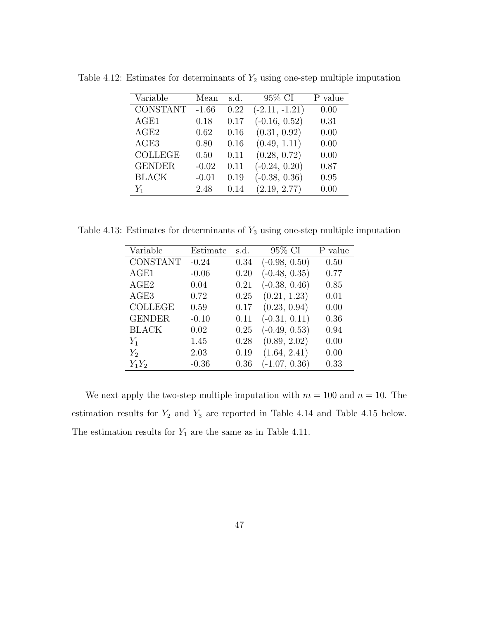<span id="page-56-1"></span>

| Variable        | Mean    | s.d. | 95% CI           | P value |
|-----------------|---------|------|------------------|---------|
| <b>CONSTANT</b> | $-1.66$ | 0.22 | $(-2.11, -1.21)$ | 0.00    |
| AGE1            | 0.18    | 0.17 | $(-0.16, 0.52)$  | 0.31    |
| AGE2            | 0.62    | 0.16 | (0.31, 0.92)     | 0.00    |
| AGE3            | 0.80    | 0.16 | (0.49, 1.11)     | 0.00    |
| <b>COLLEGE</b>  | 0.50    | 0.11 | (0.28, 0.72)     | 0.00    |
| <b>GENDER</b>   | $-0.02$ | 0.11 | $(-0.24, 0.20)$  | 0.87    |
| <b>BLACK</b>    | $-0.01$ | 0.19 | $(-0.38, 0.36)$  | 0.95    |
| $Y_1$           | 2.48    | 0.14 | (2.19, 2.77)     | 0.00    |

Table 4.12: Estimates for determinants of  $Y_2$  using one-step multiple imputation

Table 4.13: Estimates for determinants of  $Y_3$  using one-step multiple imputation

<span id="page-56-0"></span>

| Variable        | Estimate | s.d. | 95% CI          | P value |
|-----------------|----------|------|-----------------|---------|
| <b>CONSTANT</b> | $-0.24$  | 0.34 | $(-0.98, 0.50)$ | 0.50    |
| AGE1            | $-0.06$  | 0.20 | $(-0.48, 0.35)$ | 0.77    |
| AGE2            | 0.04     | 0.21 | $(-0.38, 0.46)$ | 0.85    |
| AGE3            | 0.72     | 0.25 | (0.21, 1.23)    | 0.01    |
| <b>COLLEGE</b>  | 0.59     | 0.17 | (0.23, 0.94)    | 0.00    |
| <b>GENDER</b>   | $-0.10$  | 0.11 | $(-0.31, 0.11)$ | 0.36    |
| <b>BLACK</b>    | 0.02     | 0.25 | $(-0.49, 0.53)$ | 0.94    |
| $Y_1$           | 1.45     | 0.28 | (0.89, 2.02)    | 0.00    |
| $Y_2$           | 2.03     | 0.19 | (1.64, 2.41)    | 0.00    |
| $Y_1Y_2$        | $-0.36$  | 0.36 | $(-1.07, 0.36)$ | 0.33    |

We next apply the two-step multiple imputation with  $m = 100$  and  $n = 10$ . The estimation results for  $Y_2$  and  $Y_3$  are reported in Table [4.14](#page-57-0) and Table [4.15](#page-57-1) below. The estimation results for  $Y_1$  are the same as in Table [4.11.](#page-55-1)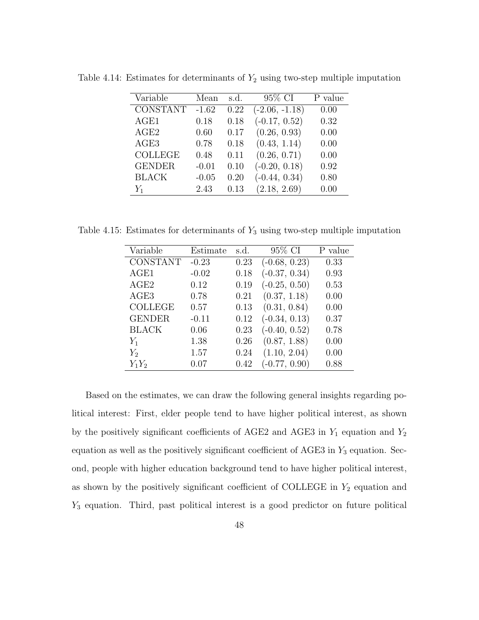<span id="page-57-0"></span>

| Variable        | Mean    | s.d. | 95\% CI          | P value |
|-----------------|---------|------|------------------|---------|
| <b>CONSTANT</b> | $-1.62$ | 0.22 | $(-2.06, -1.18)$ | 0.00    |
| AGE1            | 0.18    | 0.18 | $(-0.17, 0.52)$  | 0.32    |
| AGE2            | 0.60    | 0.17 | (0.26, 0.93)     | 0.00    |
| AGE3            | 0.78    | 0.18 | (0.43, 1.14)     | 0.00    |
| <b>COLLEGE</b>  | 0.48    | 0.11 | (0.26, 0.71)     | 0.00    |
| <b>GENDER</b>   | $-0.01$ | 0.10 | $(-0.20, 0.18)$  | 0.92    |
| <b>BLACK</b>    | $-0.05$ | 0.20 | $(-0.44, 0.34)$  | 0.80    |
| $Y_1$           | 2.43    | 0.13 | (2.18, 2.69)     | 0.00    |

Table 4.14: Estimates for determinants of  $Y_2$  using two-step multiple imputation

Table 4.15: Estimates for determinants of  $Y_3$  using two-step multiple imputation

<span id="page-57-1"></span>

| Variable        | Estimate | s.d. | 95\% CI         | P value |
|-----------------|----------|------|-----------------|---------|
| <b>CONSTANT</b> | $-0.23$  | 0.23 | $(-0.68, 0.23)$ | 0.33    |
| AGE1            | $-0.02$  | 0.18 | $(-0.37, 0.34)$ | 0.93    |
| AGE2            | 0.12     | 0.19 | $(-0.25, 0.50)$ | 0.53    |
| AGE3            | 0.78     | 0.21 | (0.37, 1.18)    | 0.00    |
| <b>COLLEGE</b>  | 0.57     | 0.13 | (0.31, 0.84)    | 0.00    |
| <b>GENDER</b>   | $-0.11$  | 0.12 | $(-0.34, 0.13)$ | 0.37    |
| <b>BLACK</b>    | 0.06     | 0.23 | $(-0.40, 0.52)$ | 0.78    |
| $Y_1$           | 1.38     | 0.26 | (0.87, 1.88)    | 0.00    |
| $Y_2$           | 1.57     | 0.24 | (1.10, 2.04)    | 0.00    |
| $Y_1Y_2$        | 0.07     | 0.42 | $(-0.77, 0.90)$ | 0.88    |

Based on the estimates, we can draw the following general insights regarding political interest: First, elder people tend to have higher political interest, as shown by the positively significant coefficients of AGE2 and AGE3 in  $Y_1$  equation and  $Y_2$ equation as well as the positively significant coefficient of AGE3 in  $Y_3$  equation. Second, people with higher education background tend to have higher political interest, as shown by the positively significant coefficient of COLLEGE in  $Y_2$  equation and Y<sup>3</sup> equation. Third, past political interest is a good predictor on future political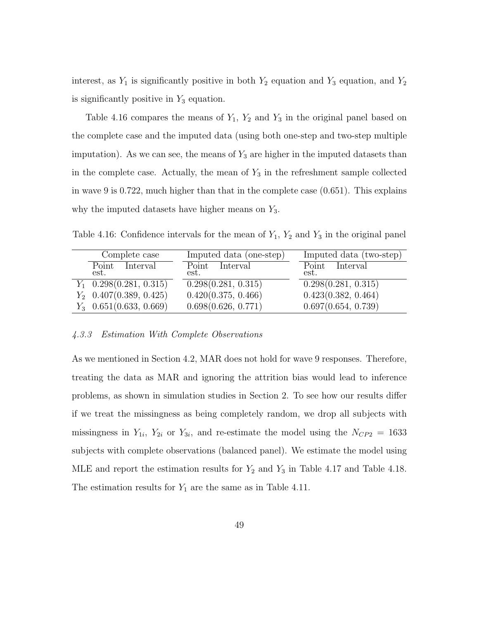interest, as  $Y_1$  is significantly positive in both  $Y_2$  equation and  $Y_3$  equation, and  $Y_2$ is significantly positive in  $Y_3$  equation.

Table [4.16](#page-58-0) compares the means of  $Y_1$ ,  $Y_2$  and  $Y_3$  in the original panel based on the complete case and the imputed data (using both one-step and two-step multiple imputation). As we can see, the means of  $Y_3$  are higher in the imputed datasets than in the complete case. Actually, the mean of  $Y_3$  in the refreshment sample collected in wave 9 is 0.722, much higher than that in the complete case (0.651). This explains why the imputed datasets have higher means on  $Y_3$ .

<span id="page-58-0"></span>Table 4.16: Confidence intervals for the mean of  $Y_1$ ,  $Y_2$  and  $Y_3$  in the original panel

| Complete case             | Imputed data (one-step) | Imputed data (two-step) |
|---------------------------|-------------------------|-------------------------|
| Point Interval<br>est.    | Point Interval<br>est.  | Point Interval<br>est.  |
| $Y_1$ 0.298(0.281, 0.315) | 0.298(0.281, 0.315)     | 0.298(0.281, 0.315)     |
| $Y_2$ 0.407(0.389, 0.425) | 0.420(0.375, 0.466)     | 0.423(0.382, 0.464)     |
| $Y_3$ 0.651(0.633, 0.669) | 0.698(0.626, 0.771)     | 0.697(0.654, 0.739)     |

#### 4.3.3 Estimation With Complete Observations

As we mentioned in Section [4.2,](#page-48-2) MAR does not hold for wave 9 responses. Therefore, treating the data as MAR and ignoring the attrition bias would lead to inference problems, as shown in simulation studies in Section [2.](#page-14-0) To see how our results differ if we treat the missingness as being completely random, we drop all subjects with missingness in  $Y_{1i}$ ,  $Y_{2i}$  or  $Y_{3i}$ , and re-estimate the model using the  $N_{CP2} = 1633$ subjects with complete observations (balanced panel). We estimate the model using MLE and report the estimation results for  $Y_2$  and  $Y_3$  in Table [4.17](#page-59-0) and Table [4.18.](#page-59-1) The estimation results for  $Y_1$  are the same as in Table [4.11.](#page-55-1)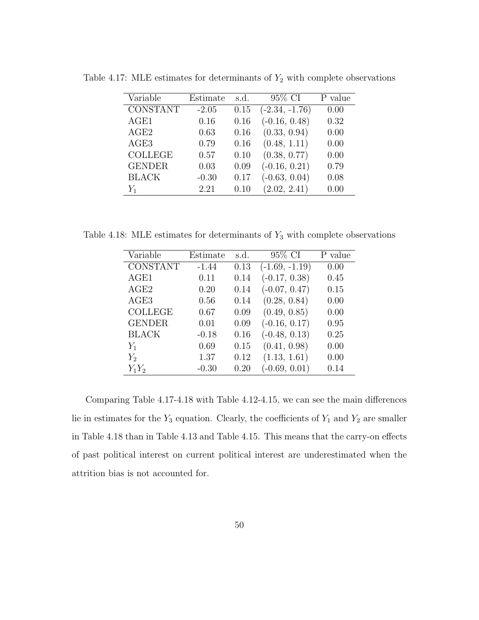<span id="page-59-0"></span>

| Variable        | Estimate | s.d. | 95\% CI          | P value |
|-----------------|----------|------|------------------|---------|
| <b>CONSTANT</b> | $-2.05$  | 0.15 | $(-2.34, -1.76)$ | 0.00    |
| AGE1            | 0.16     | 0.16 | $(-0.16, 0.48)$  | 0.32    |
| AGE2            | 0.63     | 0.16 | (0.33, 0.94)     | 0.00    |
| AGE3            | 0.79     | 0.16 | (0.48, 1.11)     | 0.00    |
| <b>COLLEGE</b>  | 0.57     | 0.10 | (0.38, 0.77)     | 0.00    |
| <b>GENDER</b>   | 0.03     | 0.09 | $(-0.16, 0.21)$  | 0.79    |
| <b>BLACK</b>    | $-0.30$  | 0.17 | $(-0.63, 0.04)$  | 0.08    |
| $Y_1$           | 2.21     | 0.10 | (2.02, 2.41)     | 0.00    |

Table 4.17: MLE estimates for determinants of  $Y_2$  with complete observations

Table 4.18: MLE estimates for determinants of  $Y_3$  with complete observations

<span id="page-59-1"></span>

| Variable         | Estimate | s.d. | 95% CI           | P value |
|------------------|----------|------|------------------|---------|
| <b>CONSTANT</b>  | $-1.44$  | 0.13 | $(-1.69, -1.19)$ | 0.00    |
| AGE1             | 0.11     | 0.14 | $(-0.17, 0.38)$  | 0.45    |
| AGE2             | 0.20     | 0.14 | $(-0.07, 0.47)$  | 0.15    |
| AGE <sub>3</sub> | 0.56     | 0.14 | (0.28, 0.84)     | 0.00    |
| <b>COLLEGE</b>   | 0.67     | 0.09 | (0.49, 0.85)     | 0.00    |
| <b>GENDER</b>    | 0.01     | 0.09 | $(-0.16, 0.17)$  | 0.95    |
| <b>BLACK</b>     | $-0.18$  | 0.16 | $(-0.48, 0.13)$  | 0.25    |
| $Y_1$            | 0.69     | 0.15 | (0.41, 0.98)     | 0.00    |
| $Y_2$            | 1.37     | 0.12 | (1.13, 1.61)     | 0.00    |
| $Y_1Y_2$         | $-0.30$  | 0.20 | $(-0.69, 0.01)$  | 0.14    |

Comparing Table [4.17](#page-59-0)[-4.18](#page-59-1) with Table [4.12-](#page-56-1)[4.15,](#page-57-1) we can see the main differences lie in estimates for the  $Y_3$  equation. Clearly, the coefficients of  $Y_1$  and  $Y_2$  are smaller in Table [4.18](#page-59-1) than in Table [4.13](#page-56-0) and Table [4.15.](#page-57-1) This means that the carry-on effects of past political interest on current political interest are underestimated when the attrition bias is not accounted for.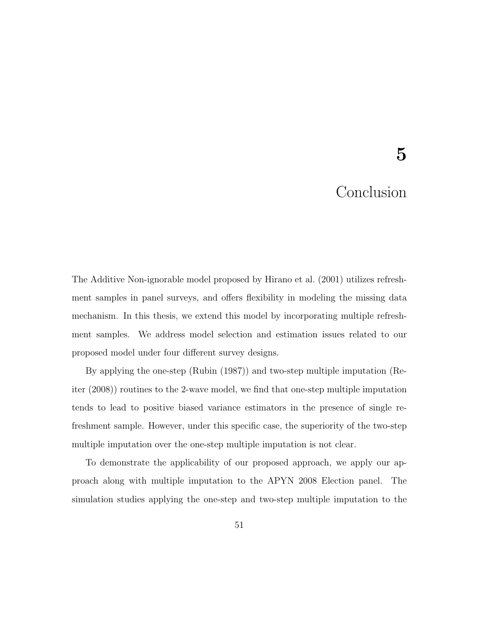# 5

# Conclusion

The Additive Non-ignorable model proposed by [Hirano et al.](#page-77-1) [\(2001\)](#page-77-1) utilizes refreshment samples in panel surveys, and offers flexibility in modeling the missing data mechanism. In this thesis, we extend this model by incorporating multiple refreshment samples. We address model selection and estimation issues related to our proposed model under four different survey designs.

By applying the one-step [\(Rubin](#page-78-0) [\(1987\)](#page-78-0)) and two-step multiple imputation [\(Re](#page-77-2)[iter](#page-77-2) [\(2008\)](#page-77-2)) routines to the 2-wave model, we find that one-step multiple imputation tends to lead to positive biased variance estimators in the presence of single refreshment sample. However, under this specific case, the superiority of the two-step multiple imputation over the one-step multiple imputation is not clear.

To demonstrate the applicability of our proposed approach, we apply our approach along with multiple imputation to the APYN 2008 Election panel. The simulation studies applying the one-step and two-step multiple imputation to the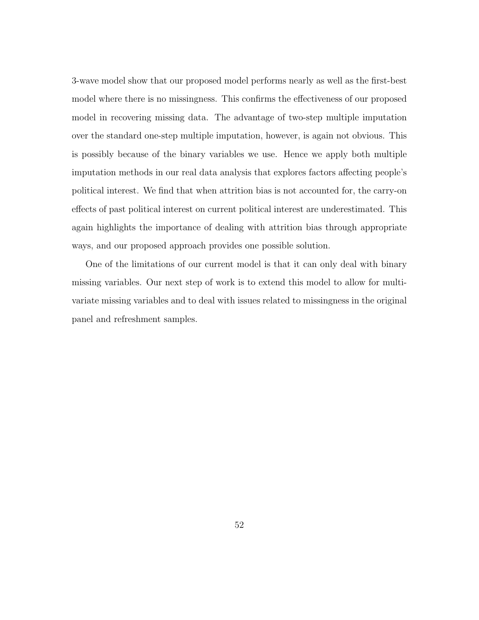3-wave model show that our proposed model performs nearly as well as the first-best model where there is no missingness. This confirms the effectiveness of our proposed model in recovering missing data. The advantage of two-step multiple imputation over the standard one-step multiple imputation, however, is again not obvious. This is possibly because of the binary variables we use. Hence we apply both multiple imputation methods in our real data analysis that explores factors affecting people's political interest. We find that when attrition bias is not accounted for, the carry-on effects of past political interest on current political interest are underestimated. This again highlights the importance of dealing with attrition bias through appropriate ways, and our proposed approach provides one possible solution.

One of the limitations of our current model is that it can only deal with binary missing variables. Our next step of work is to extend this model to allow for multivariate missing variables and to deal with issues related to missingness in the original panel and refreshment samples.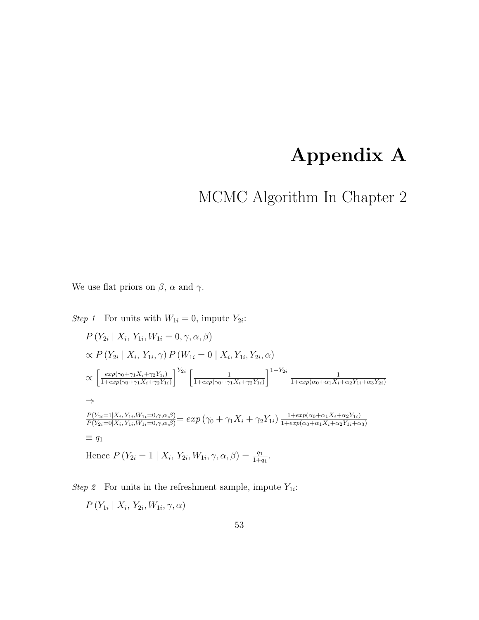# Appendix A

# MCMC Algorithm In Chapter [2](#page-14-0)

We use flat priors on  $\beta$ ,  $\alpha$  and  $\gamma$ .

Step 1 For units with 
$$
W_{1i} = 0
$$
, impute  $Y_{2i}$ :  
\n
$$
P(Y_{2i} | X_i, Y_{1i}, W_{1i} = 0, \gamma, \alpha, \beta)
$$
\n
$$
\propto P(Y_{2i} | X_i, Y_{1i}, \gamma) P(W_{1i} = 0 | X_i, Y_{1i}, Y_{2i}, \alpha)
$$
\n
$$
\propto \left[ \frac{\exp(\gamma_0 + \gamma_1 X_i + \gamma_2 Y_{1i})}{1 + \exp(\gamma_0 + \gamma_1 X_i + \gamma_2 Y_{1i})} \right]^{Y_{2i}} \left[ \frac{1}{1 + \exp(\gamma_0 + \gamma_1 X_i + \gamma_2 Y_{1i})} \right]^{1 - Y_{2i}} \frac{1}{1 + \exp(\alpha_0 + \alpha_1 X_i + \alpha_2 Y_{1i} + \alpha_3 Y_{2i})}
$$
\n
$$
\Rightarrow
$$
\n
$$
\frac{P(Y_{2i} = 1 | X_i, Y_{1i}, W_{1i} = 0, \gamma, \alpha, \beta)}{P(Y_{2i} = 0 | X_i, Y_{1i}, W_{1i} = 0, \gamma, \alpha, \beta)} = \exp(\gamma_0 + \gamma_1 X_i + \gamma_2 Y_{1i}) \frac{1 + \exp(\alpha_0 + \alpha_1 X_i + \alpha_2 Y_{1i})}{1 + \exp(\alpha_0 + \alpha_1 X_i + \alpha_2 Y_{1i} + \alpha_3)}
$$
\n
$$
\equiv q_1
$$
\nHence  $P(Y_{2i} = 1 | X_i, Y_{2i}, W_{1i}, \gamma, \alpha, \beta) = \frac{q_1}{1 + q_1}.$ 

Step 2 For units in the refreshment sample, impute  $Y_{1i}$ :

 $P(Y_{1i} | X_i, Y_{2i}, W_{1i}, \gamma, \alpha)$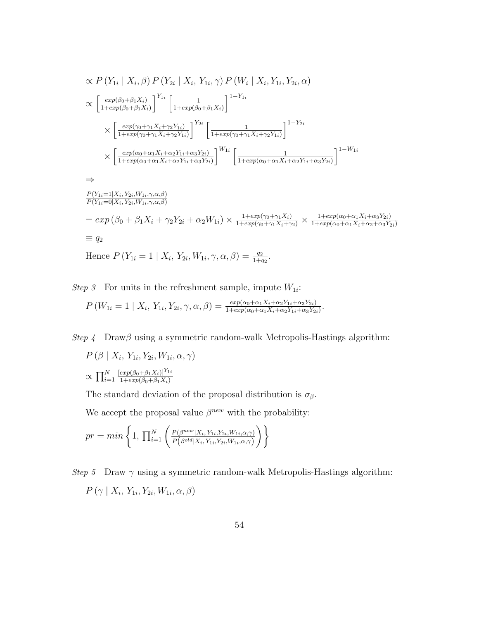$$
\alpha P(Y_{1i} | X_i, \beta) P(Y_{2i} | X_i, Y_{1i}, \gamma) P(W_i | X_i, Y_{1i}, Y_{2i}, \alpha)
$$
\n
$$
\alpha \left[ \frac{\exp(\beta_0 + \beta_1 X_i)}{1 + \exp(\beta_0 + \beta_1 X_i)} \right]^{Y_{1i}} \left[ \frac{1}{1 + \exp(\beta_0 + \beta_1 X_i)} \right]^{1 - Y_{1i}}
$$
\n
$$
\times \left[ \frac{\exp(\gamma_0 + \gamma_1 X_i + \gamma_2 Y_{1i})}{1 + \exp(\gamma_0 + \gamma_1 X_i + \gamma_2 Y_{1i})} \right]^{Y_{2i}} \left[ \frac{1}{1 + \exp(\gamma_0 + \gamma_1 X_i + \gamma_2 Y_{1i})} \right]^{1 - Y_{2i}}
$$
\n
$$
\times \left[ \frac{\exp(\alpha_0 + \alpha_1 X_i + \alpha_2 Y_{1i} + \alpha_3 Y_{2i})}{1 + \exp(\alpha_0 + \alpha_1 X_i + \alpha_2 Y_{1i} + \alpha_3 Y_{2i})} \right]^{W_{1i}} \left[ \frac{1}{1 + \exp(\alpha_0 + \alpha_1 X_i + \alpha_2 Y_{1i} + \alpha_3 Y_{2i})} \right]^{1 - W_{1i}}
$$
\n
$$
\Rightarrow
$$
\n
$$
\frac{P(Y_{1i} = 1 | X_i, Y_{2i}, W_{1i}, \gamma, \alpha, \beta)}{P(Y_{1i} = 0 | X_i, Y_{2i}, W_{1i}, \gamma, \alpha, \beta)}
$$
\n
$$
= \exp(\beta_0 + \beta_1 X_i + \gamma_2 Y_{2i} + \alpha_2 W_{1i}) \times \frac{1 + \exp(\gamma_0 + \gamma_1 X_i)}{1 + \exp(\gamma_0 + \gamma_1 X_i + \gamma_2)} \times \frac{1 + \exp(\alpha_0 + \alpha_1 X_i + \alpha_3 Y_{2i})}{1 + \exp(\alpha_0 + \alpha_1 X_i + \alpha_2 + \alpha_3 Y_{2i})}
$$
\n
$$
\equiv q_2
$$
\nHence  $P(Y_{1i} = 1 | X_i, Y_{2i}, W_{1i}, \gamma, \alpha, \beta) = \frac{q_2}{1 + q_2}.$ 

Step 3 For units in the refreshment sample, impute  $W_{1i}$ :

$$
P(W_{1i} = 1 | X_i, Y_{1i}, Y_{2i}, \gamma, \alpha, \beta) = \frac{exp(\alpha_0 + \alpha_1 X_i + \alpha_2 Y_{1i} + \alpha_3 Y_{2i})}{1 + exp(\alpha_0 + \alpha_1 X_i + \alpha_2 Y_{1i} + \alpha_3 Y_{2i})}.
$$

Step 4 Draw $\beta$  using a symmetric random-walk Metropolis-Hastings algorithm:

 $P(\beta | X_i, Y_{1i}, Y_{2i}, W_{1i}, \alpha, \gamma)$  $\propto \prod_{i=1}^N$  $[exp(\beta_0+\beta_1X_i)]^{Y_{1i}}$  $1+exp(\beta_0+\beta_1X_i)$ 

The standard deviation of the proposal distribution is  $\sigma_{\beta}$ .

We accept the proposal value  $\beta^{new}$  with the probability:

$$
pr = min\left\{1, \prod_{i=1}^{N} \left( \frac{P(\beta^{new}|X_i, Y_{1i}, Y_{2i}, W_{1i}, \alpha, \gamma)}{P(\beta^{old}|X_i, Y_{1i}, Y_{2i}, W_{1i}, \alpha, \gamma)} \right) \right\}
$$

Step 5 Draw  $\gamma$  using a symmetric random-walk Metropolis-Hastings algorithm:  $P(\gamma \mid X_i, Y_{1i}, Y_{2i}, W_{1i}, \alpha, \beta)$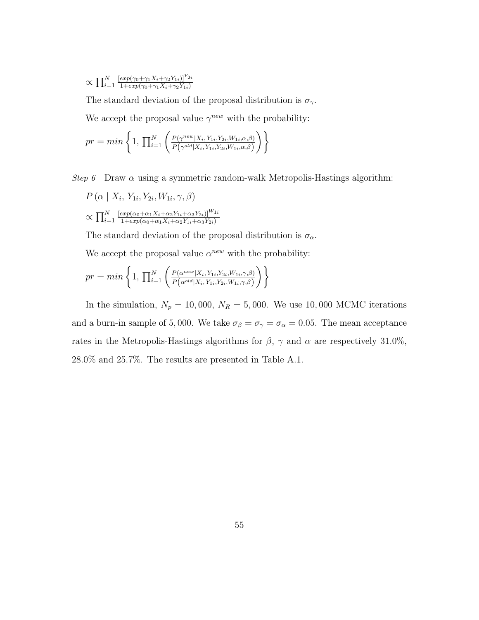$$
\propto \prod_{i=1}^{N} \frac{\left[ \exp(\gamma_0 + \gamma_1 X_i + \gamma_2 Y_{1i}) \right]^{Y_{2i}}}{1 + \exp(\gamma_0 + \gamma_1 X_i + \gamma_2 Y_{1i})}
$$

The standard deviation of the proposal distribution is  $\sigma_\gamma.$ We accept the proposal value  $\gamma^{new}$  with the probability:

$$
pr = min\left\{1, \prod_{i=1}^{N} \left( \frac{P(\gamma^{new}|X_i, Y_{1i}, Y_{2i}, W_{1i}, \alpha, \beta)}{P(\gamma^{old}|X_i, Y_{1i}, Y_{2i}, W_{1i}, \alpha, \beta)} \right) \right\}
$$

Step 6 Draw  $\alpha$  using a symmetric random-walk Metropolis-Hastings algorithm:

$$
P(\alpha | X_i, Y_{1i}, Y_{2i}, W_{1i}, \gamma, \beta)
$$
  
 
$$
\propto \prod_{i=1}^{N} \frac{[exp(\alpha_0 + \alpha_1 X_i + \alpha_2 Y_{1i} + \alpha_3 Y_{2i})]^{W_{1i}}}{1 + exp(\alpha_0 + \alpha_1 X_i + \alpha_2 Y_{1i} + \alpha_3 Y_{2i})}
$$

The standard deviation of the proposal distribution is  $\sigma_{\alpha}$ .

We accept the proposal value  $\alpha^{new}$  with the probability:

$$
pr = min\left\{1, \prod_{i=1}^{N} \left( \frac{P(\alpha^{new}|X_i, Y_{1i}, Y_{2i}, W_{1i}, \gamma, \beta)}{P(\alpha^{old}|X_i, Y_{1i}, Y_{2i}, W_{1i}, \gamma, \beta)} \right) \right\}
$$

In the simulation,  $N_p = 10,000, N_R = 5,000$ . We use 10,000 MCMC iterations and a burn-in sample of 5,000. We take  $\sigma_{\beta} = \sigma_{\gamma} = \sigma_{\alpha} = 0.05$ . The mean acceptance rates in the Metropolis-Hastings algorithms for  $\beta$ ,  $\gamma$  and  $\alpha$  are respectively 31.0%, 28.0% and 25.7%. The results are presented in Table [A.1.](#page-65-0)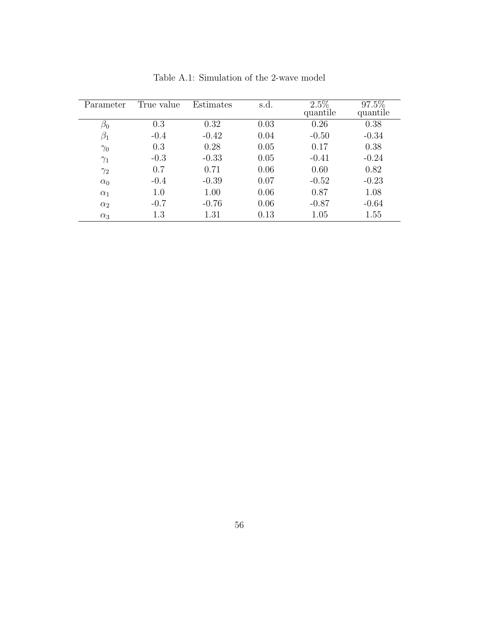| Parameter  | True value | Estimates | s.d. | $2.5\%$<br>quantile | $97.5\%$<br>quantile |
|------------|------------|-----------|------|---------------------|----------------------|
| $\beta_0$  | 0.3        | 0.32      | 0.03 | 0.26                | 0.38                 |
| $\beta_1$  | $-0.4$     | $-0.42$   | 0.04 | $-0.50$             | $-0.34$              |
| $\gamma_0$ | 0.3        | 0.28      | 0.05 | 0.17                | 0.38                 |
| $\gamma_1$ | $-0.3$     | $-0.33$   | 0.05 | $-0.41$             | $-0.24$              |
| $\gamma_2$ | 0.7        | 0.71      | 0.06 | 0.60                | 0.82                 |
| $\alpha_0$ | $-0.4$     | $-0.39$   | 0.07 | $-0.52$             | $-0.23$              |
| $\alpha_1$ | 1.0        | 1.00      | 0.06 | 0.87                | 1.08                 |
| $\alpha_2$ | $-0.7$     | $-0.76$   | 0.06 | $-0.87$             | $-0.64$              |
| $\alpha_3$ | 1.3        | 1.31      | 0.13 | 1.05                | 1.55                 |

<span id="page-65-0"></span>Table A.1: Simulation of the 2-wave model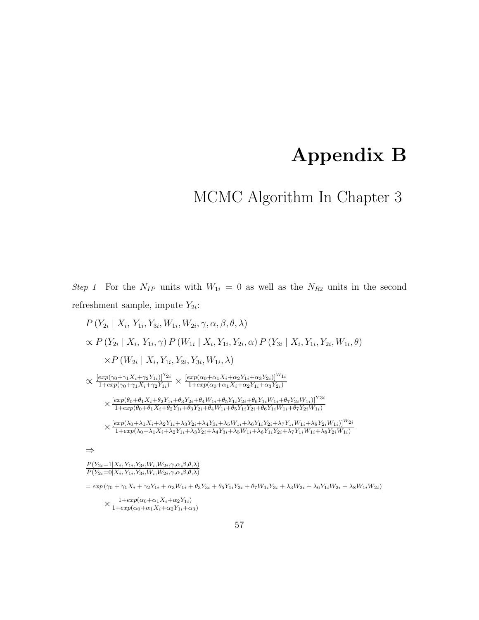# Appendix B

MCMC Algorithm In Chapter [3](#page-24-0)

Step 1 For the  $N_{IP}$  units with  $W_{1i} = 0$  as well as the  $N_{R2}$  units in the second refreshment sample, impute  $Y_{2i}$ :

 $P(Y_{2i} | X_i, Y_{1i}, Y_{3i}, W_{1i}, W_{2i}, \gamma, \alpha, \beta, \theta, \lambda)$  $\propto P(Y_{2i} | X_i, Y_{1i}, \gamma) P(W_{1i} | X_i, Y_{1i}, Y_{2i}, \alpha) P(Y_{3i} | X_i, Y_{1i}, Y_{2i}, W_{1i}, \theta)$  $\times P(W_{2i} | X_i, Y_{1i}, Y_{2i}, Y_{3i}, W_{1i}, \lambda)$  $\propto \frac{[exp(\gamma_0+\gamma_1X_i+\gamma_2Y_{1i})]^{Y_{2i}}}{1+exp(\gamma_0+\gamma_1X_i+\gamma_2Y_{1i})} \times \frac{[exp(\alpha_0+\alpha_1X_i+\alpha_2Y_{1i}+\alpha_3Y_{2i})]^{W_{1i}}}{1+exp(\alpha_0+\alpha_1X_i+\alpha_2Y_{1i}+\alpha_3Y_{2i})}$  $1+exp(\alpha_0+\alpha_1X_i+\alpha_2Y_{1i}+\alpha_3Y_{2i})$  $\times \frac{[exp(\theta_0+\theta_1X_i+\theta_2Y_{1i}+\theta_3Y_{2i}+\theta_4W_{1i}+\theta_5Y_{1i}Y_{2i}+\theta_6Y_{1i}W_{1i}+\theta_7Y_{2i}W_{1i})]^{Y3i}}{1+exp(\theta_0+\theta_1X_i+\theta_2Y_i+\theta_3Y_i+\theta_4W_i+\theta_5Y_iY_i+ \theta_7Y_iW_i+\theta_7Y_iW_i+ \theta_7Y_iW_{1i})}$  $1+exp(\theta_0+\theta_1X_i+\theta_2Y_{1i}+\theta_3Y_{2i}+\theta_4W_{1i}+\theta_5Y_{1i}Y_{2i}+\theta_6Y_{1i}W_{1i}+\theta_7Y_{2i}W_{1i})$  $\times \frac{[exp(\lambda_0 + \lambda_1 X_i + \lambda_2 Y_{1i} + \lambda_3 Y_{2i} + \lambda_4 Y_{3i} + \lambda_5 W_{1i} + \lambda_6 Y_{1i} Y_{2i} + \lambda_7 Y_{1i} W_{1i} + \lambda_8 Y_{2i} W_{1i})]^{W_{2i}}}{1 + exp(\lambda_0 + \lambda_1 X + \lambda_2 Y_{1i} + \lambda_3 Y_{2i} + \lambda_4 Y_{2i} + \lambda_5 W_{1i} + \lambda_2 Y_{1i} Y_{2i} + \lambda_7 Y_{1i} W_{1i} + \lambda_8 Y_{2i} W_{1i})}$  $1+exp(\lambda_0+\lambda_1X_i+\lambda_2Y_{1i}+\lambda_3Y_{2i}+\lambda_4Y_{3i}+\lambda_5W_{1i}+\lambda_6Y_{1i}Y_{2i}+\lambda_7Y_{1i}W_{1i}+\lambda_8Y_{2i}W_{1i})$ ⇒

 $P(Y_{2i}=1|X_i, Y_{1i}, Y_{3i}, W_i, W_{2i}, \gamma, \alpha, \beta, \theta, \lambda)$  $P(Y_{2i}=0|X_i, Y_{1i}, Y_{3i}, W_i, W_{2i}, \gamma, \alpha, \beta, \theta, \lambda)$ 

 $= exp(\gamma_0 + \gamma_1 X_i + \gamma_2 Y_{1i} + \alpha_3 W_{1i} + \theta_3 Y_{3i} + \theta_5 Y_{1i} Y_{3i} + \theta_7 W_{1i} Y_{3i} + \lambda_3 W_{2i} + \lambda_6 Y_{1i} W_{2i} + \lambda_8 W_{1i} W_{2i})$ 

 $\times \frac{1+exp(\alpha_0+\alpha_1X_i+\alpha_2Y_{1i})}{1+exp(\alpha_0+\alpha_1X_i+\alpha_2Y_{1i})}$  $1+exp(\alpha_0+\alpha_1X_i+\alpha_2Y_{1i}+\alpha_3)$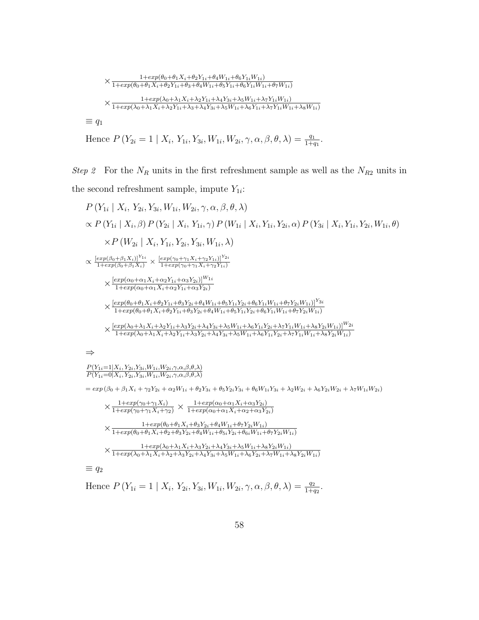$$
\times \frac{1+exp(\theta_0+\theta_1 X_i+\theta_2 Y_{1i}+\theta_4 W_{1i}+\theta_6 Y_{1i} W_{1i})}{1+exp(\theta_0+\theta_1 X_i+\theta_2 Y_{1i}+\theta_3+\theta_4 W_{1i}+\theta_5 Y_{1i}+\theta_6 Y_{1i} W_{1i}+\theta_7 W_{1i})}
$$
\n
$$
\times \frac{1+exp(\lambda_0+\lambda_1 X_i+\lambda_2 Y_{1i}+\lambda_4 Y_{3i}+\lambda_5 W_{1i}+\lambda_7 Y_{1i} W_{1i})}{1+exp(\lambda_0+\lambda_1 X_i+\lambda_2 Y_{1i}+\lambda_3+\lambda_4 Y_{3i}+\lambda_5 W_{1i}+\lambda_6 Y_{1i}+\lambda_7 Y_{1i} W_{1i}+\lambda_8 W_{1i})}
$$
\n
$$
\equiv q_1
$$

Hence  $P(Y_{2i} = 1 | X_i, Y_{1i}, Y_{3i}, W_{1i}, W_{2i}, \gamma, \alpha, \beta, \theta, \lambda) = \frac{q_1}{1+q_1}.$ 

Step 2 For the  $N_R$  units in the first refreshment sample as well as the  $N_{R2}$  units in the second refreshment sample, impute  $Y_{1i}$ :

$$
P(Y_{1i} | X_i, Y_{2i}, Y_{3i}, W_{1i}, W_{2i}, \gamma, \alpha, \beta, \theta, \lambda)
$$
  
\n
$$
\propto P(Y_{1i} | X_i, \beta) P(Y_{2i} | X_i, Y_{1i}, \gamma) P(W_{1i} | X_i, Y_{1i}, Y_{2i}, \alpha) P(Y_{3i} | X_i, Y_{1i}, Y_{2i}, W_{1i}, \theta)
$$
  
\n
$$
\times P(W_{2i} | X_i, Y_{1i}, Y_{2i}, Y_{3i}, W_{1i}, \lambda)
$$
  
\n
$$
\propto \frac{[exp(\beta_0 + \beta_1 X_i)]^{Y_{1i}}}{1 + exp(\beta_0 + \beta_1 X_i)} \times \frac{[exp(\gamma_0 + \gamma_1 X_i + \gamma_2 Y_{1i})]^{Y_{2i}}}{1 + exp(\gamma_0 + \gamma_1 X_i + \gamma_2 Y_{1i})}
$$
  
\n
$$
\times \frac{[exp(\alpha_0 + \alpha_1 X_i + \alpha_2 Y_{1i} + \alpha_3 Y_{2i})]^{W_{1i}}}{1 + exp(\alpha_0 + \alpha_1 X_i + \alpha_2 Y_{1i} + \alpha_3 Y_{2i})}
$$
  
\n
$$
\times \frac{[exp(\theta_0 + \theta_1 X_i + \theta_2 Y_{1i} + \theta_3 Y_{2i} + \theta_4 W_{1i} + \theta_5 Y_{1i} Y_{2i} + \theta_6 Y_{1i} W_{1i} + \theta_7 Y_{2i} W_{1i})]^{Y_{3i}}}{1 + exp(\theta_0 + \theta_1 X_i + \theta_2 Y_{1i} + \theta_3 Y_{2i} + \theta_4 W_{1i} + \theta_5 Y_{1i} Y_{2i} + \theta_6 Y_{1i} W_{1i} + \theta_7 Y_{2i} W_{1i})}
$$
  
\n
$$
\times \frac{[exp(\lambda_0 + \lambda_1 X_i + \lambda_2 Y_{1i} + \lambda_3 Y_{2i} + \lambda_4 Y_{3i} + \lambda_5 W_{1i} + \lambda_6 Y_{1i} Y_{2i} + \lambda_7 Y_{1i} W_{1i} + \lambda_8 Y_{2i} W_{1i})]^{W_{2i}}}{1 + exp(\lambda_0 + \lambda_1 X_i + \lambda_2 Y_{1i} + \lambda_3 Y_{2i} + \lambda_4 Y_{3i} + \lambda_
$$

⇒

 $P(Y_{1i}=1|X_i, Y_{2i}, Y_{3i}, W_{1i}, W_{2i}, \gamma, \alpha, \beta, \theta, \lambda)$  $P(Y_{1i}=0|X_i, Y_{2i}, Y_{3i}, W_{1i}, W_{2i}, \gamma, \alpha, \beta, \theta, \lambda)$ 

 $= exp (\beta_0 + \beta_1 X_i + \gamma_2 Y_{2i} + \alpha_2 W_{1i} + \theta_2 Y_{3i} + \theta_5 Y_{2i} Y_{3i} + \theta_6 W_{1i} Y_{3i} + \lambda_2 W_{2i} + \lambda_6 Y_{2i} W_{2i} + \lambda_7 W_{1i} W_{2i})$ 

$$
\times \frac{1+exp(\gamma_0+\gamma_1 X_i)}{1+exp(\gamma_0+\gamma_1 X_i+\gamma_2)} \times \frac{1+exp(\alpha_0+\alpha_1 X_i+\alpha_3 Y_{2i})}{1+exp(\alpha_0+\alpha_1 X_i+\alpha_2+\alpha_3 Y_{2i})}
$$
  

$$
\times \frac{1+exp(\theta_0+\theta_1 X_i+\theta_3 Y_{2i}+\theta_4 W_{1i}+\theta_7 Y_{2i} W_{1i})}{1+exp(\theta_0+\theta_1 X_i+\theta_2+\theta_3 Y_{2i}+\theta_4 W_{1i}+\theta_5_i Y_{2i}+\theta_6 W_{1i}+\theta_7 Y_{2i} W_{1i})}
$$
  

$$
\times \frac{1+exp(\lambda_0+\lambda_1 X_i+\lambda_3 Y_{2i}+\lambda_4 Y_{3i}+\lambda_5 W_{1i}+\lambda_8 Y_{2i} W_{1i})}{1+exp(\lambda_0+\lambda_1 X_i+\lambda_2+\lambda_3 Y_{2i}+\lambda_4 Y_{3i}+\lambda_5 W_{1i}+\lambda_6 Y_{2i}+\lambda_7 W_{1i}+\lambda_8 Y_{2i} W_{1i})}
$$

 $\equiv q_2$ 

Hence  $P(Y_{1i} = 1 | X_i, Y_{2i}, Y_{3i}, W_{1i}, W_{2i}, \gamma, \alpha, \beta, \theta, \lambda) = \frac{q_2}{1 + q_2}.$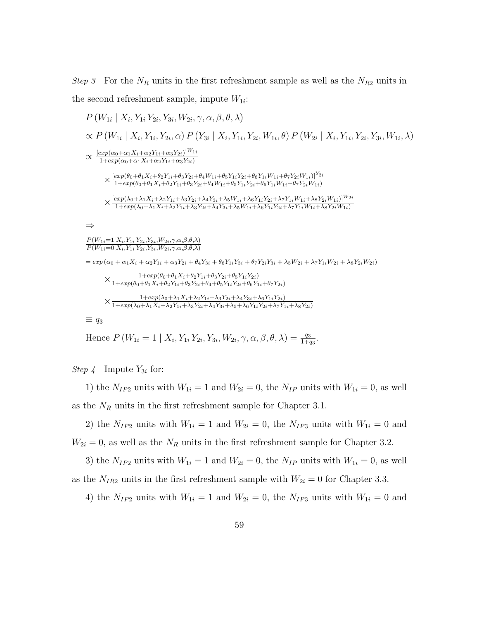Step 3 For the  $N_R$  units in the first refreshment sample as well as the  $N_{R2}$  units in the second refreshment sample, impute  $W_{1i}$ :

$$
P(W_{1i} | X_i, Y_{1i} Y_{2i}, Y_{3i}, W_{2i}, \gamma, \alpha, \beta, \theta, \lambda)
$$
  
\n
$$
\propto P(W_{1i} | X_i, Y_{1i}, Y_{2i}, \alpha) P(Y_{3i} | X_i, Y_{1i}, Y_{2i}, W_{1i}, \theta) P(W_{2i} | X_i, Y_{1i}, Y_{2i}, Y_{3i}, W_{1i}, \lambda)
$$
  
\n
$$
\propto \frac{[exp(\alpha_0 + \alpha_1 X_i + \alpha_2 Y_{1i} + \alpha_3 Y_{2i})]^{W_{1i}}}{1 + exp(\alpha_0 + \alpha_1 X_i + \alpha_2 Y_{1i} + \alpha_3 Y_{2i})}
$$
  
\n
$$
\times \frac{[exp(\theta_0 + \theta_1 X_i + \theta_2 Y_{1i} + \alpha_3 Y_{2i})]}{1 + exp(\theta_0 + \theta_1 X_i + \theta_2 Y_{1i} + \theta_3 Y_{2i} + \theta_4 W_{1i} + \theta_5 Y_{1i} Y_{2i} + \theta_6 Y_{1i} W_{1i} + \theta_7 Y_{2i} W_{1i})]^{Y_{3i}}}
$$
  
\n
$$
\times \frac{[exp(\alpha_0 + \alpha_1 X_i + \alpha_2 Y_{1i} + \alpha_3 Y_{2i} + \alpha_4 W_{1i} + \alpha_5 Y_{1i} Y_{2i} + \alpha_6 Y_{1i} W_{1i} + \alpha_7 Y_{2i} W_{1i})]}{1 + exp(\alpha_0 + \lambda_1 X_i + \lambda_2 Y_{1i} + \lambda_3 Y_{2i} + \lambda_4 Y_{3i} + \lambda_5 W_{1i} + \lambda_6 Y_{1i} Y_{2i} + \lambda_7 Y_{1i} W_{1i} + \lambda_8 Y_{2i} W_{1i})}
$$
  
\n
$$
\Rightarrow
$$
  
\n
$$
\frac{P(W_{1i} = 1 | X_i, Y_{1i} Y_{2i}, Y_{3i}, W_{2i}, \gamma, \alpha, \beta, \beta, \lambda)}{P(W_{1i} = 0 | X_i, Y_{1i} Y_{2i}, Y_{3i}, W_{2i}, \gamma, \alpha, \beta, \beta, \lambda)}
$$
  
\n
$$
= exp(\alpha_0 + \alpha_1 X_i + \alpha_2 Y_{1i} + \alpha_3 Y_{2i} + \theta_4 Y
$$

Hence  $P(W_{1i} = 1 | X_i, Y_{1i} Y_{2i}, Y_{3i}, W_{2i}, \gamma, \alpha, \beta, \theta, \lambda) = \frac{q_3}{1+q_3}.$ 

*Step 4* Impute  $Y_{3i}$  for:

1) the  $N_{IP2}$  units with  $W_{1i} = 1$  and  $W_{2i} = 0$ , the  $N_{IP}$  units with  $W_{1i} = 0$ , as well as the  $N_R$  units in the first refreshment sample for Chapter [3.1.](#page-28-0)

2) the  $N_{IP2}$  units with  $W_{1i} = 1$  and  $W_{2i} = 0$ , the  $N_{IP3}$  units with  $W_{1i} = 0$  and  $W_{2i} = 0$ , as well as the  $N_R$  units in the first refreshment sample for Chapter [3.2.](#page-33-0)

3) the  $N_{IP2}$  units with  $W_{1i} = 1$  and  $W_{2i} = 0$ , the  $N_{IP}$  units with  $W_{1i} = 0$ , as well as the  $N_{IR2}$  units in the first refreshment sample with  $W_{2i} = 0$  for Chapter [3.3.](#page-37-0)

4) the  $N_{IP2}$  units with  $W_{1i} = 1$  and  $W_{2i} = 0$ , the  $N_{IP3}$  units with  $W_{1i} = 0$  and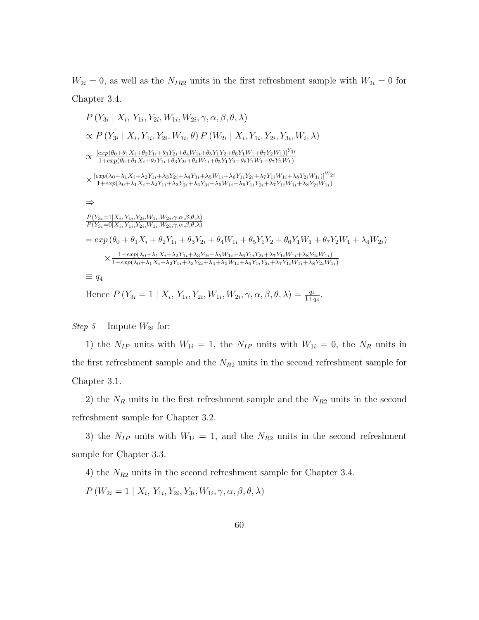$W_{2i} = 0$ , as well as the  $N_{IR2}$  units in the first refreshment sample with  $W_{2i} = 0$  for Chapter [3.4.](#page-41-0)

$$
P(Y_{3i} | X_i, Y_{1i}, Y_{2i}, W_{1i}, W_{2i}, \gamma, \alpha, \beta, \theta, \lambda)
$$
  
\n
$$
\propto P(Y_{3i} | X_i, Y_{1i}, Y_{2i}, W_{1i}, \theta) P(W_{2i} | X_i, Y_{1i}, Y_{2i}, Y_{3i}, W_i, \lambda)
$$
  
\n
$$
\propto \frac{[exp(\theta_0 + \theta_1 X_i + \theta_2 Y_{1i} + \theta_3 Y_{2i} + \theta_4 W_{1i} + \theta_5 Y_1 Y_2 + \theta_6 Y_1 W_1 + \theta_7 Y_2 W_1)]^{Y_{3i}}}{1 + exp(\theta_0 + \theta_1 X_i + \theta_2 Y_{1i} + \theta_3 Y_{2i} + \theta_4 W_{1i} + \theta_5 Y_1 Y_2 + \theta_6 Y_1 W_1 + \theta_7 Y_2 W_1)}
$$
  
\n
$$
\times \frac{[exp(\lambda_0 + \lambda_1 X_i + \lambda_2 Y_{1i} + \lambda_3 Y_{2i} + \lambda_4 Y_{3i} + \lambda_5 W_{1i} + \lambda_6 Y_{1i} Y_{2i} + \lambda_7 Y_{1i} W_{1i} + \lambda_8 Y_{2i} W_{1i})]^{W_{2i}}}{1 + exp(\lambda_0 + \lambda_1 X_i + \lambda_2 Y_{1i} + \lambda_3 Y_{2i} + \lambda_4 Y_{3i} + \lambda_5 W_{1i} + \lambda_6 Y_{1i} Y_{2i} + \lambda_7 Y_{1i} W_{1i} + \lambda_8 Y_{2i} W_{1i})}
$$
  
\n
$$
\Rightarrow
$$
  
\n
$$
\frac{P(Y_{3i} = 1 | X_i, Y_{1i}, Y_{2i}, W_{1i}, W_{2i}, \gamma, \alpha, \beta, \theta, \lambda)}{P(Y_{3i} = 0 | X_i, Y_{1i}, Y_{2i}, W_{1i}, W_{2i}, \gamma, \alpha, \beta, \theta, \lambda)}
$$
  
\n
$$
= exp(\theta_0 + \theta_1 X_i + \theta_2 Y_{1i} + \theta_3 Y_{2i} + \theta_4 W_{1i} + \theta_5 Y_1 Y_2 + \theta_6 Y_1 W_1 + \theta_7 Y_2 W_1 + \lambda_4 W_{2i})
$$
  
\n
$$
\times \frac{1 + exp(\lambda_0
$$

Hence  $P(Y_{3i} = 1 | X_i, Y_{1i}, Y_{2i}, W_{1i}, W_{2i}, \gamma, \alpha, \beta, \theta, \lambda) = \frac{q_4}{1+q_4}.$ 

Step 5 Impute  $W_{2i}$  for:

1) the  $N_{IP}$  units with  $W_{1i} = 1$ , the  $N_{IP}$  units with  $W_{1i} = 0$ , the  $N_R$  units in the first refreshment sample and the  $N_{R2}$  units in the second refreshment sample for Chapter [3.1.](#page-28-0)

2) the  $N_R$  units in the first refreshment sample and the  $N_{R2}$  units in the second refreshment sample for Chapter [3.2.](#page-33-0)

3) the  $N_{IP}$  units with  $W_{1i} = 1$ , and the  $N_{R2}$  units in the second refreshment sample for Chapter [3.3.](#page-37-0)

4) the  $N_{R2}$  units in the second refreshment sample for Chapter [3.4.](#page-41-0)

 $P(W_{2i} = 1 | X_i, Y_{1i}, Y_{2i}, Y_{3i}, W_{1i}, \gamma, \alpha, \beta, \theta, \lambda)$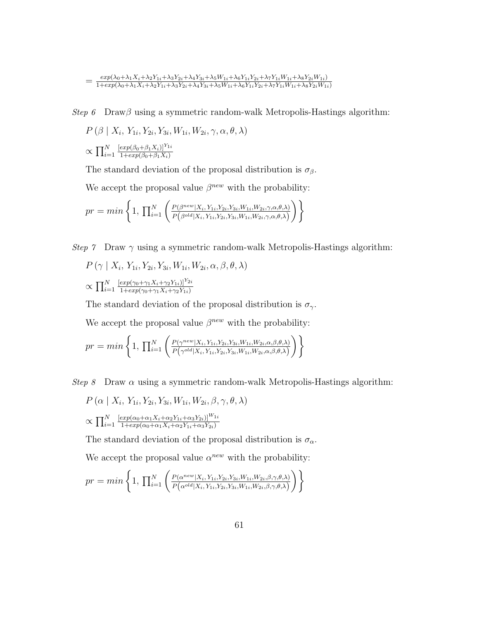$$
=\frac{\exp(\lambda_0+\lambda_1 X_i+\lambda_2 Y_{1i}+\lambda_3 Y_{2i}+\lambda_4 Y_{3i}+\lambda_5 W_{1i}+\lambda_6 Y_{1i} Y_{2i}+\lambda_7 Y_{1i} W_{1i}+\lambda_8 Y_{2i} W_{1i})}{1+\exp(\lambda_0+\lambda_1 X_i+\lambda_2 Y_{1i}+\lambda_3 Y_{2i}+\lambda_4 Y_{3i}+\lambda_5 W_{1i}+\lambda_6 Y_{1i} Y_{2i}+\lambda_7 Y_{1i} W_{1i}+\lambda_8 Y_{2i} W_{1i})}
$$

Step 6 Draw $\beta$  using a symmetric random-walk Metropolis-Hastings algorithm:

$$
P(\beta | X_i, Y_{1i}, Y_{2i}, Y_{3i}, W_{1i}, W_{2i}, \gamma, \alpha, \theta, \lambda)
$$

$$
\propto \prod_{i=1}^N \frac{\left[\exp(\beta_0 + \beta_1 X_i)\right]^{Y_{1i}}}{1 + \exp(\beta_0 + \beta_1 X_i)}
$$

The standard deviation of the proposal distribution is  $\sigma_{\beta}$ .

We accept the proposal value  $\beta^{new}$  with the probability:

$$
pr = min\left\{1, \prod_{i=1}^{N} \left(\frac{P(\beta^{new}|X_i, Y_{1i}, Y_{2i}, Y_{3i}, W_{1i}, W_{2i}, \gamma, \alpha, \theta, \lambda)}{P(\beta^{old}|X_i, Y_{1i}, Y_{2i}, Y_{3i}, W_{1i}, W_{2i}, \gamma, \alpha, \theta, \lambda)}\right)\right\}
$$

Step 7 Draw  $\gamma$  using a symmetric random-walk Metropolis-Hastings algorithm:

$$
P(\gamma \mid X_i, Y_{1i}, Y_{2i}, Y_{3i}, W_{1i}, W_{2i}, \alpha, \beta, \theta, \lambda)
$$

$$
\propto \prod_{i=1}^{N} \frac{[exp(\gamma_0 + \gamma_1 X_i + \gamma_2 Y_{1i})]^{Y_{2i}}}{1 + exp(\gamma_0 + \gamma_1 X_i + \gamma_2 Y_{1i})}
$$

The standard deviation of the proposal distribution is  $\sigma_{\gamma}$ .

We accept the proposal value  $\beta^{new}$  with the probability:

$$
pr = min\left\{1, \prod_{i=1}^{N} \left(\frac{P(\gamma^{new}|X_i, Y_{1i}, Y_{2i}, Y_{3i}, W_{1i}, W_{2i}, \alpha, \beta, \theta, \lambda)}{P(\gamma^{old}|X_i, Y_{1i}, Y_{2i}, Y_{3i}, W_{1i}, W_{2i}, \alpha, \beta, \theta, \lambda)}\right)\right\}
$$

Step 8 Draw  $\alpha$  using a symmetric random-walk Metropolis-Hastings algorithm:

$$
P\left(\alpha \mid X_i, Y_{1i}, Y_{2i}, Y_{3i}, W_{1i}, W_{2i}, \beta, \gamma, \theta, \lambda\right)
$$

$$
\propto \prod_{i=1}^N \frac{\left[\exp(\alpha_0 + \alpha_1 X_i + \alpha_2 Y_{1i} + \alpha_3 Y_{2i})\right]^{W_{1i}}}{1 + \exp(\alpha_0 + \alpha_1 X_i + \alpha_2 Y_{1i} + \alpha_3 Y_{2i})}
$$

The standard deviation of the proposal distribution is  $\sigma_\alpha.$ 

We accept the proposal value  $\alpha^{new}$  with the probability:

$$
pr = min\left\{1, \prod_{i=1}^{N} \left( \frac{P(\alpha^{new}|X_i, Y_{1i}, Y_{2i}, Y_{3i}, W_{1i}, W_{2i}, \beta, \gamma, \theta, \lambda)}{P(\alpha^{old}|X_i, Y_{1i}, Y_{2i}, Y_{3i}, W_{1i}, W_{2i}, \beta, \gamma, \theta, \lambda)} \right) \right\}
$$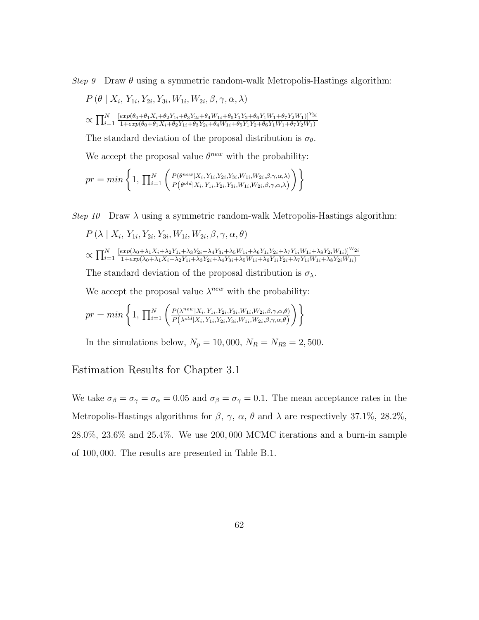Step 9 Draw  $\theta$  using a symmetric random-walk Metropolis-Hastings algorithm:

$$
P(\theta | X_i, Y_{1i}, Y_{2i}, Y_{3i}, W_{1i}, W_{2i}, \beta, \gamma, \alpha, \lambda)
$$
  

$$
\propto \prod_{i=1}^{N} \frac{[exp(\theta_0 + \theta_1 X_i + \theta_2 Y_{1i} + \theta_3 Y_{2i} + \theta_4 W_{1i} + \theta_5 Y_1 Y_2 + \theta_6 Y_1 W_1 + \theta_7 Y_2 W_1)]^{Y_{3i}}}{1 + exp(\theta_0 + \theta_1 X_i + \theta_2 Y_{1i} + \theta_3 Y_{2i} + \theta_4 W_{1i} + \theta_5 Y_1 Y_2 + \theta_6 Y_1 W_1 + \theta_7 Y_2 W_1)}
$$

The standard deviation of the proposal distribution is  $\sigma_{\theta}$ .

We accept the proposal value  $\theta^{new}$  with the probability:

$$
pr = min\left\{1, \prod_{i=1}^{N} \left( \frac{P(\theta^{new}|X_i, Y_{1i}, Y_{2i}, Y_{3i}, W_{1i}, W_{2i}, \beta, \gamma, \alpha, \lambda)}{P(\theta^{old}|X_i, Y_{1i}, Y_{2i}, Y_{3i}, W_{1i}, W_{2i}, \beta, \gamma, \alpha, \lambda)} \right) \right\}
$$

Step 10 Draw  $\lambda$  using a symmetric random-walk Metropolis-Hastings algorithm:

$$
P\left(\lambda \mid X_i, Y_{1i}, Y_{2i}, Y_{3i}, W_{1i}, W_{2i}, \beta, \gamma, \alpha, \theta\right)
$$
  

$$
\sim \mathbf{\Pi}^N \left[\exp(\lambda_0 + \lambda_1 X_i + \lambda_2 Y_{1i} + \lambda_3 Y_{2i} + \lambda_4 Y_{3i} + \lambda_5 W_{1i} + \lambda_6 Y_{1i} Y_{2i} + \lambda_7 Y_{1i} W_{1i} + \lambda_8 Y_{2i} W_{1i})\right]^{W_{2i}}
$$

$$
\propto \prod_{i=1}^N \frac{[\exp(\lambda_0 + \lambda_1 X_i + \lambda_2 Y_{1i} + \lambda_3 Y_{2i} + \lambda_4 Y_{3i} + \lambda_5 W_{1i} + \lambda_6 Y_{1i} Y_{2i} + \lambda_7 Y_{1i} W_{1i} + \lambda_8 Y_{2i} W_{1i})]^{W_{2i}}}{1 + \exp(\lambda_0 + \lambda_1 X_i + \lambda_2 Y_{1i} + \lambda_3 Y_{2i} + \lambda_4 Y_{3i} + \lambda_5 W_{1i} + \lambda_6 Y_{1i} Y_{2i} + \lambda_7 Y_{1i} W_{1i} + \lambda_8 Y_{2i} W_{1i})}
$$

The standard deviation of the proposal distribution is  $\sigma_{\lambda}$ .

We accept the proposal value  $\lambda^{new}$  with the probability:

$$
pr = min \left\{ 1, \, \prod_{i=1}^{N} \left( \frac{P(\lambda^{new} | X_i, Y_{1i}, Y_{2i}, Y_{3i}, W_{1i}, W_{2i}, \beta, \gamma, \alpha, \theta)}{P(\lambda^{old} | X_i, Y_{1i}, Y_{2i}, Y_{3i}, W_{1i}, W_{2i}, \beta, \gamma, \alpha, \theta)} \right) \right\}
$$

In the simulations below,  $N_p = 10,000, N_R = N_{R2} = 2,500$ .

### Estimation Results for Chapter [3.1](#page-28-0)

We take  $\sigma_{\beta} = \sigma_{\gamma} = \sigma_{\alpha} = 0.05$  and  $\sigma_{\beta} = \sigma_{\gamma} = 0.1$ . The mean acceptance rates in the Metropolis-Hastings algorithms for  $\beta$ ,  $\gamma$ ,  $\alpha$ ,  $\theta$  and  $\lambda$  are respectively 37.1%, 28.2%, 28.0%, 23.6% and 25.4%. We use 200, 000 MCMC iterations and a burn-in sample of 100, 000. The results are presented in Table [B.1.](#page-72-0)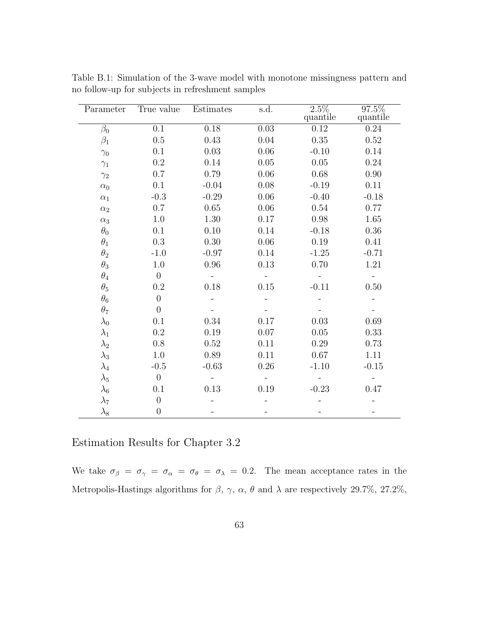| Parameter   | True value       | Estimates | s.d.     | $2.5\%$<br>quantile | 97.5%<br>quantile |
|-------------|------------------|-----------|----------|---------------------|-------------------|
| $\beta_0$   | 0.1              | 0.18      | $0.03\,$ | 0.12                | 0.24              |
| $\beta_1$   | 0.5              | 0.43      | 0.04     | $0.35\,$            | 0.52              |
|             | 0.1              | 0.03      | 0.06     | $-0.10$             | 0.14              |
| $\gamma_0$  | 0.2              | 0.14      | 0.05     | $0.05\,$            | 0.24              |
| $\gamma_1$  | 0.7              | 0.79      | $0.06\,$ | 0.68                | 0.90              |
| $\gamma_2$  |                  |           |          |                     |                   |
| $\alpha_0$  | 0.1              | $-0.04$   | 0.08     | $-0.19$             | 0.11              |
| $\alpha_1$  | $-0.3$           | $-0.29$   | 0.06     | $-0.40$             | $-0.18$           |
| $\alpha_2$  | 0.7              | 0.65      | 0.06     | 0.54                | 0.77              |
| $\alpha_3$  | 1.0              | 1.30      | 0.17     | $0.98\,$            | 1.65              |
| $\theta_0$  | 0.1              | 0.10      | 0.14     | $-0.18$             | 0.36              |
| $\theta_1$  | $0.3\,$          | 0.30      | 0.06     | 0.19                | 0.41              |
| $\theta_2$  | $-1.0$           | $-0.97$   | 0.14     | $-1.25$             | $-0.71$           |
| $\theta_3$  | 1.0              | $0.96\,$  | 0.13     | 0.70                | $1.21\,$          |
| $\theta_4$  | $\theta$         |           |          |                     |                   |
| $\theta_5$  | 0.2              | 0.18      | $0.15\,$ | $-0.11$             | $0.50\,$          |
| $\theta_6$  | $\theta$         |           |          |                     |                   |
| $\theta_7$  | $\overline{0}$   |           |          |                     |                   |
| $\lambda_0$ | 0.1              | 0.34      | 0.17     | 0.03                | 0.69              |
| $\lambda_1$ | 0.2              | 0.19      | 0.07     | 0.05                | 0.33              |
| $\lambda_2$ | 0.8              | 0.52      | 0.11     | 0.29                | 0.73              |
| $\lambda_3$ | 1.0              | 0.89      | 0.11     | 0.67                | 1.11              |
| $\lambda_4$ | $-0.5$           | $-0.63$   | 0.26     | $-1.10$             | $-0.15$           |
| $\lambda_5$ | $\overline{0}$   |           |          |                     |                   |
| $\lambda_6$ | 0.1              | 0.13      | 0.19     | $-0.23$             | 0.47              |
| $\lambda_7$ | $\overline{0}$   |           |          |                     |                   |
| $\lambda_8$ | $\boldsymbol{0}$ |           |          |                     |                   |

Table B.1: Simulation of the 3-wave model with monotone missingness pattern and no follow-up for subjects in refreshment samples

Estimation Results for Chapter [3.2](#page-33-0)

We take  $\sigma_{\beta} = \sigma_{\gamma} = \sigma_{\alpha} = \sigma_{\theta} = \sigma_{\lambda} = 0.2$ . The mean acceptance rates in the Metropolis-Hastings algorithms for  $\beta$ ,  $\gamma$ ,  $\alpha$ ,  $\theta$  and  $\lambda$  are respectively 29.7%, 27.2%,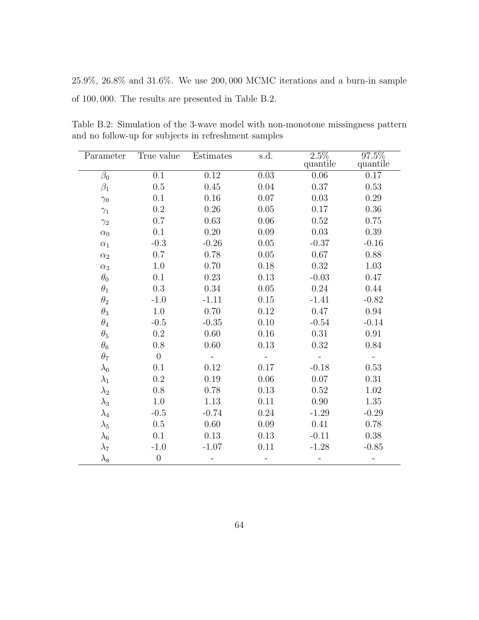25.9%, 26.8% and 31.6%. We use 200, 000 MCMC iterations and a burn-in sample of 100, 000. The results are presented in Table [B.2.](#page-73-0)

<span id="page-73-0"></span>Table B.2: Simulation of the 3-wave model with non-monotone missingness pattern and no follow-up for subjects in refreshment samples

| Parameter   | True value     | Estimates | s.d.     | $\overline{2.5\%}$<br>quantile | 97.5%<br>quantile |
|-------------|----------------|-----------|----------|--------------------------------|-------------------|
| $\beta_0$   | 0.1            | 0.12      | $0.03\,$ | 0.06                           | 0.17              |
| $\beta_1$   | 0.5            | 0.45      | 0.04     | 0.37                           | 0.53              |
| $\gamma_0$  | 0.1            | 0.16      | 0.07     | 0.03                           | 0.29              |
| $\gamma_1$  | 0.2            | 0.26      | 0.05     | 0.17                           | 0.36              |
| $\gamma_2$  | 0.7            | 0.63      | 0.06     | 0.52                           | 0.75              |
| $\alpha_0$  | 0.1            | 0.20      | 0.09     | 0.03                           | 0.39              |
| $\alpha_1$  | $-0.3$         | $-0.26$   | 0.05     | $-0.37$                        | $-0.16$           |
| $\alpha_2$  | 0.7            | 0.78      | $0.05\,$ | 0.67                           | 0.88              |
| $\alpha_3$  | 1.0            | 0.70      | $0.18\,$ | 0.32                           | $1.03\,$          |
| $\theta_0$  | 0.1            | 0.23      | 0.13     | $-0.03$                        | 0.47              |
| $\theta_1$  | 0.3            | 0.34      | 0.05     | 0.24                           | 0.44              |
| $\theta_2$  | $-1.0$         | $-1.11$   | $0.15\,$ | $-1.41$                        | $-0.82$           |
| $\theta_3$  | $1.0\,$        | 0.70      | 0.12     | 0.47                           | $\rm 0.94$        |
| $\theta_4$  | $-0.5$         | $-0.35$   | 0.10     | $-0.54$                        | $-0.14$           |
| $\theta_5$  | $0.2\,$        | 0.60      | 0.16     | 0.31                           | 0.91              |
| $\theta_6$  | 0.8            | 0.60      | 0.13     | 0.32                           | 0.84              |
| $\theta_7$  | $\overline{0}$ |           |          |                                |                   |
| $\lambda_0$ | 0.1            | 0.12      | 0.17     | $-0.18$                        | 0.53              |
| $\lambda_1$ | 0.2            | 0.19      | 0.06     | $0.07\,$                       | 0.31              |
| $\lambda_2$ | 0.8            | 0.78      | 0.13     | 0.52                           | 1.02              |
| $\lambda_3$ | 1.0            | 1.13      | 0.11     | 0.90                           | 1.35              |
| $\lambda_4$ | $-0.5$         | $-0.74$   | 0.24     | $-1.29$                        | $-0.29$           |
| $\lambda_5$ | 0.5            | 0.60      | 0.09     | 0.41                           | 0.78              |
| $\lambda_6$ | 0.1            | 0.13      | 0.13     | $-0.11$                        | $0.38\,$          |
| $\lambda_7$ | $-1.0$         | $-1.07$   | 0.11     | $-1.28$                        | $-0.85$           |
| $\lambda_8$ | $\theta$       |           |          |                                |                   |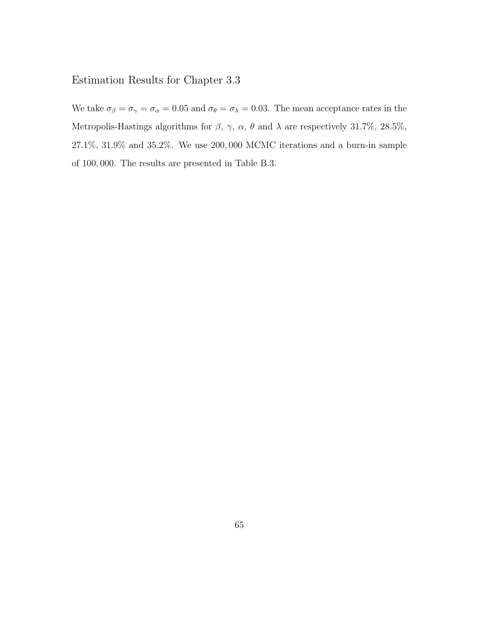## Estimation Results for Chapter [3.3](#page-37-0)

We take  $\sigma_{\beta} = \sigma_{\gamma} = \sigma_{\alpha} = 0.05$  and  $\sigma_{\theta} = \sigma_{\lambda} = 0.03$ . The mean acceptance rates in the Metropolis-Hastings algorithms for  $\beta$ ,  $\gamma$ ,  $\alpha$ ,  $\theta$  and  $\lambda$  are respectively 31.7%, 28.5%, 27.1%, 31.9% and 35.2%. We use 200, 000 MCMC iterations and a burn-in sample of 100, 000. The results are presented in Table [B.3.](#page-75-0)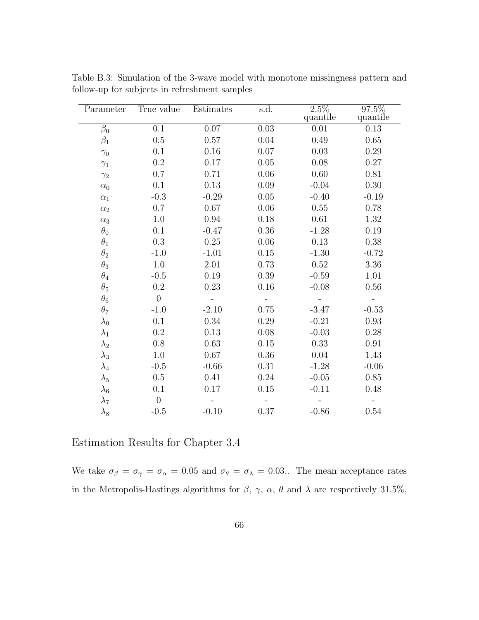| Parameter   | True value     | Estimates | s.d.     | $\overline{2.5\%}$<br>quantile | 97.5%<br>quantile |
|-------------|----------------|-----------|----------|--------------------------------|-------------------|
| $\beta_0$   | 0.1            | $0.07\,$  | 0.03     | 0.01                           | $0.13\,$          |
| $\beta_1$   | 0.5            | 0.57      | 0.04     | 0.49                           | 0.65              |
| $\gamma_0$  | 0.1            | $0.16\,$  | $0.07\,$ | 0.03                           | 0.29              |
| $\gamma_1$  | 0.2            | 0.17      | 0.05     | 0.08                           | 0.27              |
| $\gamma_2$  | 0.7            | 0.71      | 0.06     | 0.60                           | 0.81              |
| $\alpha_0$  | 0.1            | 0.13      | 0.09     | $-0.04$                        | 0.30              |
| $\alpha_1$  | $-0.3$         | $-0.29$   | 0.05     | $-0.40$                        | $-0.19$           |
| $\alpha_2$  | 0.7            | $0.67\,$  | 0.06     | $0.55\,$                       | 0.78              |
| $\alpha_3$  | 1.0            | 0.94      | 0.18     | 0.61                           | 1.32              |
| $\theta_0$  | 0.1            | $-0.47$   | 0.36     | $-1.28$                        | 0.19              |
| $\theta_1$  | 0.3            | 0.25      | 0.06     | 0.13                           | 0.38              |
| $\theta_2$  | $-1.0$         | $-1.01$   | 0.15     | $-1.30$                        | $-0.72$           |
| $\theta_3$  | 1.0            | 2.01      | 0.73     | $0.52\,$                       | 3.36              |
| $\theta_4$  | $-0.5$         | $0.19\,$  | 0.39     | $-0.59$                        | 1.01              |
| $\theta_5$  | 0.2            | 0.23      | 0.16     | $-0.08$                        | 0.56              |
| $\theta_6$  | $\overline{0}$ |           |          |                                |                   |
| $\theta_7$  | $-1.0$         | $-2.10$   | $0.75\,$ | $-3.47$                        | $-0.53$           |
| $\lambda_0$ | 0.1            | 0.34      | 0.29     | $-0.21$                        | 0.93              |
| $\lambda_1$ | 0.2            | 0.13      | 0.08     | $-0.03$                        | 0.28              |
| $\lambda_2$ | 0.8            | 0.63      | 0.15     | 0.33                           | 0.91              |
| $\lambda_3$ | 1.0            | $0.67\,$  | $0.36\,$ | 0.04                           | 1.43              |
| $\lambda_4$ | $-0.5$         | $-0.66$   | 0.31     | $-1.28$                        | $-0.06$           |
| $\lambda_5$ | 0.5            | 0.41      | 0.24     | $-0.05$                        | 0.85              |
| $\lambda_6$ | 0.1            | 0.17      | 0.15     | $-0.11$                        | 0.48              |
| $\lambda_7$ | $\overline{0}$ |           |          |                                |                   |
| $\lambda_8$ | $-0.5$         | $-0.10$   | $0.37\,$ | $-0.86$                        | 0.54              |

<span id="page-75-0"></span>Table B.3: Simulation of the 3-wave model with monotone missingness pattern and follow-up for subjects in refreshment samples

Estimation Results for Chapter [3.4](#page-41-0)

We take  $\sigma_{\beta} = \sigma_{\gamma} = \sigma_{\alpha} = 0.05$  and  $\sigma_{\theta} = \sigma_{\lambda} = 0.03$ .. The mean acceptance rates in the Metropolis-Hastings algorithms for  $\beta$ ,  $\gamma$ ,  $\alpha$ ,  $\theta$  and  $\lambda$  are respectively 31.5%,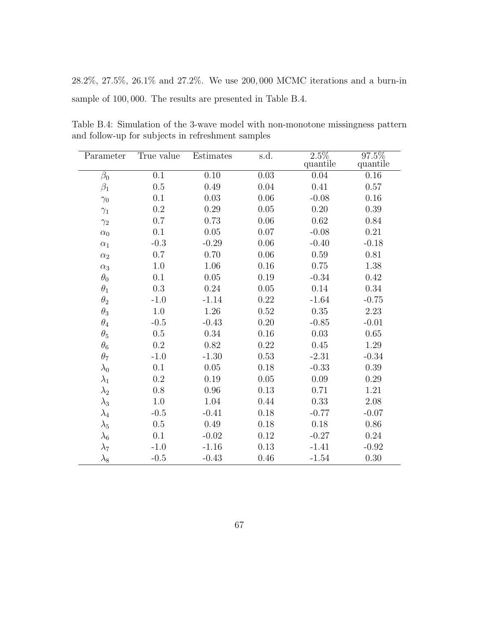28.2%, 27.5%, 26.1% and 27.2%. We use 200, 000 MCMC iterations and a burn-in sample of 100, 000. The results are presented in Table [B.4.](#page-76-0)

<span id="page-76-0"></span>Table B.4: Simulation of the 3-wave model with non-monotone missingness pattern and follow-up for subjects in refreshment samples

| Parameter   | True value       | Estimates | s.d.     | $\overline{2.5\%}$ | 97.5%    |
|-------------|------------------|-----------|----------|--------------------|----------|
|             |                  |           |          | quantile           | quantile |
| $\beta_0$   | $\overline{0.1}$ | $0.10\,$  | 0.03     | 0.04               | $0.16\,$ |
| $\beta_1$   | 0.5              | 0.49      | 0.04     | 0.41               | 0.57     |
| $\gamma_0$  | 0.1              | 0.03      | $0.06\,$ | $-0.08$            | 0.16     |
| $\gamma_1$  | $0.2\,$          | 0.29      | 0.05     | 0.20               | 0.39     |
| $\gamma_2$  | 0.7              | 0.73      | 0.06     | 0.62               | 0.84     |
| $\alpha_0$  | 0.1              | 0.05      | 0.07     | $-0.08$            | 0.21     |
| $\alpha_1$  | $-0.3$           | $-0.29$   | 0.06     | $-0.40$            | $-0.18$  |
| $\alpha_2$  | 0.7              | 0.70      | 0.06     | 0.59               | 0.81     |
| $\alpha_3$  | 1.0              | 1.06      | 0.16     | 0.75               | 1.38     |
| $\theta_0$  | 0.1              | 0.05      | 0.19     | $-0.34$            | 0.42     |
| $\theta_1$  | 0.3              | 0.24      | $0.05\,$ | 0.14               | 0.34     |
| $\theta_2$  | $-1.0$           | $-1.14$   | 0.22     | $-1.64$            | $-0.75$  |
| $\theta_3$  | 1.0              | 1.26      | 0.52     | 0.35               | 2.23     |
| $\theta_4$  | $-0.5$           | $-0.43$   | 0.20     | $-0.85$            | $-0.01$  |
| $\theta_5$  | $0.5\,$          | 0.34      | 0.16     | 0.03               | 0.65     |
| $\theta_6$  | 0.2              | 0.82      | 0.22     | 0.45               | 1.29     |
| $\theta_7$  | $-1.0$           | $-1.30$   | 0.53     | $-2.31$            | $-0.34$  |
| $\lambda_0$ | 0.1              | $0.05\,$  | 0.18     | $-0.33$            | 0.39     |
| $\lambda_1$ | $\rm 0.2$        | 0.19      | $0.05\,$ | 0.09               | 0.29     |
| $\lambda_2$ | 0.8              | 0.96      | 0.13     | 0.71               | 1.21     |
| $\lambda_3$ | 1.0              | 1.04      | $0.44\,$ | 0.33               | $2.08\,$ |
| $\lambda_4$ | $-0.5$           | $-0.41$   | 0.18     | $-0.77$            | $-0.07$  |
| $\lambda_5$ | 0.5              | 0.49      | 0.18     | 0.18               | $0.86\,$ |
| $\lambda_6$ | 0.1              | $-0.02$   | 0.12     | $-0.27$            | 0.24     |
| $\lambda_7$ | $-1.0$           | $-1.16$   | 0.13     | $-1.41$            | $-0.92$  |
| $\lambda_8$ | $-0.5$           | $-0.43$   | 0.46     | $-1.54$            | 0.30     |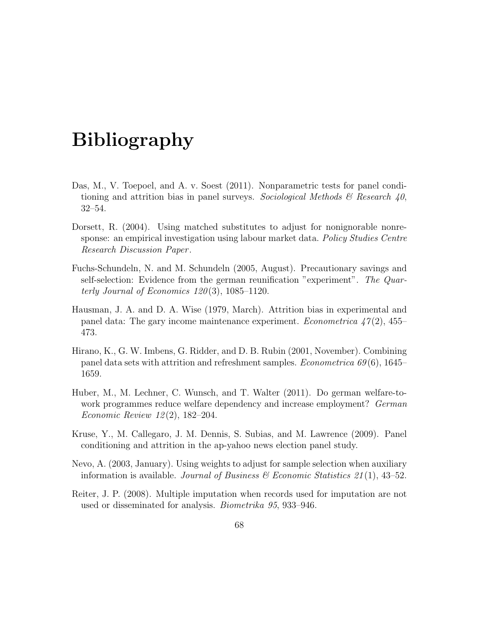## Bibliography

- Das, M., V. Toepoel, and A. v. Soest (2011). Nonparametric tests for panel conditioning and attrition bias in panel surveys. Sociological Methods & Research  $40$ , 32–54.
- Dorsett, R. (2004). Using matched substitutes to adjust for nonignorable nonresponse: an empirical investigation using labour market data. Policy Studies Centre Research Discussion Paper .
- Fuchs-Schundeln, N. and M. Schundeln (2005, August). Precautionary savings and self-selection: Evidence from the german reunification "experiment". The Quarterly Journal of Economics 120 (3), 1085–1120.
- Hausman, J. A. and D. A. Wise (1979, March). Attrition bias in experimental and panel data: The gary income maintenance experiment. *Econometrica*  $47(2)$ ,  $455-$ 473.
- Hirano, K., G. W. Imbens, G. Ridder, and D. B. Rubin (2001, November). Combining panel data sets with attrition and refreshment samples. *Econometrica*  $69(6)$ , 1645– 1659.
- Huber, M., M. Lechner, C. Wunsch, and T. Walter (2011). Do german welfare-towork programmes reduce welfare dependency and increase employment? German Economic Review 12 (2), 182–204.
- Kruse, Y., M. Callegaro, J. M. Dennis, S. Subias, and M. Lawrence (2009). Panel conditioning and attrition in the ap-yahoo news election panel study.
- Nevo, A. (2003, January). Using weights to adjust for sample selection when auxiliary information is available. Journal of Business & Economic Statistics 21(1), 43–52.
- Reiter, J. P. (2008). Multiple imputation when records used for imputation are not used or disseminated for analysis. Biometrika 95, 933–946.